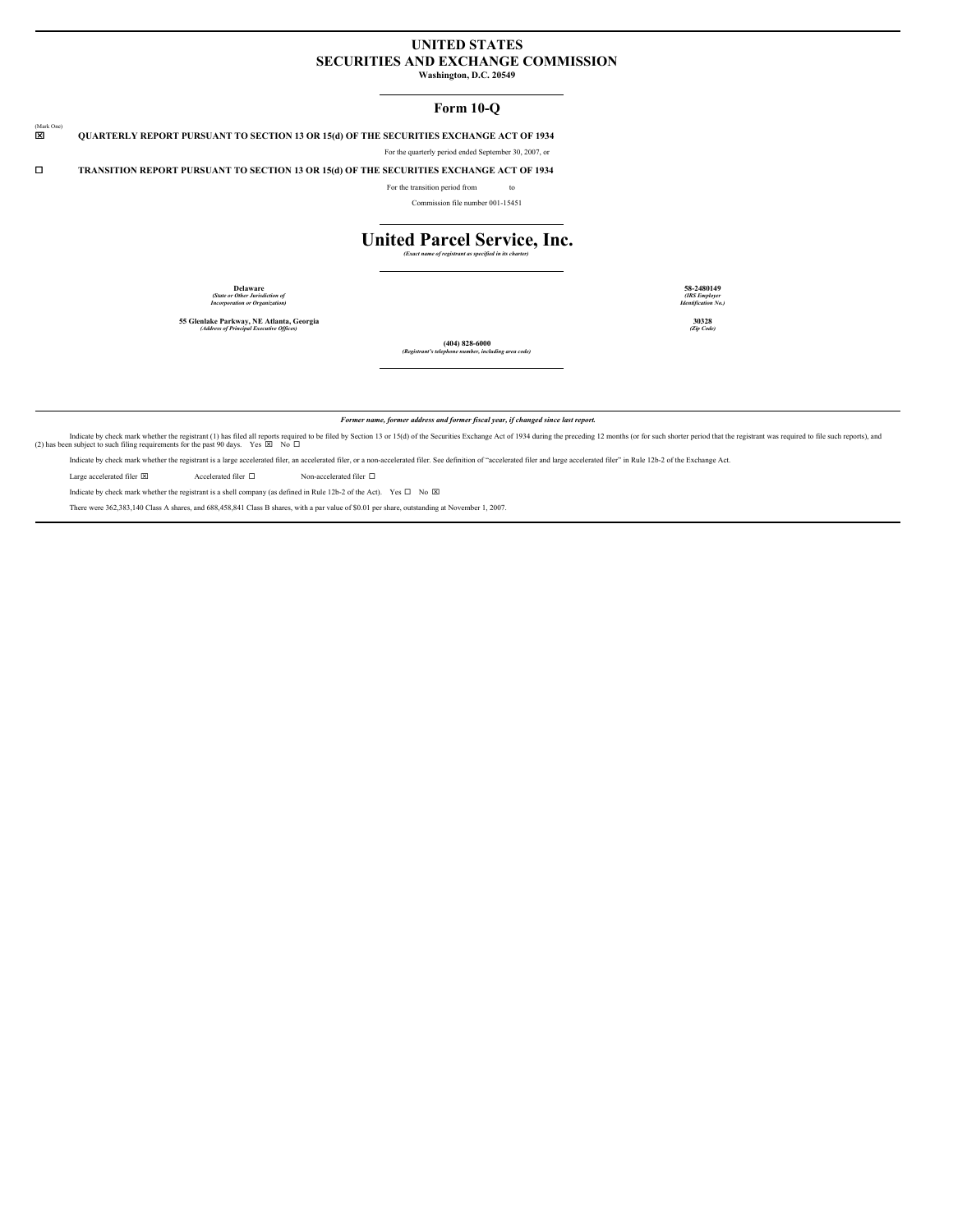## **UNITED STATES SECURITIES AND EXCHANGE COMMISSION**

**Washington, D.C. 20549**

## **Form 10-Q**

(Mark One) x **QUARTERLY REPORT PURSUANT TO SECTION 13 OR 15(d) OF THE SECURITIES EXCHANGE ACT OF 1934**

For the quarterly period ended September 30, 2007, or

¨ **TRANSITION REPORT PURSUANT TO SECTION 13 OR 15(d) OF THE SECURITIES EXCHANGE ACT OF 1934**

For the transition period from to

Commission file number 001-15451

## **United Parcel Service, Inc.**

*(Exact name of registrant as specified in its charter)*

*(IRS Employer Identification No.)*

**Delaware 58-2480149** *(State or Other Jurisdiction of Incorporation or Organization)*

**55 Glenlake Parkway, NE Atlanta, Georgia 30328** *(Address of Principal Executive Of ices) (Zip Code)*

**(404) 828-6000** *(Registrant's telephone number, including area code)*

*Former name, former address and former fiscal year, if changed since last report.*

Indicate by check mark whether the registrant (1) has filed all reports required to be filed by Section 13 or 15(d) of the Securities Exchange Act of 1934 during the preceding 12 months (or for such shorter period that the

Indicate by check mark whether the registrant is a large accelerated filer, an accelerated filer, or a non-accelerated filer. See definition of "accelerated filer and large accelerated filer ' in Rule 12b-2 of the Exchange

Large accelerated filer  $\boxtimes$   $\hfill$  Accelerated filer  $\Box$   $\hfill$  Non-accelerated filer  $\Box$ 

Indicate by check mark whether the registrant is a shell company (as defined in Rule 12b-2 of the Act). Yes  $\Box$  No  $\boxtimes$ 

There were 362,383,140 Class A shares, and 688,458,841 Class B shares, with a par value of \$0.01 per share, outstanding at November 1, 2007.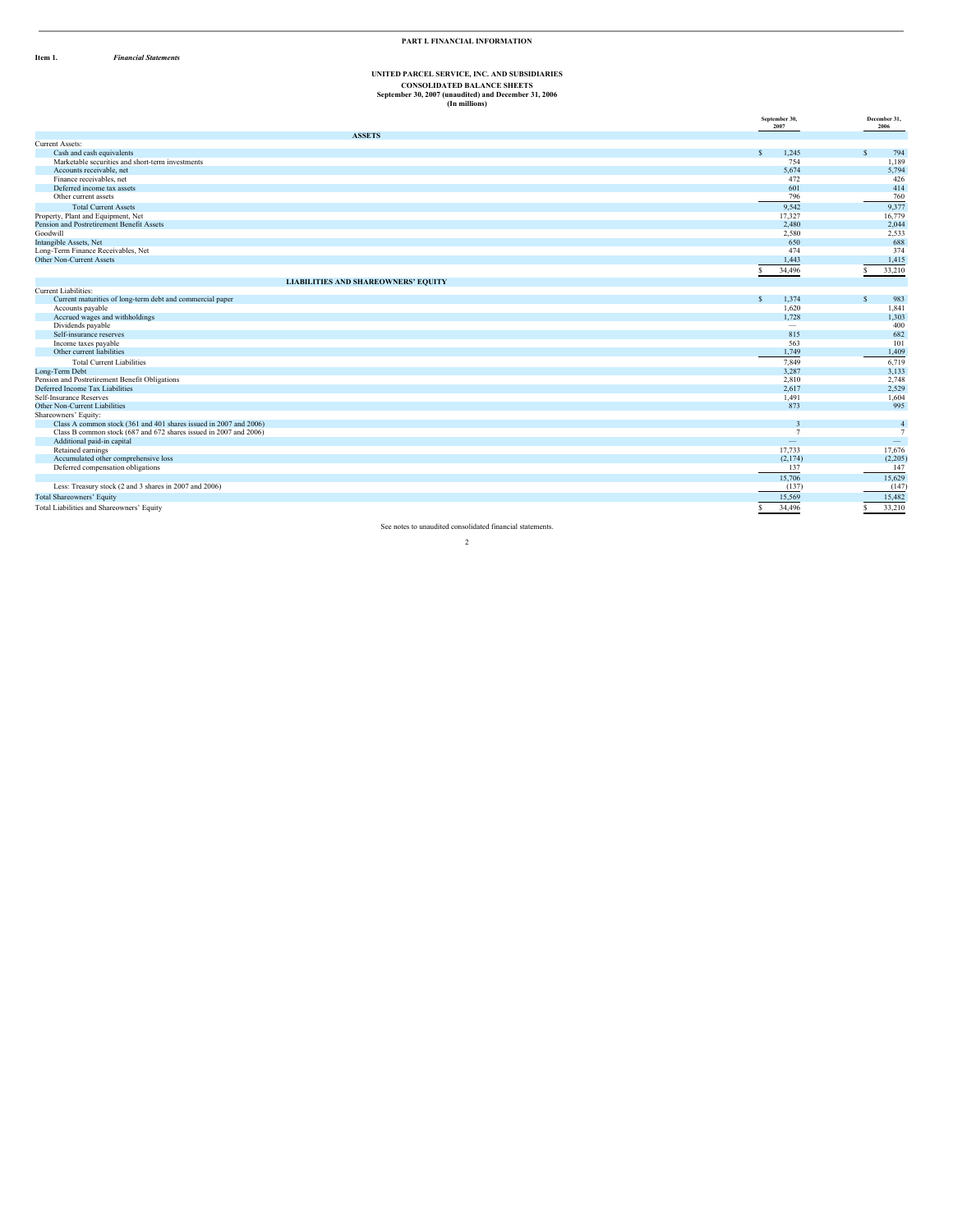**I t e m 1.** *Financial Statements* 

#### **PART I. FINANCIAL INFORMATION**

# UNITED PARCEL SERVICE, INC. AND SUBSIDIARIES<br>CONSOLIDATED BALANCE SHEETS<br>September 30, 2007 (unaudited) and December 31, 2006<br>In millions)

|                                                                   | September 30.<br>2007    | December 31.<br>2006            |
|-------------------------------------------------------------------|--------------------------|---------------------------------|
| <b>ASSETS</b>                                                     |                          |                                 |
| Current Assets:                                                   |                          |                                 |
| Cash and cash equivalents                                         | 1,245<br>$\mathbf{s}$    | 794<br>S                        |
| Marketable securities and short-term investments                  | 754                      | 1,189                           |
| Accounts receivable, net                                          | 5,674                    | 5,794                           |
| Finance receivables, net                                          | 472                      | 426                             |
| Deferred income tax assets                                        | 601                      | 414                             |
| Other current assets                                              | 796                      | 760                             |
| <b>Total Current Assets</b>                                       | 9,542                    | 9,377                           |
| Property, Plant and Equipment, Net                                | 17,327                   | 16,779                          |
| Pension and Postretirement Benefit Assets                         | 2,480                    | 2,044                           |
| Goodwill                                                          | 2,580                    | 2,533                           |
| Intangible Assets, Net                                            | 650                      | 688                             |
| Long-Term Finance Receivables, Net                                | 474                      | 374                             |
| Other Non-Current Assets                                          | 1,443                    | 1,415                           |
|                                                                   | 34,496                   | 33,210<br>s                     |
| <b>LIABILITIES AND SHAREOWNERS' EQUITY</b>                        |                          |                                 |
| <b>Current Liabilities:</b>                                       |                          |                                 |
| Current maturities of long-term debt and commercial paper         | 1,374<br>$\mathbf{s}$    | 983<br>$\mathbf{\hat{S}}$       |
| Accounts payable                                                  | 1,620                    | 1,841                           |
| Accrued wages and withholdings                                    | 1,728                    | 1,303                           |
| Dividends payable                                                 |                          | 400                             |
| Self-insurance reserves                                           | 815                      | 682                             |
| Income taxes payable                                              | 563                      | 101                             |
| Other current liabilities                                         | 1,749                    | 1,409                           |
| <b>Total Current Liabilities</b>                                  | 7,849                    | 6,719                           |
| Long-Term Debt                                                    | 3,287                    | 3,133                           |
| Pension and Postretirement Benefit Obligations                    | 2,810                    | 2,748                           |
| Deferred Income Tax Liabilities                                   | 2,617                    | 2,529                           |
| Self-Insurance Reserves                                           | 1,491                    | 1,604                           |
| Other Non-Current Liabilities                                     | 873                      | 995                             |
| Shareowners' Equity:                                              |                          |                                 |
| Class A common stock (361 and 401 shares issued in 2007 and 2006) | $\mathbf{3}$             | $\overline{4}$                  |
| Class B common stock (687 and 672 shares issued in 2007 and 2006) | $\overline{7}$           | 7                               |
| Additional paid-in capital                                        | $\overline{\phantom{a}}$ | $\hspace{0.1mm}-\hspace{0.1mm}$ |
| Retained earnings                                                 | 17,733                   | 17,676                          |
| Accumulated other comprehensive loss                              | (2,174)                  | (2,205)                         |
| Deferred compensation obligations                                 | 137                      | 147                             |
|                                                                   | 15,706                   | 15,629                          |
| Less: Treasury stock (2 and 3 shares in 2007 and 2006)            | (137)                    | (147)                           |
| <b>Total Shareowners' Equity</b>                                  | 15,569                   | 15,482                          |
| Total Liabilities and Shareowners' Equity                         | 34,496                   | 33.210<br>s                     |

See notes to unaudited consolidated financial statements.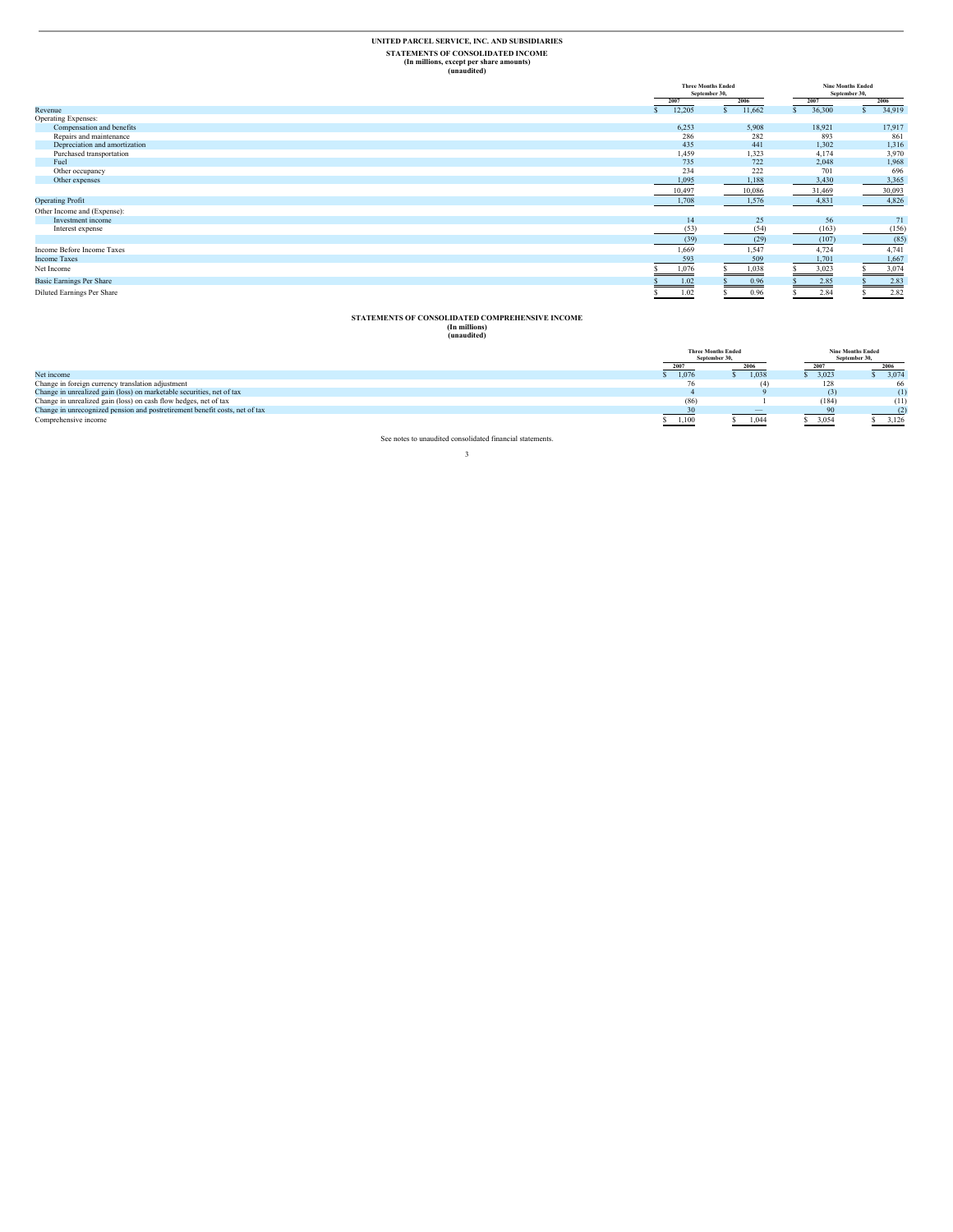# UNITED PARCEL SERVICE, INC. AND SUBSIDIARIES<br>STATEMENTS OF CONSOLIDATED INCOME<br>(In millions, except per share amounts)<br>(unaudited)

|                                   | <b>Three Months Ended</b><br>September 30, |        | <b>Nine Months Ended</b><br>September 30, |        |
|-----------------------------------|--------------------------------------------|--------|-------------------------------------------|--------|
|                                   | 2007                                       | 2006   | 2007                                      | 2006   |
| Revenue                           | 12,205                                     | 11,662 | 36,300                                    | 34,919 |
| <b>Operating Expenses:</b>        |                                            |        |                                           |        |
| Compensation and benefits         | 6,253                                      | 5,908  | 18,921                                    | 17,917 |
| Repairs and maintenance           | 286                                        | 282    | 893                                       | 861    |
| Depreciation and amortization     | 435                                        | 441    | 1,302                                     | 1,316  |
| Purchased transportation          | 1,459                                      | 1,323  | 4,174                                     | 3,970  |
| Fuel                              | 735                                        | 722    | 2,048                                     | 1,968  |
| Other occupancy                   | 234                                        | 222    | 701                                       | 696    |
| Other expenses                    | 1,095                                      | 1,188  | 3,430                                     | 3,365  |
|                                   | 10,497                                     | 10,086 | 31,469                                    | 30,093 |
| <b>Operating Profit</b>           | 1,708                                      | 1,576  | 4,831                                     | 4,826  |
| Other Income and (Expense):       |                                            |        |                                           |        |
| Investment income                 | 14                                         | 25     | 56                                        | 71     |
| Interest expense                  | (53)                                       | (54)   | (163)                                     | (156)  |
|                                   | (39)                                       | (29)   | (107)                                     | (85)   |
| Income Before Income Taxes        | 1,669                                      | 1,547  | 4,724                                     | 4,741  |
| <b>Income Taxes</b>               | 593                                        | 509    | 1,701                                     | 1,667  |
| Net Income                        | 1,076                                      | 1,038  | 3,023                                     | 3,074  |
| Basic Earnings Per Share          | 1.02                                       | 0.96   | 2.85                                      | 2.83   |
| <b>Diluted Earnings Per Share</b> | 1.02                                       | 0.96   | 2.84                                      | 2.82   |
|                                   |                                            |        |                                           |        |

## **STATEMENTS OF CONSOLIDATED COMPREHENSIVE INCOME (In millions) (unaudited)**

|                                                                             | <b>Three Months Ended</b> |               | <b>Nine Months Ended</b> |               |
|-----------------------------------------------------------------------------|---------------------------|---------------|--------------------------|---------------|
|                                                                             |                           | September 30, |                          | September 30, |
|                                                                             | 2007                      | 2006          | 2007                     | 2006          |
| Net income                                                                  | 1.076                     | 1.038         | 3,023                    | 3,074         |
| Change in foreign currency translation adjustment                           |                           | (4)           | 128                      | 66            |
| Change in unrealized gain (loss) on marketable securities, net of tax       |                           |               | (3)                      | (1)           |
| Change in unrealized gain (loss) on cash flow hedges, net of tax            | (86)                      |               | (184)                    | (11)          |
| Change in unrecognized pension and postretirement benefit costs, net of tax |                           |               |                          |               |
| Comprehensive income                                                        | 1,100                     | 1.044         | 3,054                    | 3,126         |

See notes to unaudited consolidated financial statements. 3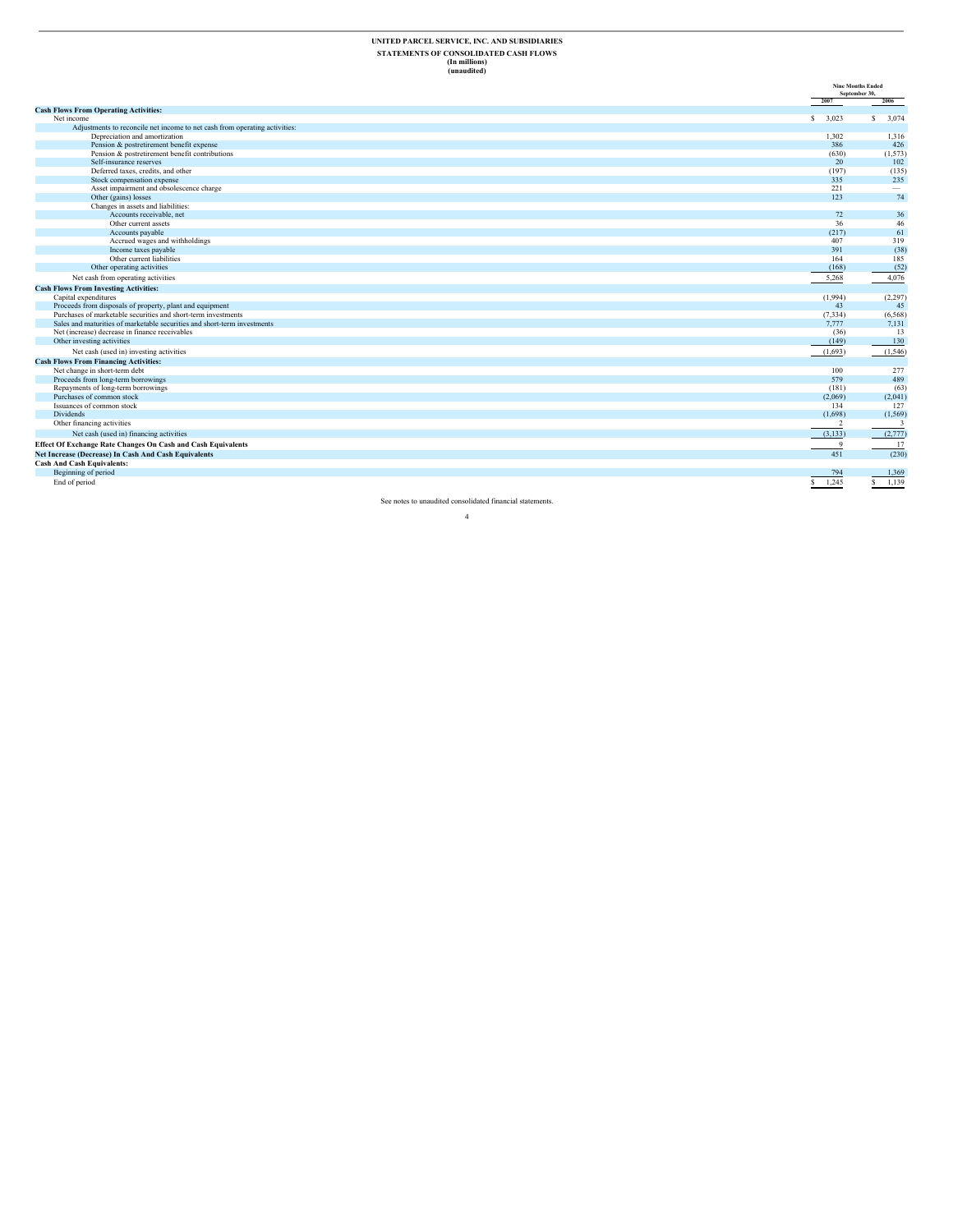## UNITED PARCEL SERVICE, INC. AND SUBSIDIARIES STATEMENTS OF CONSOLIDATED CASH FLOWS<br>(In millions)<br>(unaudited)

|                                                                            | <b>Nine Months Ended</b><br>September 30. |                                 |
|----------------------------------------------------------------------------|-------------------------------------------|---------------------------------|
|                                                                            | 2007                                      | 2006                            |
| <b>Cash Flows From Operating Activities:</b>                               |                                           |                                 |
| Net income                                                                 | \$3,023                                   | s<br>3,074                      |
| Adjustments to reconcile net income to net cash from operating activities: |                                           |                                 |
| Depreciation and amortization                                              | 1.302                                     | 1,316                           |
| Pension & postretirement benefit expense                                   | 386                                       | 426                             |
| Pension & postretirement benefit contributions                             | (630)                                     | (1, 573)                        |
| Self-insurance reserves<br>Deferred taxes, credits, and other              | 20                                        | 102                             |
|                                                                            | (197)<br>335                              | (135)<br>235                    |
| Stock compensation expense<br>Asset impairment and obsolescence charge     | 221                                       | $\hspace{0.1mm}-\hspace{0.1mm}$ |
| Other (gains) losses                                                       | 123                                       | 74                              |
| Changes in assets and liabilities:                                         |                                           |                                 |
| Accounts receivable, net                                                   | 72                                        | 36                              |
| Other current assets                                                       | 36                                        | 46                              |
| Accounts payable                                                           | (217)                                     | 61                              |
| Accrued wages and withholdings                                             | 407                                       | 319                             |
| Income taxes payable                                                       | 391                                       | (38)                            |
| Other current liabilities                                                  | 164                                       | 185                             |
| Other operating activities                                                 | (168)                                     | (52)                            |
| Net cash from operating activities                                         | 5,268                                     | 4,076                           |
| <b>Cash Flows From Investing Activities:</b>                               |                                           |                                 |
| Capital expenditures                                                       | (1,994)                                   | (2, 297)                        |
| Proceeds from disposals of property, plant and equipment                   | 43                                        | 45                              |
| Purchases of marketable securities and short-term investments              | (7, 334)                                  | (6, 568)                        |
| Sales and maturities of marketable securities and short-term investments   | 7,777                                     | 7,131                           |
| Net (increase) decrease in finance receivables                             | (36)                                      | 13                              |
| Other investing activities                                                 | (149)                                     | 130                             |
| Net cash (used in) investing activities                                    | (1,693)                                   | (1, 546)                        |
| <b>Cash Flows From Financing Activities:</b>                               |                                           |                                 |
| Net change in short-term debt                                              | 100                                       | 277                             |
| Proceeds from long-term borrowings                                         | 579                                       | 489                             |
| Repayments of long-term borrowings                                         | (181)                                     | (63)                            |
| Purchases of common stock                                                  | (2,069)                                   | (2,041)                         |
| Issuances of common stock                                                  | 134                                       | 127                             |
| <b>Dividends</b>                                                           | (1,698)                                   | (1, 569)                        |
| Other financing activities                                                 | $\overline{2}$                            | $\overline{\mathbf{3}}$         |
| Net cash (used in) financing activities                                    | (3, 133)                                  | (2,777)                         |
| Effect Of Exchange Rate Changes On Cash and Cash Equivalents               | $\overline{9}$                            | 17                              |
| Net Increase (Decrease) In Cash And Cash Equivalents                       | 451                                       | (230)                           |
| <b>Cash And Cash Equivalents:</b>                                          |                                           |                                 |
| Beginning of period                                                        | 794                                       | 1,369                           |
| End of period                                                              | 1,245<br>s                                | 1,139<br>s                      |

See notes to unaudited consolidated financial statements.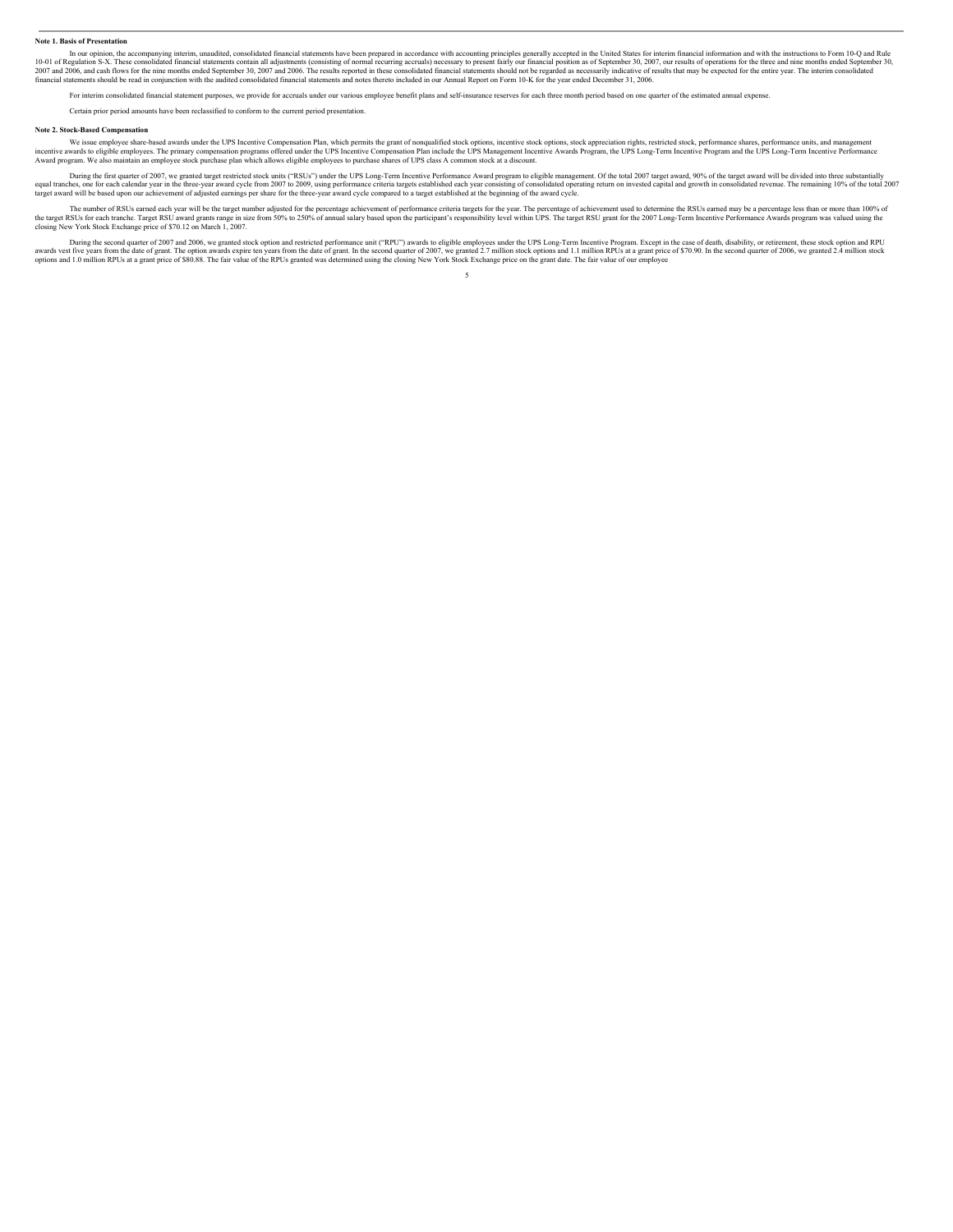## **Note 1. Basis of Presentation**

In our opinion, the accompanying interim, unaudited, consolidated financial statements have been prepared in accordance with accounting principles generally accepted in the United States for interim financial information a

For interim consolidated financial statement purposes, we provide for accruals under our various employee benefit plans and self-insurance reserves for each three month period based on one quarter of the estimated annual e

Certain prior period amounts have been reclassified to conform to the current period presentation.

## **Note 2. Stock-Based Compensation**

We issue employee share-based awards under the UPS Incentive Compensation Plan, which permits the grant of nonqualified stock options, incentive stock options, stock appreciation rights, restricted stock, performance share

During the first quarter of 2007, we granted target restricted stock units ("RSUs") under the UPS Long-Term Incentive Performance Award program to eligible management. Of the total 2007 target award, 90% of the target awar

The number of RSUs earned each year will be the target number adjusted for the percentage achievement of performance criteria targets for the year. The percentage of achievement used to determine the RSUs eamed may be a pe

During the second quarter of 2007 and 2006, we granted stock option and restricted performance unit ("RPU") awards to eligible employees under the UPS Long-Term Incentive Program. Except in the case of death, disability, o 5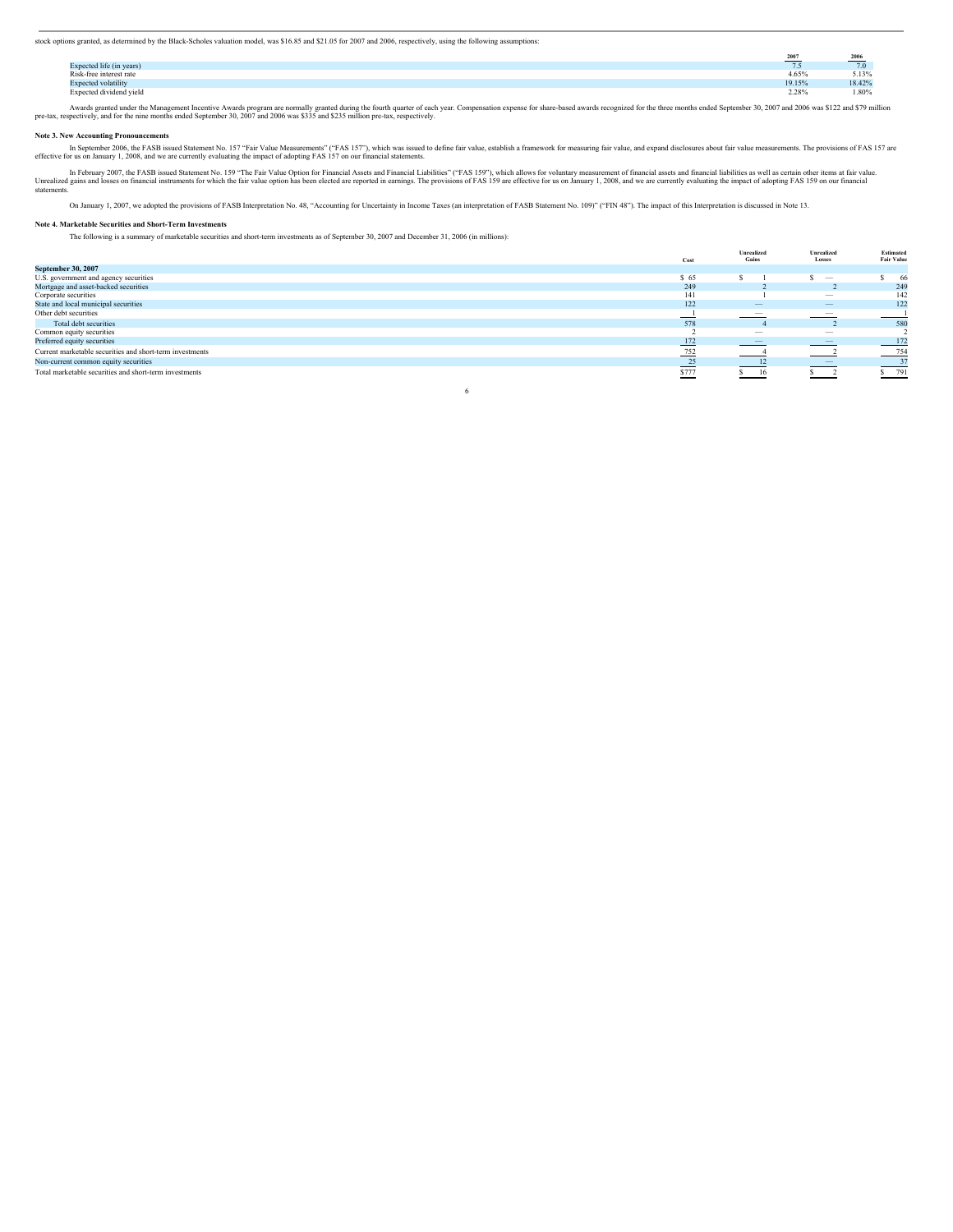stock options granted, as determined by the Black-Scholes valuation model, was \$16.85 and \$21.05 for 2007 and 2006, respectively, using the following assumptions:

|                            | 2007<br>the control of the control of | 2006         |
|----------------------------|---------------------------------------|--------------|
| Expected life (in years)   | ,                                     | $  -$<br>7.0 |
| Risk-free interest rate    | 4.65%                                 | 5.13%        |
| <b>Expected volatility</b> | 19.15%                                | 18.42%       |
| Expected dividend yield    | 2.28%                                 | 1.80%        |

A wards granted under the Management Incentive Awards program are normally granted during the fourth quarter of each year. Compensation expense for share-based awards recognized for the three months ended September 30, 200

#### **Note 3. New Accounting Pronouncements**

In September 2006, the FASB issued Statement No. 157 "Far Value Measurements" ("FAS 157"), which was issued to define fair value, establish a framework for measuring fair value, and expand disclosures about fair value meas

In February 2007, the FASB issued Statement No. 159 "The Fair Value Option for Financial Assets and Financial Sast saffer in The Statement South in the fair value option has been elected are reported in earnings. The provi statements.

On January 1, 2007, we adopted the provisions of FASB Interpretation No. 48, "Accounting for Uncertainty in Income Taxes (an interpretation of FASB Statement No. 109)" ("FIN 48"). The impact of this Interpretation is discu

#### **Note 4. Marketable Securities and Short-Term Investments**

The following is a summary of marketable securities and short-term investments as of September 30, 2007 and December 31, 2006 (in millions):

|                                                          | Cost                | <b>Unrealized</b><br>Gains       | <b>Unrealized</b><br>Losses     | <b>Estimated</b><br><b>Fair Value</b> |
|----------------------------------------------------------|---------------------|----------------------------------|---------------------------------|---------------------------------------|
| September 30, 2007                                       |                     |                                  |                                 |                                       |
| U.S. government and agency securities                    | \$65                |                                  | $\overline{\phantom{a}}$        | 66                                    |
| Mortgage and asset-backed securities                     | 249                 |                                  |                                 | 249                                   |
| Corporate securities                                     | 141                 |                                  | $\hspace{0.1mm}-\hspace{0.1mm}$ | 142                                   |
| State and local municipal securities                     | 122                 | $\qquad \qquad$                  | $\hspace{0.1mm}-\hspace{0.1mm}$ | 122                                   |
| Other debt securities                                    |                     | $\overline{\phantom{a}}$<br>____ | $-$                             |                                       |
| Total debt securities                                    | 578                 |                                  |                                 | 580                                   |
| Common equity securities                                 |                     | $\hspace{0.1mm}-\hspace{0.1mm}$  | $\overline{\phantom{a}}$        |                                       |
| Preferred equity securities                              | 172<br>$\sim$       | $\qquad \qquad$                  | $\overline{\phantom{a}}$        | 172                                   |
| Current marketable securities and short-term investments | 752<br>$-1 - 1 - 1$ |                                  |                                 | 754                                   |
| Non-current common equity securities                     | 25                  | 12                               | $\overline{\phantom{m}}$        | 37                                    |
| Total marketable securities and short-term investments   | <b>S777</b>         | 16                               |                                 | 791                                   |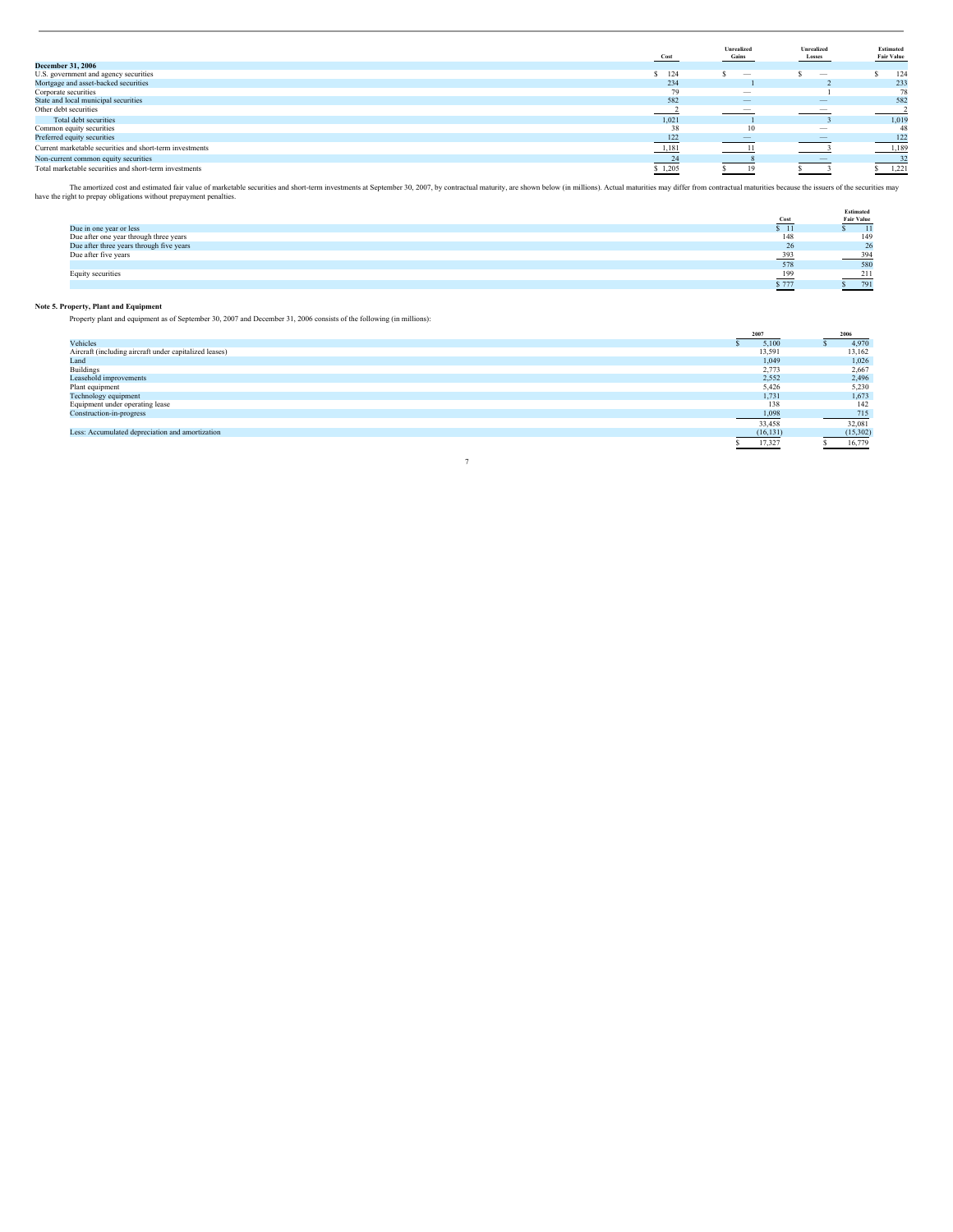|                                                          | Cost                          | <b>Unrealized</b><br>Gains      | <b>Unrealized</b><br>Losses     | Estimated<br><b>Fair Value</b> |
|----------------------------------------------------------|-------------------------------|---------------------------------|---------------------------------|--------------------------------|
| <b>December 31, 2006</b>                                 |                               |                                 |                                 |                                |
| U.S. government and agency securities                    | \$124                         | -                               | -                               | 124                            |
| Mortgage and asset-backed securities                     | 234                           |                                 |                                 | 233                            |
| Corporate securities                                     | 79                            | $\hspace{0.1mm}-\hspace{0.1mm}$ |                                 | 78                             |
| State and local municipal securities                     | 582                           | $\overline{\phantom{m}}$        |                                 | 582                            |
| Other debt securities                                    |                               | $\overline{\phantom{a}}$        | $\overline{\phantom{a}}$        |                                |
| Total debt securities                                    | 1.021                         |                                 |                                 | 1,019                          |
| Common equity securities                                 | 38                            |                                 | $\hspace{0.1mm}-\hspace{0.1mm}$ | 48                             |
| Preferred equity securities                              | 122<br><b>Service Control</b> | $\overline{\phantom{a}}$        | $\overline{\phantom{a}}$        | 122                            |
| Current marketable securities and short-term investments | 1,181                         |                                 |                                 | 1,189                          |
| Non-current common equity securities                     | 24                            |                                 | $\overline{\phantom{m}}$        | 32                             |
| Total marketable securities and short-term investments   | \$1,205                       | 19                              |                                 | 1,221                          |

The amottized cost and estimated fair value of marketable securities and short-term investments at September 30, 2007, by contractual maturity, are shown below (in millions). Actual maturities may differ from contractual m

|                                          |       | Estimated         |
|------------------------------------------|-------|-------------------|
|                                          | Cost  | <b>Fair Value</b> |
| Due in one year or less                  | - 11  |                   |
| Due after one year through three years   | 148   | 149               |
| Due after three years through five years | 26    | 26                |
| Due after five years                     | 393   | 394               |
|                                          | 578   | 580               |
| Equity securities                        | 199   | 211               |
|                                          | \$777 | 791               |

## **Note 5. Property, Plant and Equipment**

Property plant and equipment as of September 30, 2007 and December 31, 2006 consists of the following (in millions):

|                                                        | 2007      | 2006     |
|--------------------------------------------------------|-----------|----------|
| Vehicles                                               | 5,100     | 4,970    |
| Aircraft (including aircraft under capitalized leases) | 13,591    | 13,162   |
| Land                                                   | 1.049     | 1,026    |
| <b>Buildings</b>                                       | 2,773     | 2,667    |
| Leasehold improvements                                 | 2,552     | 2,496    |
| Plant equipment                                        | 5,426     | 5,230    |
| Technology equipment                                   | 1,731     | 1,673    |
| Equipment under operating lease                        | 138       | 142      |
| Construction-in-progress                               | 1,098     | 715      |
|                                                        | 33,458    | 32,081   |
| Less: Accumulated depreciation and amortization        | (16, 131) | (15,302) |
|                                                        | 17,327    | 16,779   |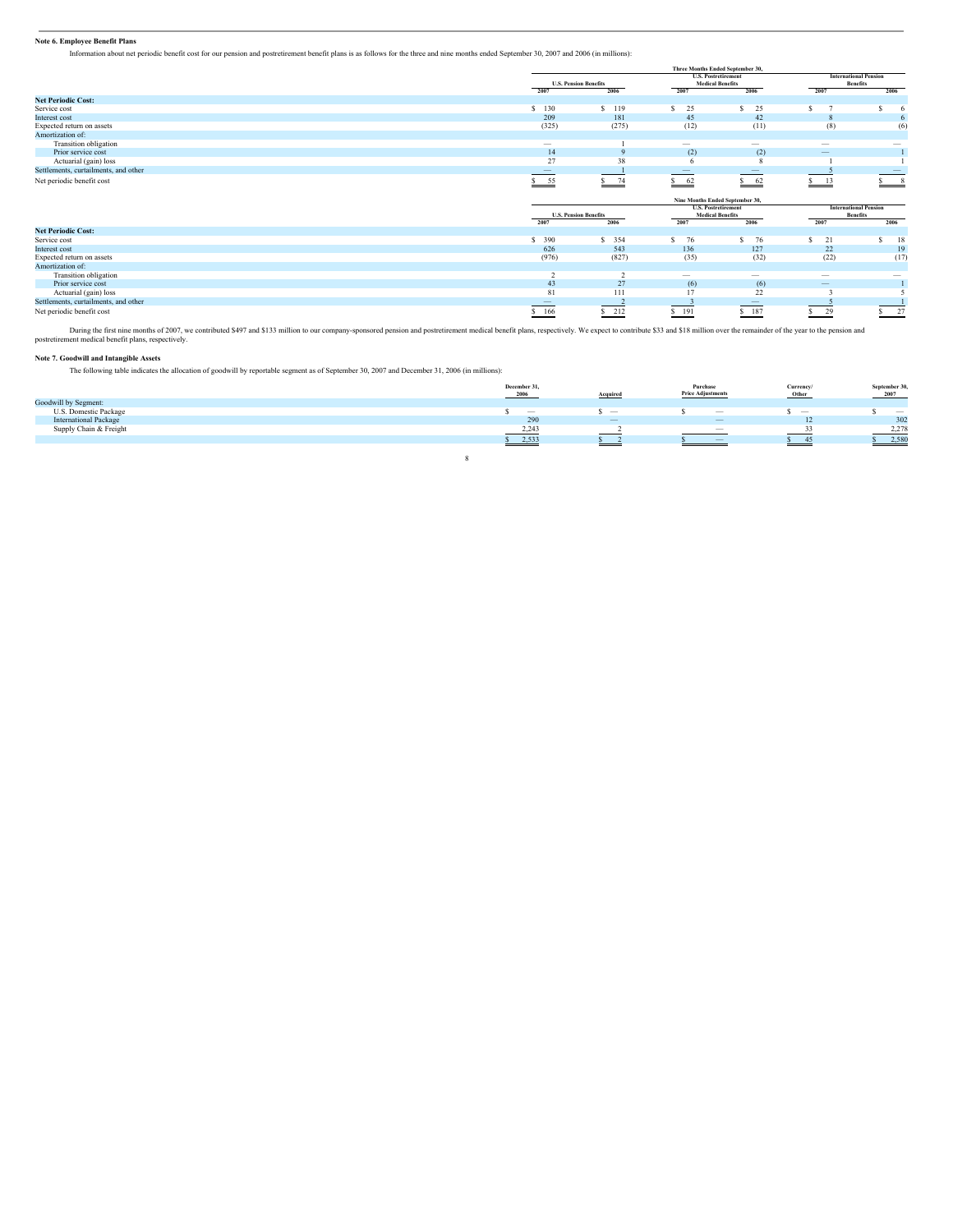## **Note 6. Employee Benefit Plans**

Information about net periodic benefit cost for our pension and postretirement benefit plans is as follows for the three and nine months ended September 30, 2007 and 2006 (in millions):

|                                      |                                 |                              | Three Months Ended September 30,                      |                                 |                                                 |                                 |
|--------------------------------------|---------------------------------|------------------------------|-------------------------------------------------------|---------------------------------|-------------------------------------------------|---------------------------------|
|                                      |                                 | <b>U.S. Pension Benefits</b> | <b>U.S. Postretirement</b><br><b>Medical Benefits</b> |                                 | <b>International Pension</b><br><b>Benefits</b> |                                 |
|                                      | 2007                            | 2006                         | 2007                                                  | 2006                            | 2007                                            | 2006                            |
| <b>Net Periodic Cost:</b>            |                                 |                              |                                                       |                                 |                                                 |                                 |
| Service cost                         | \$ 130                          | \$ 119                       | 25<br>s                                               | 25<br>s                         | s                                               | -6                              |
| Interest cost                        | 209                             | 181                          | 45                                                    | 42                              | $\mathbf{\mathbf{R}}$                           | 6                               |
| Expected return on assets            | (325)                           | (275)                        | (12)                                                  | (11)                            | (8)                                             | (6)                             |
| Amortization of:                     |                                 |                              |                                                       |                                 |                                                 |                                 |
| Transition obligation                | $\overline{\phantom{a}}$        |                              | $\overline{\phantom{a}}$                              | $\hspace{0.1mm}-\hspace{0.1mm}$ | $\overline{\phantom{a}}$                        | $\overline{\phantom{a}}$        |
| Prior service cost                   | 14                              | 9                            | (2)                                                   | (2)                             | $\qquad \qquad -$                               |                                 |
| Actuarial (gain) loss                | 27                              | 38                           | 6                                                     | $\boldsymbol{8}$                |                                                 |                                 |
| Settlements, curtailments, and other | $\hspace{0.1mm}-\hspace{0.1mm}$ |                              | $\qquad \qquad - \qquad$                              | $\qquad \qquad -$               |                                                 |                                 |
| Net periodic benefit cost            | $S$ 55<br>$\sim$                | $S$ 74<br>$\sim$ $\sim$      | $S = 62$<br>$\sim$ $\sim$                             | $S = 62$<br>$\sim$              | $S = 13$<br>$\sim$ $\sim$                       | $S \qquad 8$                    |
|                                      |                                 |                              | Nine Months Ended September 30,                       |                                 |                                                 |                                 |
|                                      |                                 | <b>U.S. Pension Benefits</b> | <b>U.S. Postretirement</b><br><b>Medical Benefits</b> |                                 | <b>International Pension</b><br><b>Benefits</b> |                                 |
|                                      | 2007                            | 2006                         | 2007                                                  | 2006                            | 2007                                            | 2006                            |
| <b>Net Periodic Cost:</b>            |                                 |                              |                                                       |                                 |                                                 |                                 |
| Service cost                         | \$390                           | \$354                        | 76                                                    | 76<br>S.                        | 21                                              | 18                              |
| Interest cost                        | 626                             | 543                          | 136                                                   | 127                             | $22\,$                                          | 19                              |
| Expected return on assets            | (976)                           | (827)                        | (35)                                                  | (32)                            | (22)                                            | (17)                            |
| Amortization of:                     |                                 |                              |                                                       |                                 |                                                 |                                 |
| Transition obligation                | $\overline{2}$                  | $\overline{2}$               | $\hspace{0.1mm}-\hspace{0.1mm}$                       | $\overline{\phantom{a}}$        | $\hspace{1.0cm} \rule{1.5cm}{0.15cm}$           | $\hspace{0.1mm}-\hspace{0.1mm}$ |
|                                      |                                 |                              |                                                       |                                 |                                                 |                                 |
| Prior service cost                   | 43                              | 27                           | (6)                                                   | (6)                             | $\overline{\phantom{a}}$                        |                                 |
| Actuarial (gain) loss                | 81                              | 111                          | 17                                                    | 22                              |                                                 |                                 |
| Settlements, curtailments, and other | $\qquad \qquad -$               |                              |                                                       | $\hspace{0.1mm}-\hspace{0.1mm}$ |                                                 |                                 |

During the first nine months of 2007, we contributed \$497 and \$133 million to our company-sponsored pension and postretirement medical benefit plans, respectively. We expect to contribute \$33 and \$18 million over the remai

## **Note 7. Goodwill and Intangible Assets**

The following table indicates the allocation of goodwill by reportable segment as of September 30, 2007 and December 31, 2006 (in millions):

| December 31,<br>2006            | Acquired                 | Purchase<br><b>Price Adjustments</b> | Currency/<br>Other       | September 30,<br>2007           |
|---------------------------------|--------------------------|--------------------------------------|--------------------------|---------------------------------|
|                                 |                          |                                      |                          |                                 |
| $\hspace{0.1mm}-\hspace{0.1mm}$ | $\overline{\phantom{a}}$ | $\hspace{0.1mm}-\hspace{0.1mm}$      | $\overline{\phantom{a}}$ | $\hspace{0.1mm}-\hspace{0.1mm}$ |
| 290                             | $\overline{\phantom{m}}$ |                                      |                          | 302                             |
| 2,243                           |                          | $\overline{\phantom{a}}$             |                          | 2,278                           |
| 2,533                           |                          |                                      |                          | 2.580                           |
|                                 |                          |                                      |                          |                                 |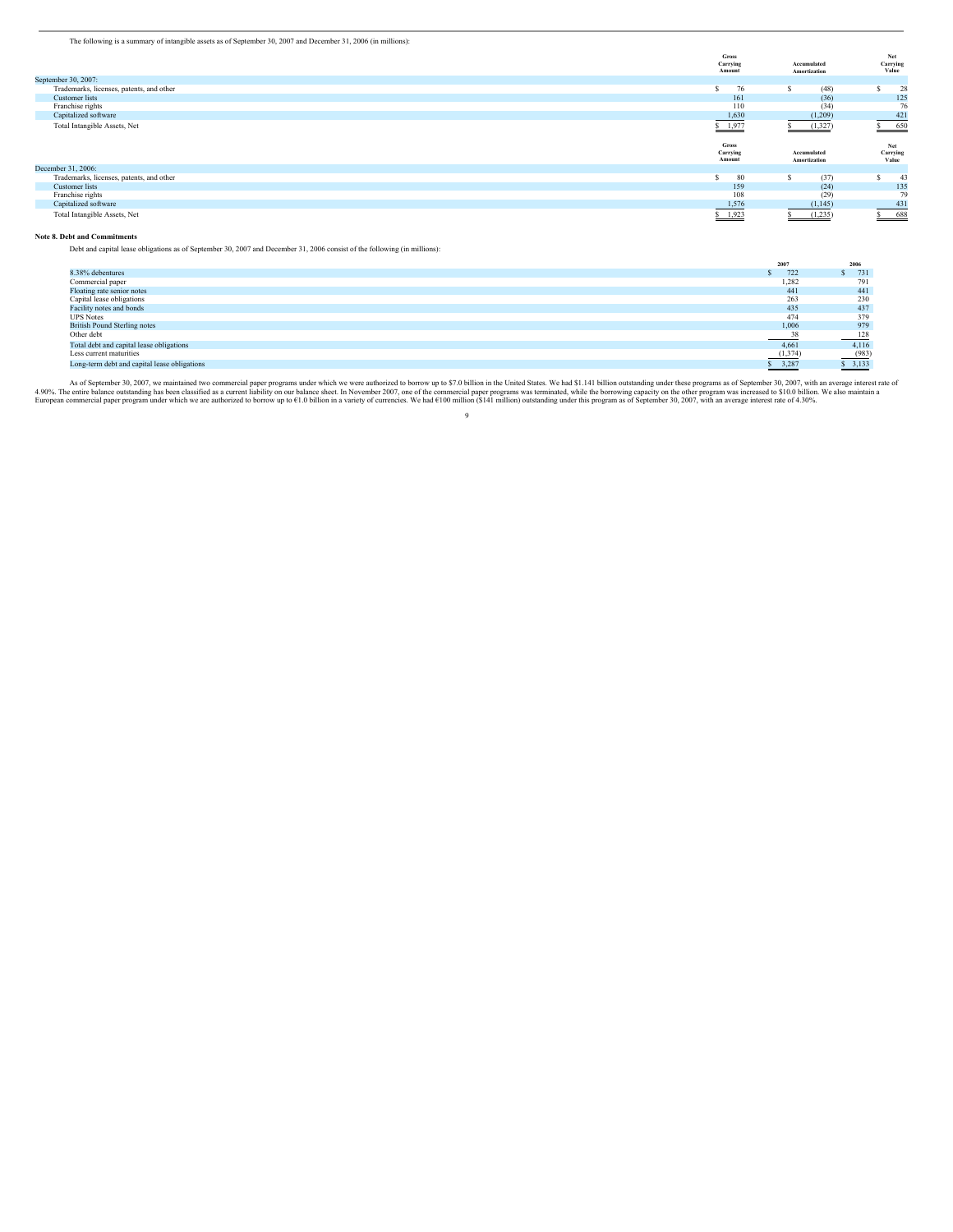The following is a summary of intangible assets as of September 30, 2007 and December 31, 2006 (in millions):

|                                          | <b>Gross</b><br>Carrying<br>Amount | Accumulated<br>Amortization | Net<br>Carrying<br>Value |
|------------------------------------------|------------------------------------|-----------------------------|--------------------------|
| September 30, 2007:                      |                                    |                             |                          |
| Trademarks, licenses, patents, and other | 76                                 | (48)                        | 28                       |
| Customer lists                           | 161                                | (36)                        | 125                      |
| Franchise rights                         | 110                                | (34)                        | 76                       |
| Capitalized software                     | 1,630                              | (1, 209)                    | 421<br><b>STATISTICS</b> |
| Total Intangible Assets, Net             | \$1,977                            | (1, 327)                    | \$ 650                   |
|                                          |                                    |                             |                          |
|                                          | <b>Gross</b><br>Carrying<br>Amount | Accumulated<br>Amortization | Net<br>Carrying<br>Value |
| December 31, 2006:                       |                                    |                             |                          |
| Trademarks, licenses, patents, and other | 80                                 | (37)                        | 43                       |
| Customer lists                           | 159                                | (24)                        | 135                      |
| Franchise rights                         | 108                                | (29)                        | 79                       |
| Capitalized software                     | 1,576                              | (1, 145)                    | 431                      |

#### **Note 8. Debt and Commitments**

Debt and capital lease obligations as of September 30, 2007 and December 31, 2006 consist of the following (in millions):

|                                              | 2007    | 2006  |
|----------------------------------------------|---------|-------|
| 8.38% debentures                             | 722     | 731   |
| Commercial paper                             | 1,282   | 791   |
| Floating rate senior notes                   | 441     | 441   |
| Capital lease obligations                    | 263     | 230   |
| Facility notes and bonds                     | 435     | 437   |
| <b>UPS Notes</b>                             | 474     | 379   |
| <b>British Pound Sterling notes</b>          | 1,006   | 979   |
| Other debt                                   | -38     | 128   |
| Total debt and capital lease obligations     | 4,661   | 4,116 |
| Less current maturities                      | (1,374) | (983) |
| Long-term debt and capital lease obligations | 3,287   | 3,133 |

As of September 30, 2007, we maintained two commercial paper programs under which we were authorized to borrow up to \$7.0 billion in the United States. We had \$1.141 billion outstanding under these programs as of September 9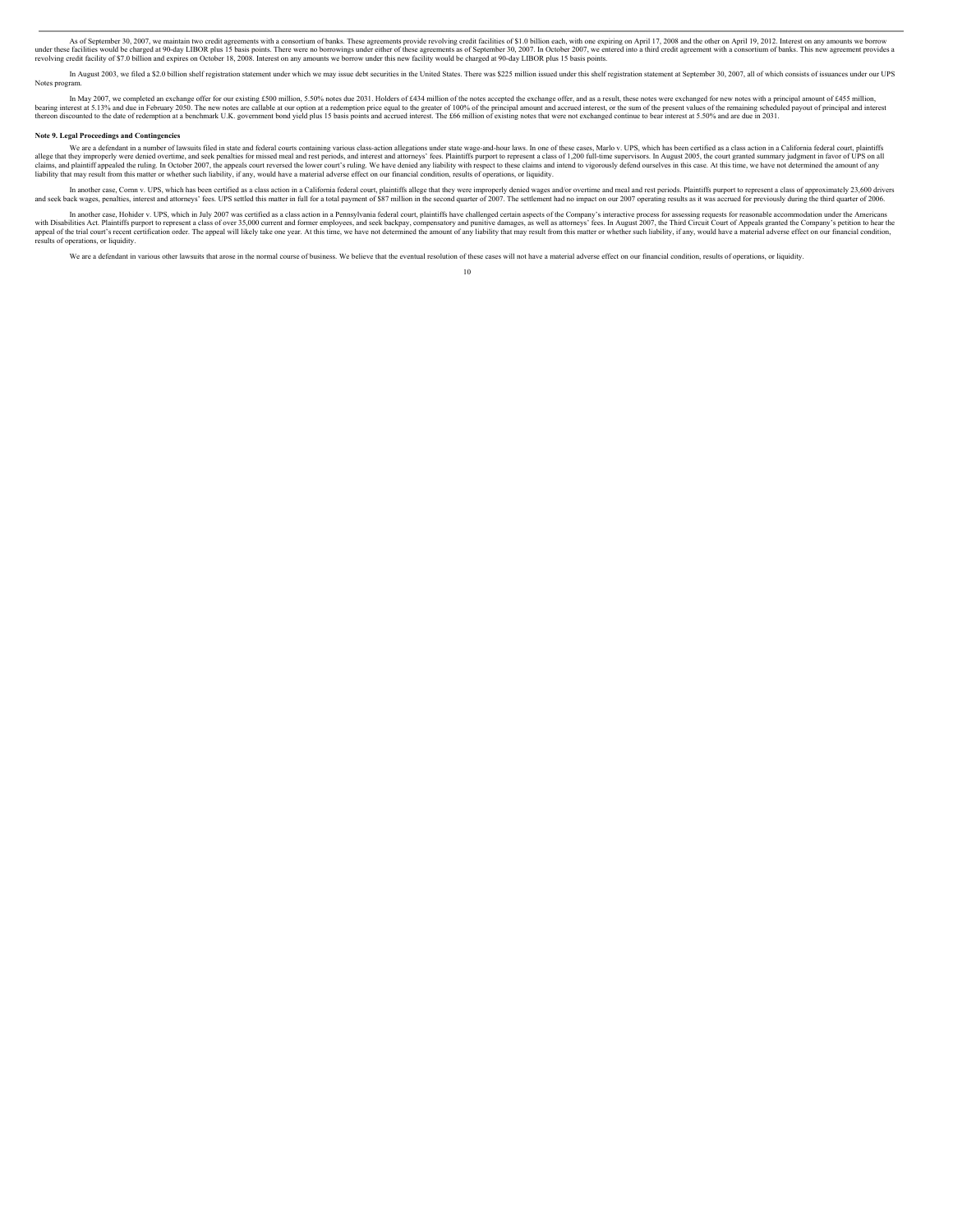As of September 30, 2007, we maintain two credit agreements with a consortium of banks. These agreements provide revolving credit facilities of \$1.0 billion each, with one expiring on April 17, 2008 and the other on April

In August 2003, we filed a \$2.0 billion shelf registration statement under which we may issue debt securities in the United States. There was \$225 million issued under this shelf registration statement at September 30, 200 Notes program.

In May 2007, we completed an exchange offer for our existing £500 million, 5.50% notes due 2031. Holders of £434 million of the notes accepted the exchange offer, and as a result, these notes were exchanged for new notes w

#### **Note 9. Legal Proceedings and Contingencies**

We are a defendant in a number of lawsuits filed in state and federal counts containing various class-action allegations under state wage-and-hour laws. In one of these cases, Marlo v. UPS, which has been certified as a cl liability that may result from this matter or whether such liability, if any, would have a material adverse effect on our financial condition, results of operations, or liquidity.

In another case, Com v, UPS, which has been certified as a class as closic as ition in a California federal court, plaintifis allege that they were improperly denis cases. CDS settled this matter in full for a total paymen

In another case, Hohider v. UPS, which in July 2007 was certified as a class action in a Pennsylvania federal court, plaintiffs have challenged certain aspects of the Company's interactive process for assessing requests fo with Disabilities Act. Plaintiffs purport to represent a class of over 35,000 current and former employees, and seek backpay, compensatory and punitive damages, as well as attorneys' fees. In August 2007, the Third Circuit

We are a defendant in various other lawsuits that arose in the normal course of business. We believe that the eventual resolution of these cases will not have a material adverse effect on our financial condition, results o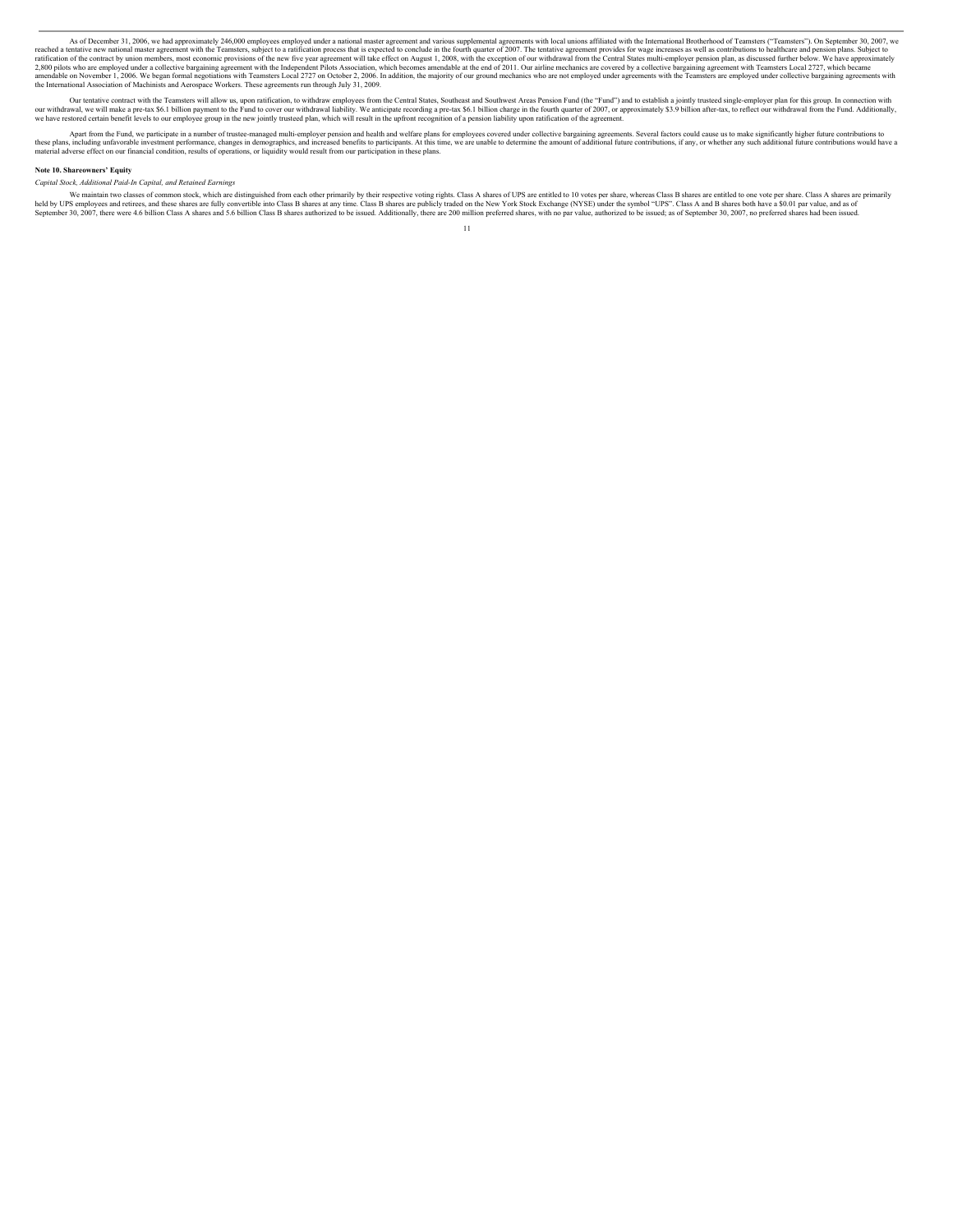As of December 31, 2006, we had approximately 246,000 employees employed under a rational master agreement and various supplemental agreements with local unions affiliated with the International Brotherhood of Teamsters ("

Our tentative contract with the Teamsters will allow us, upon ratification, to withdraw employees from the Central States, Southeast and Southwest Areas Pension Fund (the "Fund") and to establish a jointly trusteed single-

Apart from the Fund, we participate in a number of trustee-managed multi-employer pension and health and welfare plans for employes covered under collective bargaining agreements. Several factors could cause us to make sig

#### **Note 10. Shareowners' Equity**

*Capital Stock, Additional Paid-In Capital, and Retained Earnings*

We maintain two classes of common stock, which are distinguished from each other primarily by their respective voting rights. Class A shares of UPS are entitled to 10 votes per share, whereas Class B shares are entitled to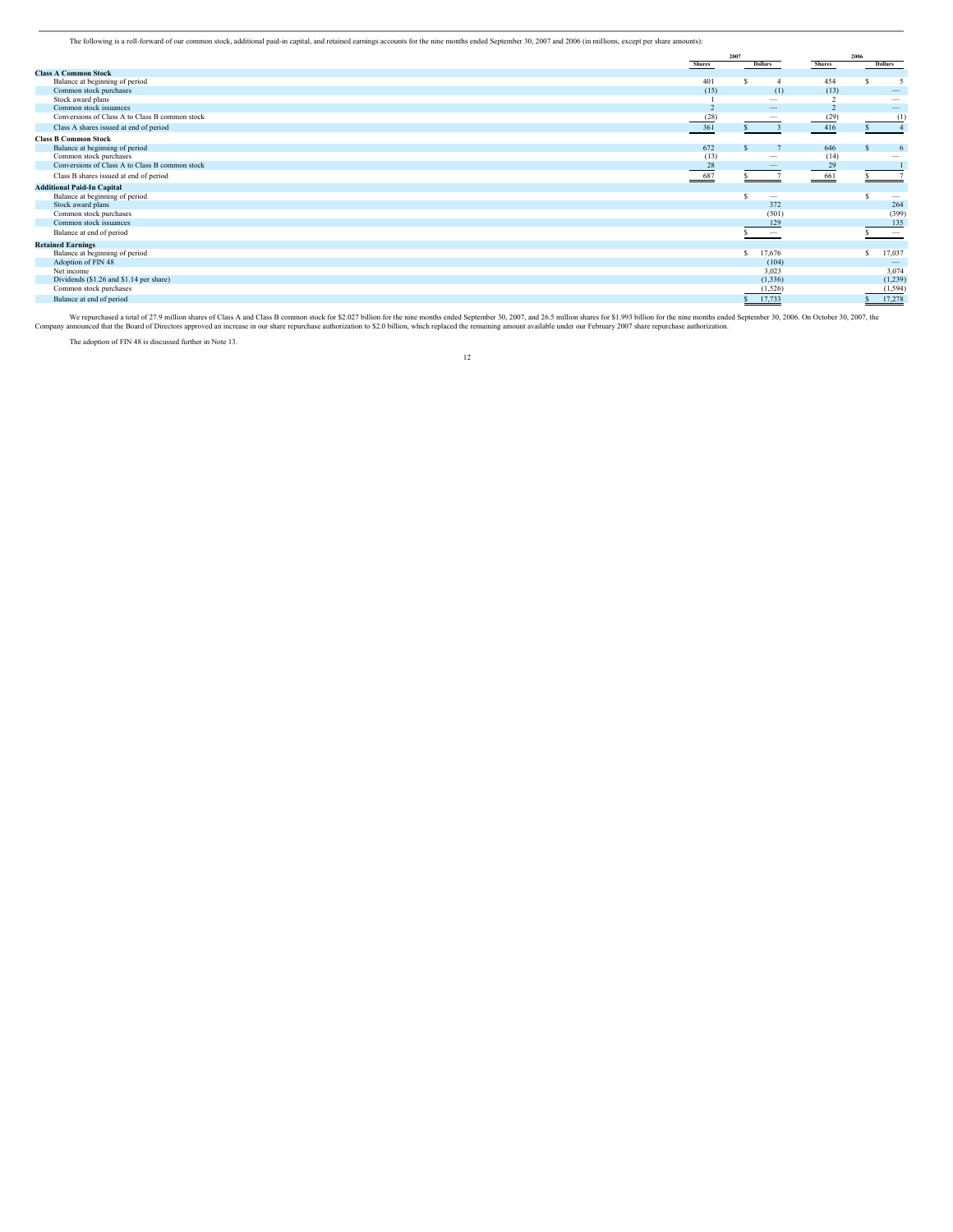The following is a roll-forward of our common stock, additional paid-in capital, and retained earnings accounts for the nine months ended September 30, 2007 and 2006 (in millions, except per share amounts):

|                                                |                                          | 2007                                  |               | 2006 |                                 |
|------------------------------------------------|------------------------------------------|---------------------------------------|---------------|------|---------------------------------|
|                                                | <b>Shares</b>                            | <b>Dollars</b>                        | <b>Shares</b> |      | <b>Dollars</b>                  |
| <b>Class A Common Stock</b>                    |                                          |                                       |               |      |                                 |
| Balance at beginning of period                 | 401                                      |                                       | 454           |      |                                 |
| Common stock purchases                         | (15)                                     | (1)                                   | (13)          |      | $\qquad \qquad -$               |
| Stock award plans                              |                                          |                                       |               |      | $\overline{\phantom{a}}$        |
| Common stock issuances                         |                                          | $\qquad \qquad -$                     |               |      | $\qquad \qquad -$               |
| Conversions of Class A to Class B common stock | (28)                                     | $\overline{\phantom{a}}$              | (29)          |      | (1)                             |
| Class A shares issued at end of period         | 361<br>and the state of the state of the |                                       | 416           |      |                                 |
| <b>Class B Common Stock</b>                    |                                          |                                       |               |      |                                 |
| Balance at beginning of period                 | 672                                      |                                       | 646           |      | 6                               |
| Common stock purchases                         | (13)                                     | $\overline{\phantom{a}}$              | (14)          |      |                                 |
| Conversions of Class A to Class B common stock | $28\,$                                   |                                       | 29            |      |                                 |
| Class B shares issued at end of period         | 687                                      |                                       | 661           |      |                                 |
| <b>Additional Paid-In Capital</b>              |                                          |                                       |               |      |                                 |
| Balance at beginning of period                 |                                          | -S<br>$\hspace{0.1mm}-\hspace{0.1mm}$ |               |      | $\hspace{0.1mm}-\hspace{0.1mm}$ |
| Stock award plans                              |                                          | 372                                   |               |      | 264                             |
| Common stock purchases                         |                                          | (501)                                 |               |      | (399)                           |
| Common stock issuances                         |                                          | 129                                   |               |      | 135                             |
| Balance at end of period                       |                                          | $\hspace{0.1mm}-\hspace{0.1mm}$       |               |      | $\hspace{0.1mm}-\hspace{0.1mm}$ |
| <b>Retained Earnings</b>                       |                                          |                                       |               |      |                                 |
| Balance at beginning of period                 |                                          | 17,676<br>s                           |               | s    | 17,037                          |
| Adoption of FIN 48                             |                                          | (104)                                 |               |      | $\hspace{0.1mm}-\hspace{0.1mm}$ |
| Net income                                     |                                          | 3,023                                 |               |      | 3,074                           |
| Dividends (\$1.26 and \$1.14 per share)        |                                          | (1, 336)                              |               |      | (1,239)                         |
| Common stock purchases                         |                                          | (1, 526)                              |               |      | (1, 594)                        |
| Balance at end of period                       |                                          | 17,733<br>$\mathbf{r}$                |               |      | 17,278                          |
|                                                |                                          |                                       |               |      |                                 |

We repurchased a total of 27.9 million shares of Class A and Class B common stock for \$2.027 billion for the inne months ended September 30, 2006. On October 30, 2006. On October 30, 2007, the common states and compare in

The adoption of FIN 48 is discussed further in Note 13.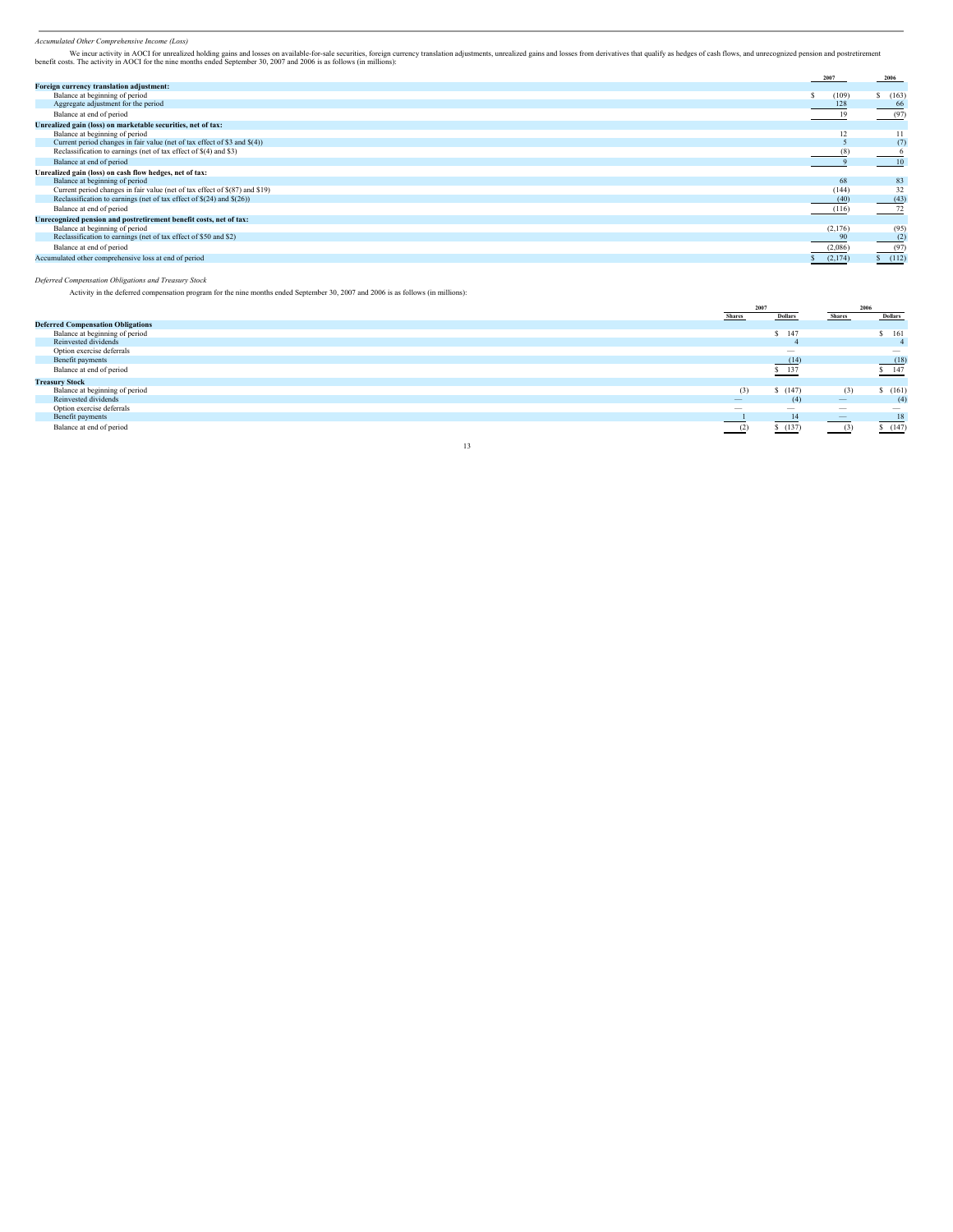*Accumulated Other Comprehensive Income (Loss)*

We incur activity in AOCI for unrealized holding gains and losses on available-for-sale securities, foreign currency translation adjustments, unrealized gains and losses from derivatives that qualify as hedges of cash flow

|                                                                             | 2007 |          | 2006     |
|-----------------------------------------------------------------------------|------|----------|----------|
| Foreign currency translation adjustment:                                    |      |          |          |
| Balance at beginning of period                                              |      | (109)    | \$ (163) |
| Aggregate adjustment for the period                                         |      |          | 66       |
| Balance at end of period                                                    |      |          | (97)     |
| Unrealized gain (loss) on marketable securities, net of tax:                |      |          |          |
| Balance at beginning of period                                              |      |          | 11       |
| Current period changes in fair value (net of tax effect of \$3 and \$(4))   |      |          | (7)      |
| Reclassification to earnings (net of tax effect of \$(4) and \$3)           |      |          |          |
| Balance at end of period                                                    |      |          | 10       |
| Unrealized gain (loss) on cash flow hedges, net of tax:                     |      |          |          |
| Balance at beginning of period                                              |      | 68       | 83       |
| Current period changes in fair value (net of tax effect of \$(87) and \$19) |      | (144)    | 32       |
| Reclassification to earnings (net of tax effect of $$(24)$ and $$(26)$ )    |      | (40)     | (43)     |
| Balance at end of period                                                    |      | (116)    | 72       |
| Unrecognized pension and postretirement benefit costs, net of tax:          |      |          |          |
| Balance at beginning of period                                              |      | (2, 176) | (95)     |
| Reclassification to earnings (net of tax effect of \$50 and \$2)            |      |          | (2)      |
| Balance at end of period                                                    |      | (2,086)  | (97)     |
| Accumulated other comprehensive loss at end of period                       |      | (2,174)  | (112)    |

*Deferred Compensation Obligations and Treasury Stock* Activity in the deferred compensation program for the nine months ended September 30, 2007 and 2006 is as follows (in millions):

|                                          | 2007                            |                          | 2006                     |                                 |
|------------------------------------------|---------------------------------|--------------------------|--------------------------|---------------------------------|
|                                          | <b>Shares</b>                   | <b>Dollars</b>           | <b>Shares</b>            | <b>Dollars</b>                  |
| <b>Deferred Compensation Obligations</b> |                                 |                          |                          |                                 |
| Balance at beginning of period           |                                 | $S$ 147                  |                          | \$161                           |
| Reinvested dividends                     |                                 |                          |                          |                                 |
| Option exercise deferrals                |                                 | $\overline{\phantom{a}}$ |                          | $\overline{\phantom{a}}$        |
| Benefit payments                         |                                 | (14)                     |                          | (18)                            |
| Balance at end of period                 |                                 | $S$ 137<br>$\sim$ $\sim$ |                          | \$147                           |
| <b>Treasury Stock</b>                    |                                 |                          |                          |                                 |
| Balance at beginning of period           | (3)                             | 5(147)                   | (3)                      | (161)                           |
| Reinvested dividends                     | $\overline{\phantom{m}}$        | (4)                      |                          | (4)                             |
| Option exercise deferrals                | $\hspace{0.1mm}-\hspace{0.1mm}$ | $\overline{\phantom{a}}$ | $\overline{\phantom{a}}$ | $\hspace{0.1mm}-\hspace{0.1mm}$ |
| Benefit payments                         |                                 | 14                       | $-$                      | 18                              |
| Balance at end of period                 |                                 | (137)                    |                          | S(147)                          |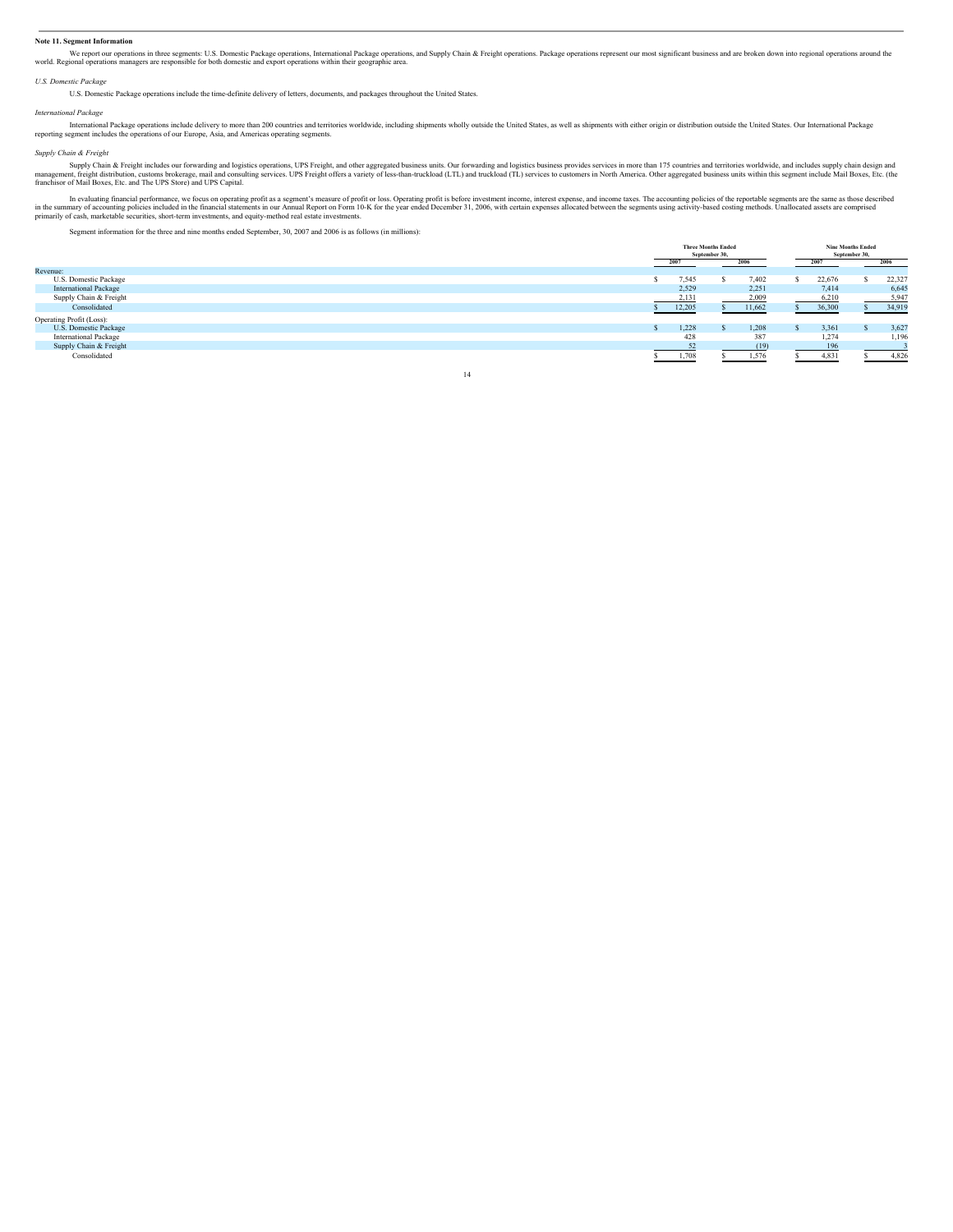## **Note 11. Segment Information**

We report our operations in three segments: U.S. Domestic Package operations, International Package operations, and Supply Chain & Freight operations. Package operations represent our most significant business and are brok

#### *U.S. Domestic Package*

U.S. Domestic Package operations include the time-definite delivery of letters, documents, and packages throughout the United States.

#### *International Package*

International Package operations include delivery to more than 200 countries and territories worldwide, including shipments wholly outside the United States, as well as shipments with either origin or distribution outside

#### *Supply Chain & Freight*

Supply Chain & Freight includes our forwarding and logistics operations, UPS Freight, and other aggregated business units. Our forwarding and olgistics business provides services in more than 175 countries and territories

In evaluating financial performance, we focus on operating profit as a segment's measure of profit or loss. Operating profit is before investment income, interest expense, and income axes. The accounting policies of the re

Segment information for the three and nine months ended September, 30, 2007 and 2006 is as follows (in millions):

|                              | <b>Three Months Ended</b><br>September 30, |  | <b>Nine Months Ended</b><br>September 30, |  |        |  |        |
|------------------------------|--------------------------------------------|--|-------------------------------------------|--|--------|--|--------|
|                              | 2007                                       |  | 2006                                      |  | 2007   |  | 2006   |
| Revenue:                     |                                            |  |                                           |  |        |  |        |
| U.S. Domestic Package        | 7,545                                      |  | 7,402                                     |  | 22,676 |  | 22,327 |
| <b>International Package</b> | 2,529                                      |  | 2,251                                     |  | 7,414  |  | 6,645  |
| Supply Chain & Freight       | 2,131                                      |  | 2,009                                     |  | 6,210  |  | 5,947  |
| Consolidated                 | 12,205                                     |  | 11,662                                    |  | 36,300 |  | 34,919 |
| Operating Profit (Loss):     |                                            |  |                                           |  |        |  |        |
| U.S. Domestic Package        | 1.228                                      |  | 1.208                                     |  | 3,361  |  | 3,627  |
| <b>International Package</b> | 428                                        |  | 387                                       |  | 1,274  |  | 1,196  |
| Supply Chain & Freight       | 52                                         |  | (19)                                      |  | 196    |  |        |
| Consolidated                 | 1,708                                      |  | 1,576                                     |  | 4,831  |  | 4,826  |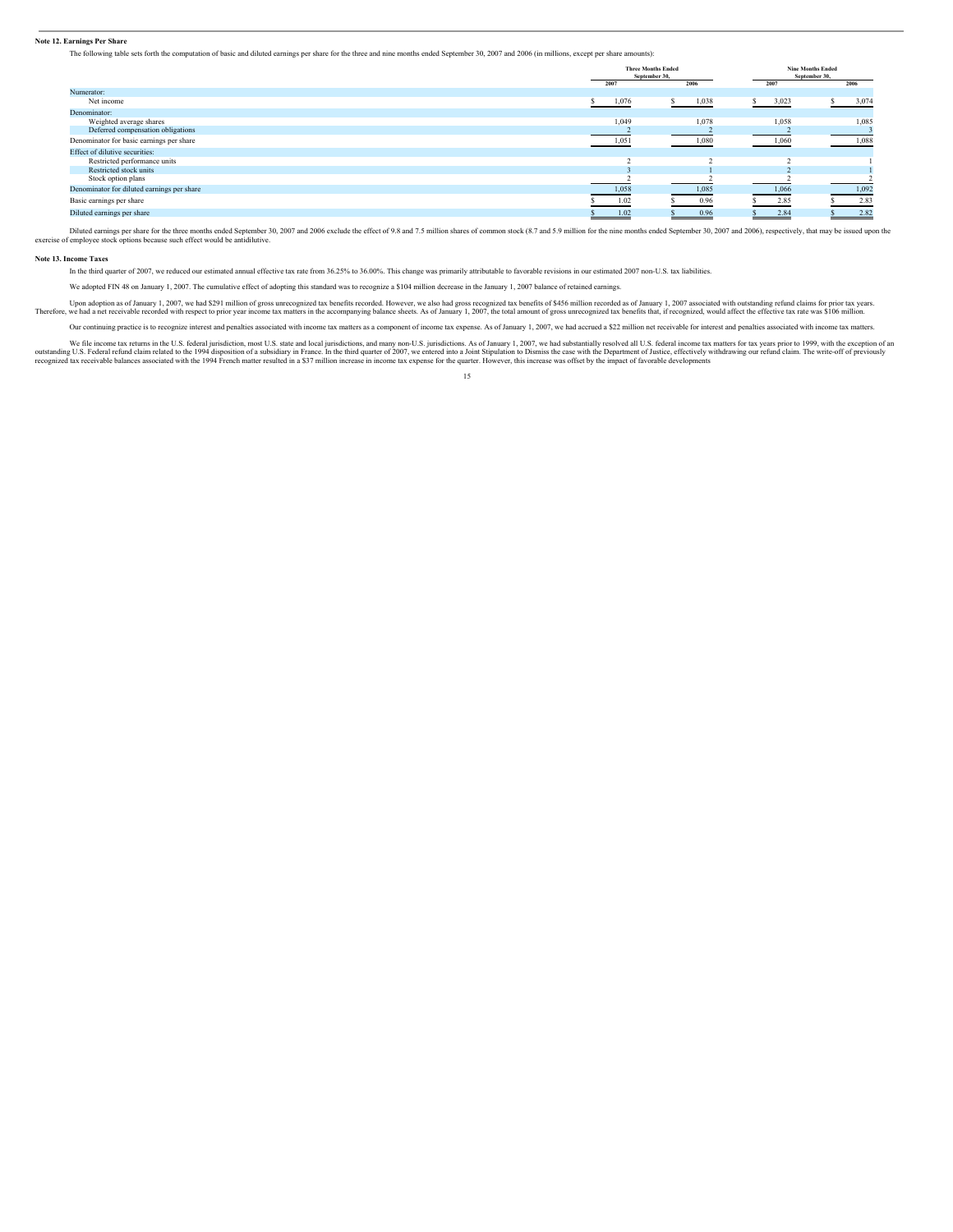#### **Note 12. Earnings Per Share**

The following table sets forth the computation of basic and diluted earnings per share for the three and nine months ended September 30, 2007 and 2006 (in millions, except per share amounts):

|                                            |       | <b>Three Months Ended</b><br>September 30, | <b>Nine Months Ended</b><br>September 30, |                                  |  |
|--------------------------------------------|-------|--------------------------------------------|-------------------------------------------|----------------------------------|--|
|                                            | 2007  | 2006                                       | 2007                                      | 2006                             |  |
| Numerator:                                 |       |                                            |                                           |                                  |  |
| Net income                                 | 1,076 | 1,038                                      | 3,023                                     | 3,074                            |  |
| Denominator:                               |       |                                            |                                           |                                  |  |
| Weighted average shares                    | 1.049 | 1,078                                      | 1,058                                     | 1,085                            |  |
| Deferred compensation obligations          |       |                                            |                                           |                                  |  |
| Denominator for basic earnings per share   | 1,051 | 1,080                                      | 1,060                                     | 1,088                            |  |
| Effect of dilutive securities:             |       |                                            |                                           |                                  |  |
| Restricted performance units               |       |                                            |                                           |                                  |  |
| Restricted stock units                     |       |                                            |                                           |                                  |  |
| Stock option plans                         |       |                                            |                                           |                                  |  |
| Denominator for diluted earnings per share | 1,058 | 1,085                                      | 1,066                                     | 1,092                            |  |
| Basic earnings per share                   | 1.02  | 0.96                                       | 2.85                                      | 2.83                             |  |
| Diluted earnings per share                 | 1.02  | 0.96                                       | 2.84                                      | 2.82<br>$\overline{\phantom{a}}$ |  |

Diluted carnings per share for the months ended September 30, 2007 and 2006 exclude the effect of 9.8 and 7.5 million shares of common stock (8.7 and 5.9 million for the nine months ended September 30, 2007 and 2006), resp

#### **Note 13. Income Taxes**

In the third quarter of 2007, we reduced our estimated annual effective tax rate from 36.25% to 36.00%. This change was primarily attributable to favorable revisions in our estimated 2007 non-U.S. tax liabilities.

We adopted FIN 48 on January 1, 2007. The cumulative effect of adopting this standard was to recognize a \$104 million decrease in the January 1, 2007 balance of retained earnings.

Upon adoption as of January 1, 2007, we had \$291 million of gross unrecognized tax benefits recorded. However, we also had gross recognized tax hosters in the accompanying balance sheets. As of January 1, 2007, the total a Our continuing practice is to recognize interest and penalties associated with income tax matters as a component of income tax expense. As of January 1, 2007, we had accrued a \$22 million net receivable for interest and pe

We file income tax returns in the U.S. federal jurisdiction, most U.S. state and local jurisdictions, and many non-U.S. jurisdictions. As of January 1, 2007, we had substantially resolved all U.S. federal income tax matter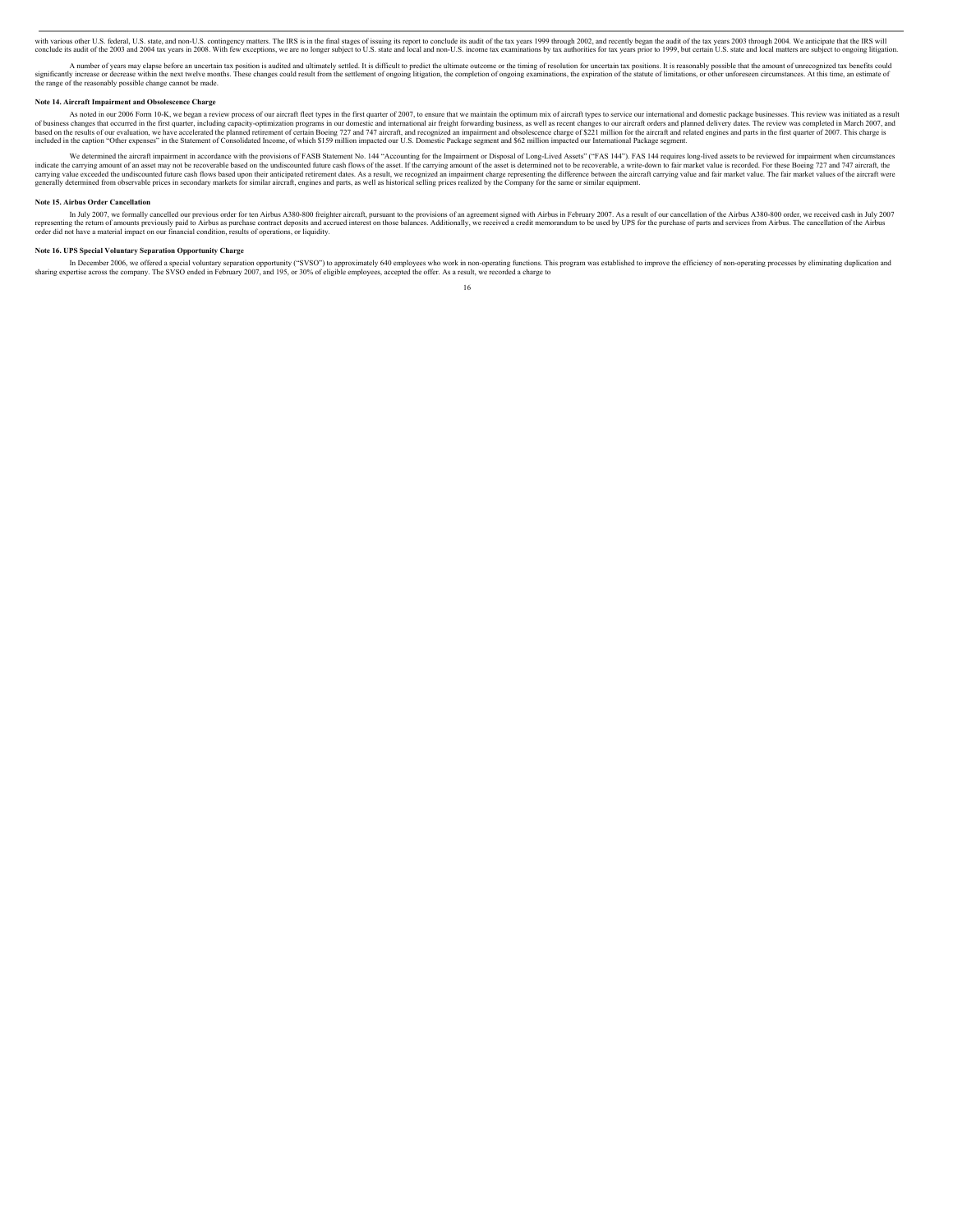with various other U.S. stater, and non-U.S. contingency matters. The IRS is in the final stages of issuing its report to conclude its audit of the custom encel and non-U.S. income target and hocal and non-U.S. income tax

A number of years my elapse before an uncertain tax position is autiled and ultimately settled. It is difficult to predict the ultimate or che timing of resolution for uncertain tax position for uncertain the position of o the range of the reasonably possible change cannot be made.

#### **Note 14. Aircraft Impairment and Obsolescence Charge**

As noted in our 2006 Form 10-K, we began a review process of our aircraft fleet types in the first quarter of 2007, to ensure that we maintain the optimum mix of aircraft types to service our international and domestic pac

We determined the aircraft impairment in accordance with the provisions of FASB Statement No. 144 "Accounting for the Impairment or Disposal of Long-Lived Assets" ("FAS 144"). FAS 144 requires long-lived assets to be revie

#### **Note 15. Airbus Order Cancellation**

In July 2007, we formally cancelled our previous order for ten Airbus A380-800 freighter aircraft, pursuant to the provisions of an agreement signed with Airbus in February 2007. As a result of our cancellation of the Airb

#### **Note 16. UPS Special Voluntary Separation Opportunity Charge**

In December 2006, we offered a special voluntary separation opportunity ("SVSO") to approximately 640 employees who work in non-operating emcitos. This program was established to improve the efficiency of non-operating pro 16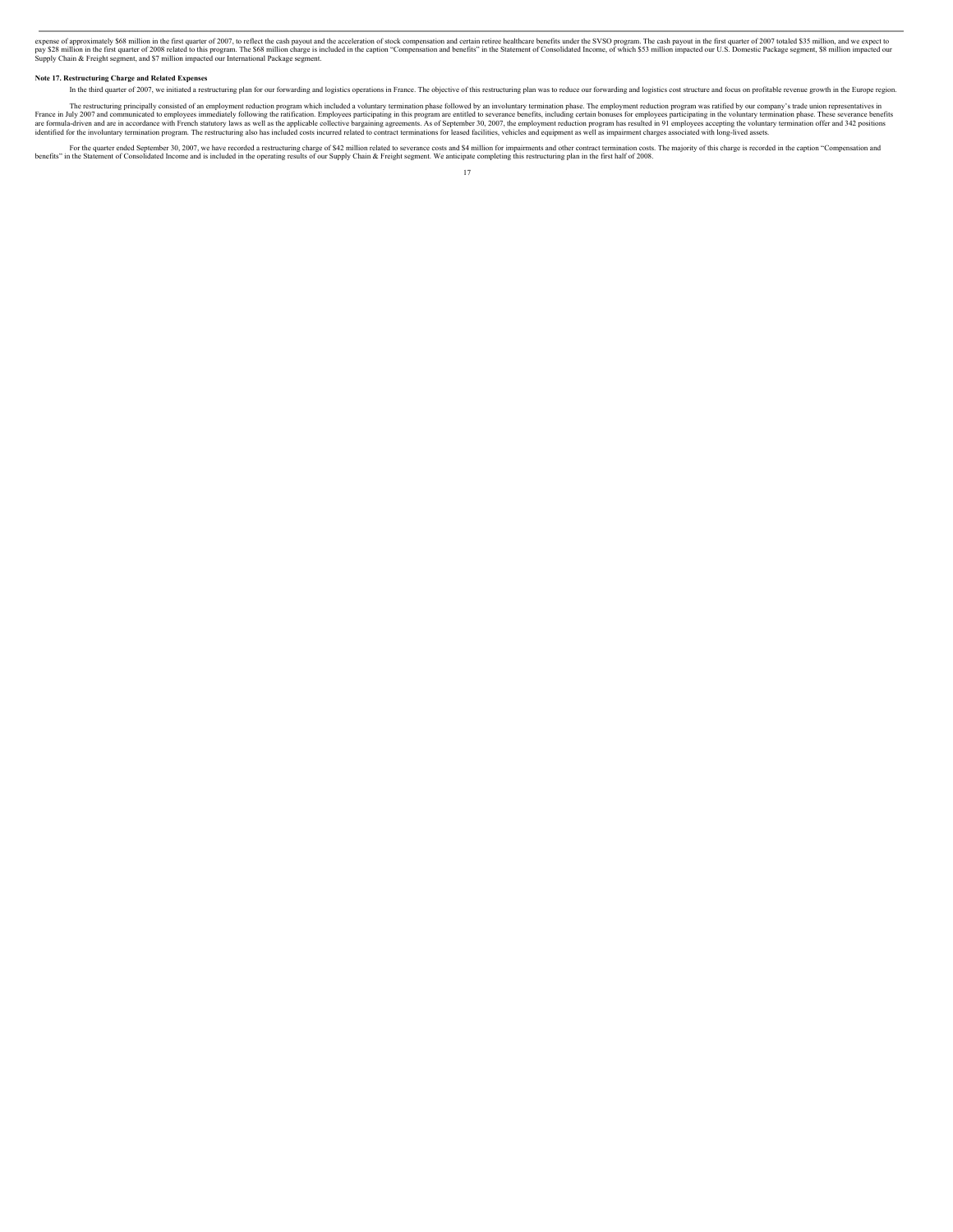expense of approximately \$68 million in the first quarter of 2007, to reflect the cash payout and the acceleration of stock compensation and certain retiree healthcare benefits under the SVSO program. The cash payout in th

## **Note 17. Restructuring Charge and Related Expenses**

In the third quarter of 2007, we initiated a restructuring plan for our forwarding and logistics operations in France. The objective of this restructuring plan was to reduce our forwarding and logistics cost structure and

The restructuring principally consisted of an employment reduction program which included a voluntary termination phase followed by an involuntary termination phase. The employment reduction program was ratified by our com

For the quarter ended September 30, 2007, we have recorded a restructuring charge of \$42 million related to severance costs and \$41 million for impairments and other content termination costs. The majority of this charge i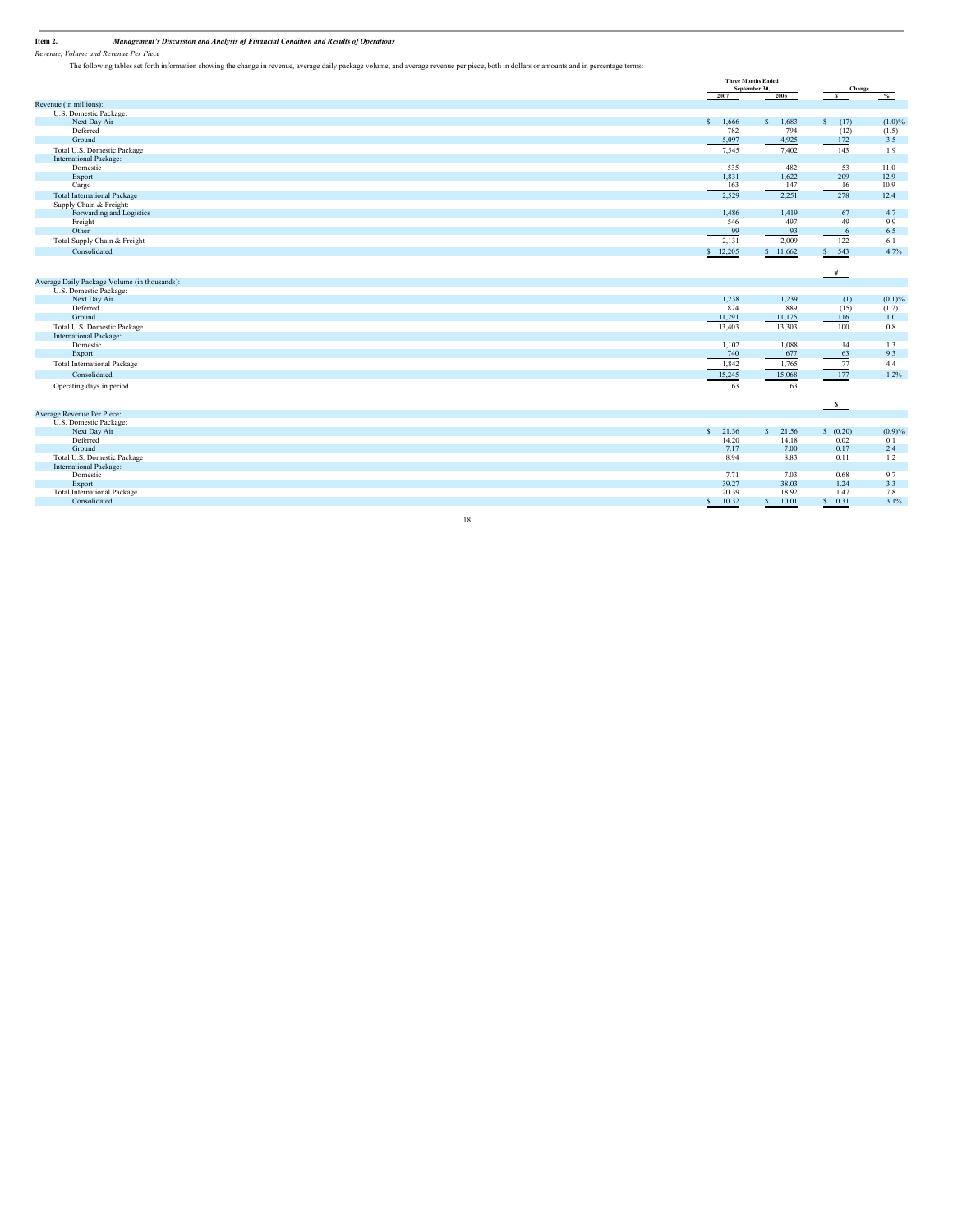**Item 2.** Management's Discussion and Analysis of Financial Condition and Results of Operations<br>Revenue, Volume and Revenue Per Piece

The following tables set forth information showing the change in revenue, average daily package volume, and average revenue per piece, both in dollars or amounts and in percentage terms:

|                                              |                       | <b>Three Months Ended</b><br>September 30, |                         | Change    |  |
|----------------------------------------------|-----------------------|--------------------------------------------|-------------------------|-----------|--|
|                                              | 2007                  | 2006                                       | $\overline{\mathbf{s}}$ | $\%$      |  |
| Revenue (in millions):                       |                       |                                            |                         |           |  |
| U.S. Domestic Package:                       |                       |                                            |                         |           |  |
| Next Day Air                                 | \$1,666               | \$1,683                                    | $S = (17)$              | $(1.0)\%$ |  |
| Deferred                                     | 782                   | 794                                        | (12)                    | (1.5)     |  |
| Ground                                       | 5,097                 | 4,925                                      | 172                     | 3.5       |  |
| Total U.S. Domestic Package                  | 7,545                 | 7,402                                      | 143                     | 1.9       |  |
| International Package:                       |                       |                                            |                         |           |  |
| Domestic                                     | 535                   | 482                                        | 53                      | 11.0      |  |
| Export                                       | 1.831                 | 1.622                                      | 209                     | 12.9      |  |
| Cargo                                        | 163                   | 147                                        | 16                      | 10.9      |  |
| <b>Total International Package</b>           | 2,529                 | 2,251                                      | 278                     | 12.4      |  |
| Supply Chain & Freight:                      |                       |                                            |                         |           |  |
| Forwarding and Logistics                     | 1,486                 | 1,419                                      | 67                      | 4.7       |  |
| Freight                                      | 546                   | 497                                        | 49                      | 9.9       |  |
| Other                                        | 99                    | 93                                         | 6                       | 6.5       |  |
| Total Supply Chain & Freight                 | 2,131                 | 2,009                                      | 122                     | 6.1       |  |
| Consolidated                                 | \$12,205              | \$11,662                                   | \$543                   | 4.7%      |  |
|                                              |                       |                                            |                         |           |  |
|                                              |                       |                                            |                         |           |  |
|                                              |                       |                                            | #                       |           |  |
| Average Daily Package Volume (in thousands): |                       |                                            |                         |           |  |
| U.S. Domestic Package:                       |                       |                                            |                         |           |  |
| Next Day Air                                 | 1,238                 | 1,239                                      | (1)                     | (0.1)%    |  |
| Deferred                                     | 874                   | 889                                        | (15)                    | (1.7)     |  |
| Ground                                       | 11,291                | 11,175                                     | 116                     | 1.0       |  |
| Total U.S. Domestic Package                  | 13,403                | 13,303                                     | 100                     | $0.8\,$   |  |
| <b>International Package:</b>                |                       |                                            |                         |           |  |
| Domestic                                     | 1,102                 | 1,088                                      | 14                      | 1.3       |  |
| Export                                       | 740                   | 677                                        | 63                      | 9.3       |  |
| <b>Total International Package</b>           | 1,842                 | 1,765                                      | 77                      | 4.4       |  |
| Consolidated                                 | 15,245                | 15,068                                     | 177                     | 1.2%      |  |
|                                              |                       |                                            |                         |           |  |
| Operating days in period                     | 63                    | 63                                         |                         |           |  |
|                                              |                       |                                            |                         |           |  |
|                                              |                       |                                            | $\sim$ s                |           |  |
| Average Revenue Per Piece:                   |                       |                                            |                         |           |  |
| U.S. Domestic Package:                       |                       |                                            |                         |           |  |
| Next Day Air                                 | $\mathbf{s}$<br>21.36 | \$ 21.56                                   | \$ (0.20)               | (0.9)%    |  |
| Deferred                                     | 14.20                 | 14.18                                      | 0.02                    | 0.1       |  |
| Ground                                       | 7.17                  | 7.00                                       | 0.17                    | 2.4       |  |
| Total U.S. Domestic Package                  | 8.94                  | 8.83                                       | 0.11                    | 1.2       |  |
| International Package:                       |                       |                                            |                         |           |  |
| Domestic                                     | 7.71                  | 7.03                                       | 0.68                    | 9.7       |  |
| Export                                       | 39.27                 | 38.03                                      | 1.24                    | 3.3       |  |
| <b>Total International Package</b>           | 20.39                 | 18.92                                      | 1.47                    | 7.8       |  |
| Consolidated                                 | 10.32<br>s.           | $\mathsf{s}$<br>10.01                      | 0.31<br>S               | 3.1%      |  |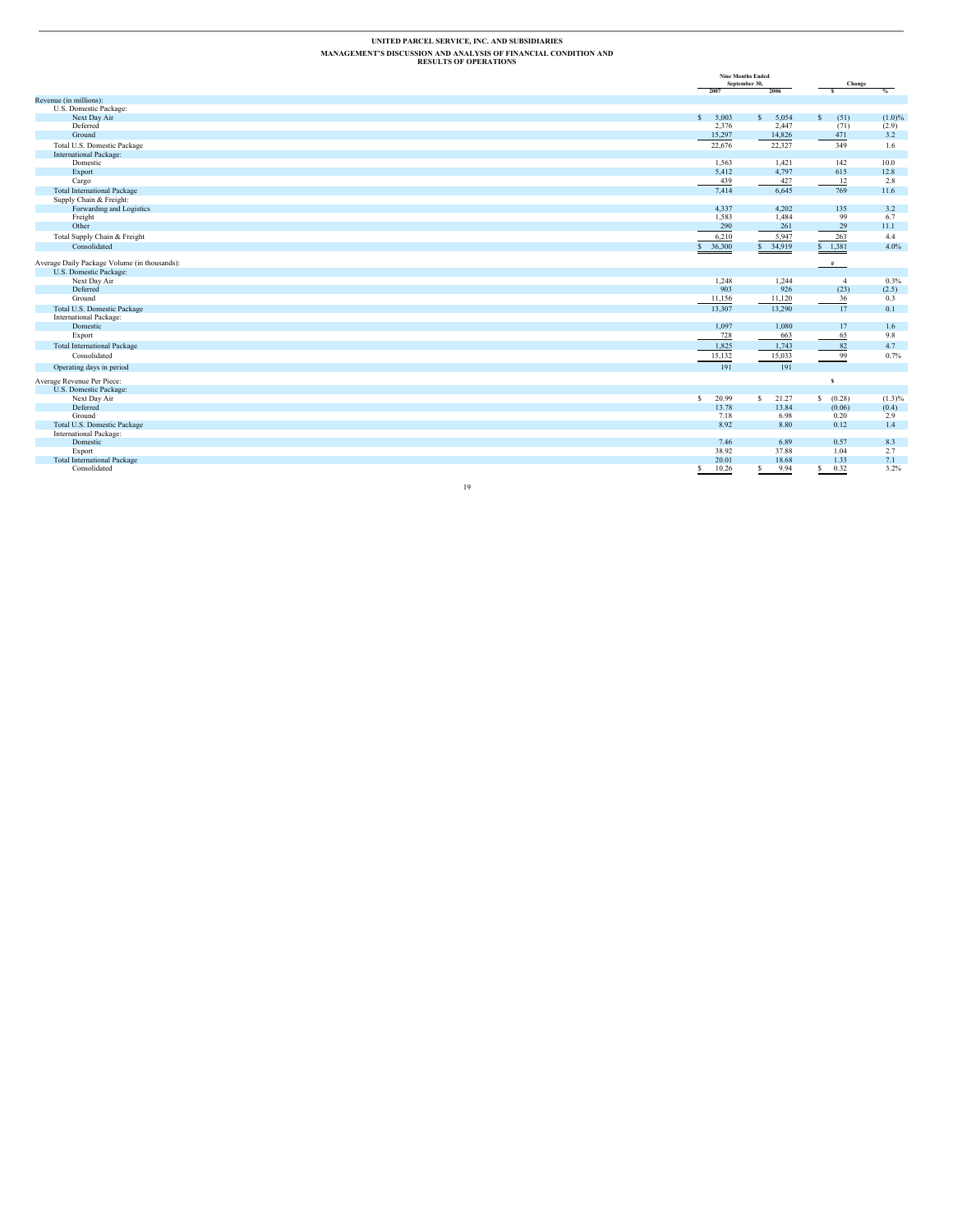|                                              |              | <b>Nine Months Ended</b><br>September 30, |                      | Change    |  |  |  |
|----------------------------------------------|--------------|-------------------------------------------|----------------------|-----------|--|--|--|
|                                              | 2007         | 2006                                      | $\mathbf{s}$         | %         |  |  |  |
| Revenue (in millions):                       |              |                                           |                      |           |  |  |  |
| U.S. Domestic Package:                       |              |                                           |                      |           |  |  |  |
| Next Day Air                                 | \$5,003      | S<br>5,054                                | $\mathbf{s}$<br>(51) | (1.0)%    |  |  |  |
| Deferred                                     | 2.376        | 2.447                                     | (71)                 | (2.9)     |  |  |  |
| Ground                                       | 15,297       | 14,826                                    | 471                  | 3.2       |  |  |  |
| Total U.S. Domestic Package                  | 22,676       | 22,327                                    | 349                  | 1.6       |  |  |  |
| International Package:                       |              |                                           |                      |           |  |  |  |
| Domestic                                     | 1,563        | 1,421                                     | 142                  | 10.0      |  |  |  |
| Export                                       | 5,412        | 4,797                                     | 615                  | 12.8      |  |  |  |
| Cargo                                        | 439          | 427                                       | 12                   | 2.8       |  |  |  |
| <b>Total International Package</b>           | 7,414        | 6,645                                     | 769                  | 11.6      |  |  |  |
| Supply Chain & Freight:                      |              |                                           |                      |           |  |  |  |
| Forwarding and Logistics                     | 4,337        | 4,202                                     | 135                  | 3.2       |  |  |  |
| Freight                                      | 1.583        | 1.484                                     | 99                   | 6.7       |  |  |  |
| Other                                        | 290          | 261                                       | 29                   | 11.1      |  |  |  |
| Total Supply Chain & Freight                 | 6,210        | 5,947                                     | 263                  | 4.4       |  |  |  |
| Consolidated                                 | 36,300<br>s. | \$34,919                                  | $S = 1,381$          | 4.0%      |  |  |  |
| Average Daily Package Volume (in thousands): |              |                                           | #                    |           |  |  |  |
| U.S. Domestic Package:                       |              |                                           |                      |           |  |  |  |
| Next Day Air                                 | 1,248        | 1,244                                     | $\overline{4}$       | 0.3%      |  |  |  |
| Deferred                                     | 903          | 926                                       | (23)                 | (2.5)     |  |  |  |
| Ground                                       | 11,156       | 11,120                                    | 36                   | 0.3       |  |  |  |
| Total U.S. Domestic Package                  | 13,307       | 13,290                                    | 17                   | 0.1       |  |  |  |
| International Package:                       |              |                                           |                      |           |  |  |  |
| Domestic                                     | 1,097        | 1.080                                     | 17                   | 1.6       |  |  |  |
| Export                                       | 728          | 663                                       | 65                   | 9.8       |  |  |  |
| <b>Total International Package</b>           | 1,825        | 1,743                                     | 82                   | 4.7       |  |  |  |
| Consolidated                                 | 15,132       | 15,033                                    | 99                   | 0.7%      |  |  |  |
| Operating days in period                     | 191          | 191                                       | $-$ 99               |           |  |  |  |
| Average Revenue Per Piece:                   |              |                                           | $\mathbf{s}$         |           |  |  |  |
| U.S. Domestic Package:                       |              |                                           |                      |           |  |  |  |
| Next Day Air                                 | s<br>20.99   | s<br>21.27                                | \$ (0.28)            | $(1.3)\%$ |  |  |  |
| Deferred                                     | 13.78        | 13.84                                     | (0.06)               | (0.4)     |  |  |  |
| Ground                                       | 7.18         | 6.98                                      | 0.20                 | 2.9       |  |  |  |
| Total U.S. Domestic Package                  | 8.92         | 8.80                                      | 0.12                 | 1.4       |  |  |  |
| International Package:                       |              |                                           |                      |           |  |  |  |
| Domestic                                     | 7.46         | 6.89                                      | 0.57                 | 8.3       |  |  |  |
| Export                                       | 38.92        | 37.88                                     | 1.04                 | 2.7       |  |  |  |
| <b>Total International Package</b>           | 20.01        | 18.68                                     | 1.33                 | 7.1       |  |  |  |
| Consolidated                                 | 10.26<br>s   | 9.94<br>s                                 | 0.32<br>s.           | 3.2%      |  |  |  |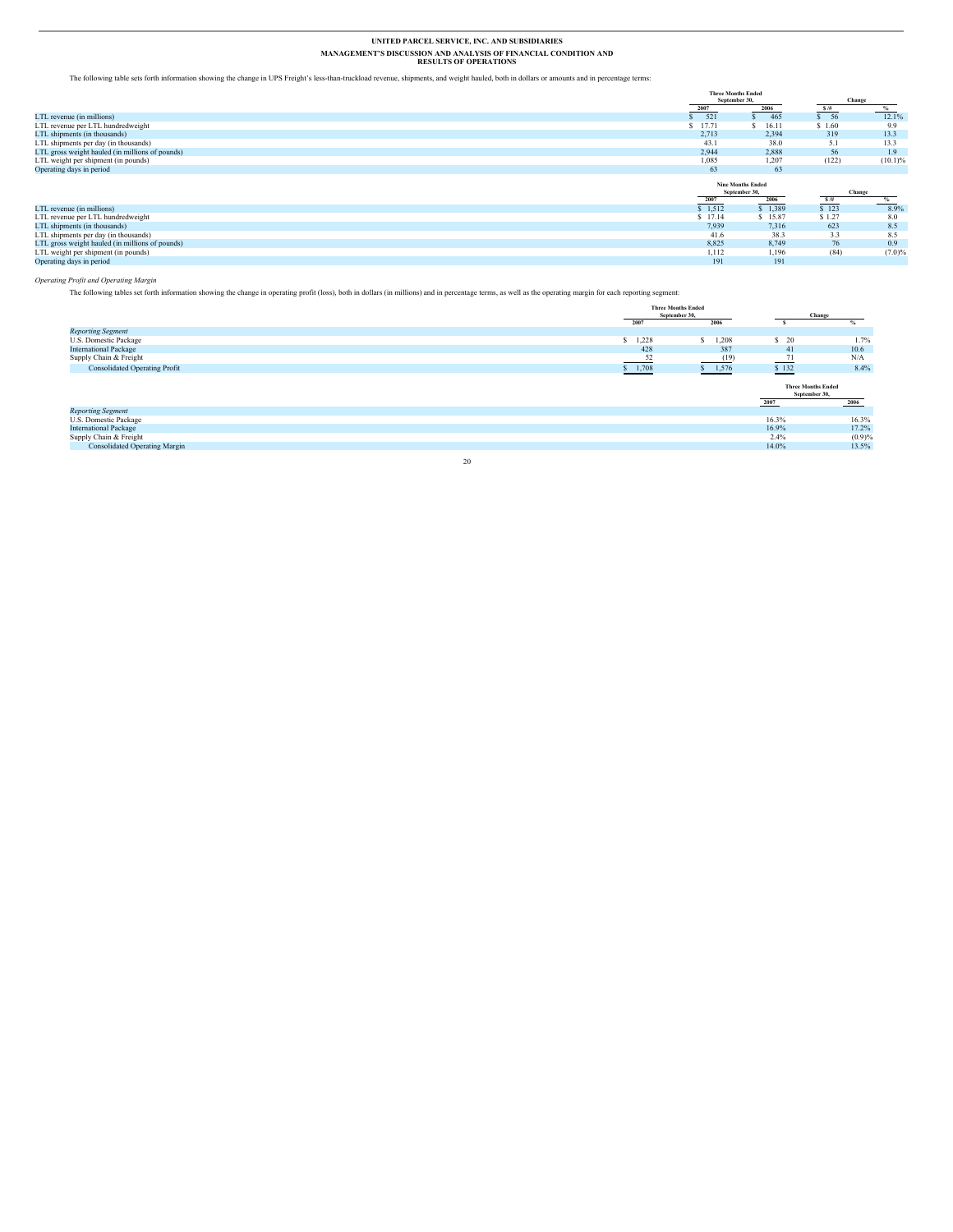The following table sets forth information showing the change in UPS Freight's less-than-truckload revenue, shipments, and weight hauled, both in dollars or amounts and in percentage terms:

|                                                 | <b>Three Months Ended</b><br>September 30, |               | Change    |
|-------------------------------------------------|--------------------------------------------|---------------|-----------|
|                                                 | 2007<br>2006                               | S/H           | $\%$      |
| LTL revenue (in millions)                       | $S$ 521<br>465                             | \$56          | 12.1%     |
| LTL revenue per LTL hundredweight               | 17.71<br>16.11                             | \$1.60        | 9.9       |
| LTL shipments (in thousands)                    | 2,713<br>2,394                             | 319           | 13.3      |
| LTL shipments per day (in thousands)            | 43.1<br>38.0                               | 5.1           | 13.3      |
| LTL gross weight hauled (in millions of pounds) | 2,944<br>2,888                             | 56            | 1.9       |
| LTL weight per shipment (in pounds)             | 1.085<br>1,207                             | (122)         | (10.1)%   |
| Operating days in period                        | 63<br>63                                   |               |           |
|                                                 |                                            |               |           |
|                                                 | <b>Nine Months Ended</b>                   |               |           |
|                                                 | September 30,<br>2007<br>2006              | Change<br>S/H |           |
| LTL revenue (in millions)                       | \$1,512<br>\$1,389                         | \$123         | %<br>8.9% |
| LTL revenue per LTL hundredweight               | \$17.14<br>\$15.87                         | \$1.27        | 8.0       |
| LTL shipments (in thousands)                    | 7,939<br>7,316                             | 623           | 8.5       |
| LTL shipments per day (in thousands)            | 38.3<br>41.6                               | 3.3           | 8.5       |
| LTL gross weight hauled (in millions of pounds) | 8.825<br>8,749                             | 76            | 0.9       |
| LTL weight per shipment (in pounds)             | 1,112<br>1,196                             | (84)          | $(7.0)\%$ |
| Operating days in period                        | 191<br>191                                 |               |           |

Operating Margin Margin<br>The following tables set forth information showing the change in operating profit (loss), both in dollars (in millions) and in percentage terms, as well as the operating margin for each reporting se

|                                      | <b>Three Months Ended</b><br>September 30, |          | Change                                             |        |
|--------------------------------------|--------------------------------------------|----------|----------------------------------------------------|--------|
|                                      | 2007                                       | 2006     |                                                    |        |
| <b>Reporting Segment</b>             |                                            |          |                                                    |        |
| U.S. Domestic Package                | 1,228                                      | 1,208    | $S$ 20                                             | 1.7%   |
| <b>International Package</b>         | 428                                        | 387      | 41                                                 | 10.6   |
| Supply Chain & Freight               | 52                                         | (19)     | 71                                                 | N/A    |
| <b>Consolidated Operating Profit</b> | \$ 1,708                                   | \$ 1,576 | \$132                                              | 8.4%   |
|                                      |                                            |          | <b>Three Months Ended</b><br>September 30,<br>2007 | 2006   |
| <b>Reporting Segment</b>             |                                            |          |                                                    |        |
| U.S. Domestic Package                |                                            |          | 16.3%                                              | 16.3%  |
| <b>International Package</b>         |                                            |          | 16.9%                                              | 17.2%  |
| Supply Chain & Freight               |                                            |          | 2.4%                                               | (0.9)% |
| <b>Consolidated Operating Margin</b> |                                            |          | 14.0%                                              | 13.5%  |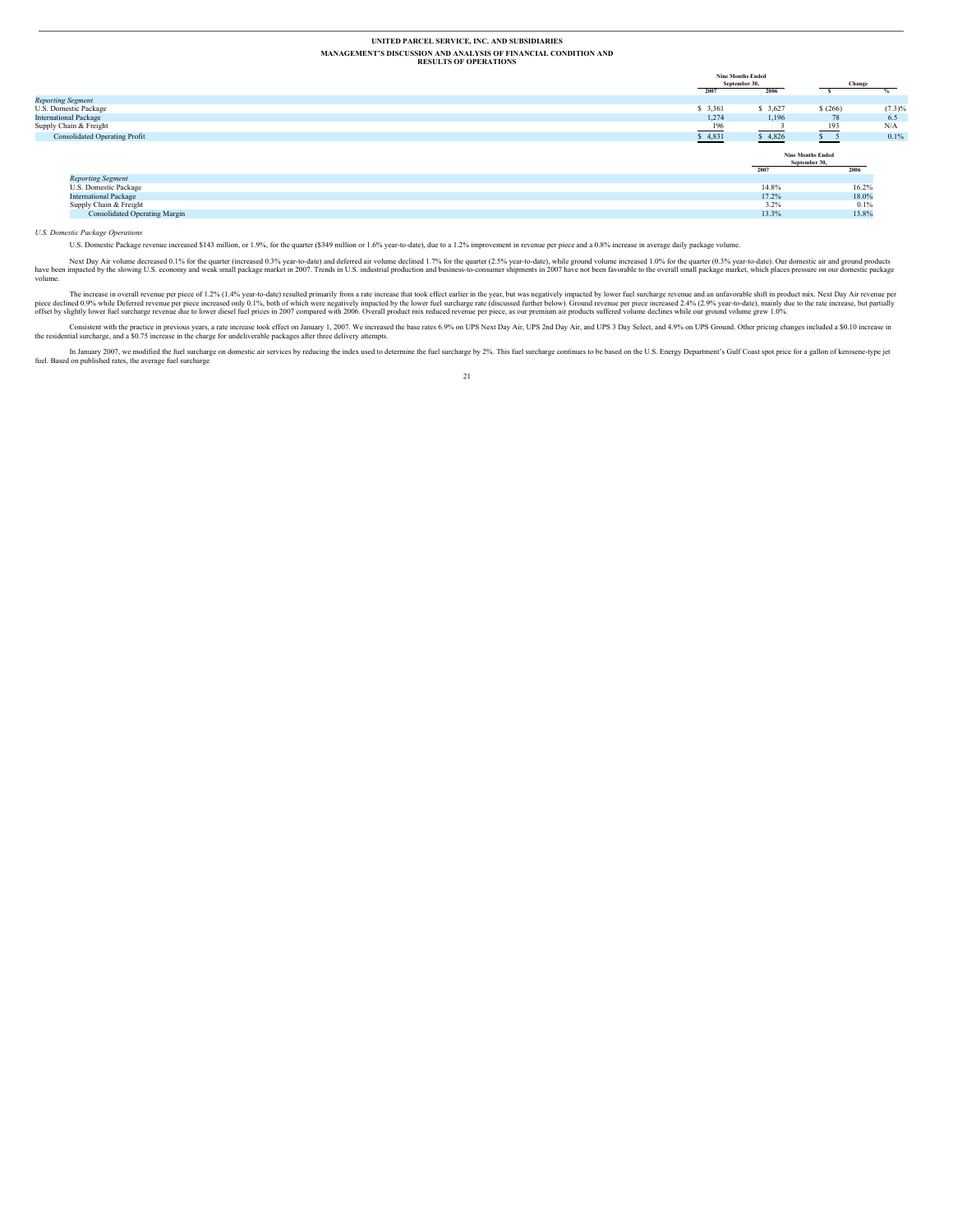|                                      |          | <b>Nine Months Ended</b> |                                           |                               |
|--------------------------------------|----------|--------------------------|-------------------------------------------|-------------------------------|
|                                      |          | September 30,            |                                           | Change                        |
|                                      | 2007     | 2006                     | _____                                     | %<br>$\overline{\phantom{a}}$ |
| <b>Reporting Segment</b>             |          |                          |                                           |                               |
| U.S. Domestic Package                | \$ 3,361 | \$3,627                  | \$(266)                                   | $(7.3)\%$                     |
| <b>International Package</b>         | 1,274    | 1,196                    | 78                                        | 6.5                           |
| Supply Chain & Freight               | 196      |                          | 193                                       | N/A                           |
| <b>Consolidated Operating Profit</b> | \$4,831  | \$4,826                  | S <sub>5</sub><br>$\sim$                  | 0.1%                          |
|                                      |          |                          | <b>Nine Months Ended</b><br>September 30, |                               |
|                                      |          | 2007                     | 2006                                      |                               |
| <b>Reporting Segment</b>             |          |                          |                                           |                               |
| U.S. Domestic Package                |          | 14.8%                    | 16.2%                                     |                               |
| <b>International Package</b>         |          | 17.2%                    | 18.0%                                     |                               |
| Supply Chain & Freight               |          | 3.2%                     | 0.1%                                      |                               |
| <b>Consolidated Operating Margin</b> |          | 13.3%                    | 13.8%                                     |                               |
|                                      |          |                          |                                           |                               |

#### *U.S. Domestic Package Operations*

U.S. Domestic Package revenue increased \$143 million, or 1.9%, for the quarter (\$349 million or 1.6% year-to-date), due to a 1.2% improvement in revenue per piece and a 0.8% increase in average daily package volume.

Next Day Air volume decreased 0.1% for the quarter (increased 0.3% year-to-date) and deferred air volume declined 1.7% for the quarter (2.5% year-to-date), While ground volume increased 1.0% for the quarter (0.3% year-to-d

The increase in overall revenue per piece of 1.2% (1.4% year-to-date) resulted primarily from a rate increase that took effect earlier in the year, but was negatively impacted by lower fuel surcharge revenue and an unfavor

Consistent with the pracine in previous years, a rate increase took effect on January 1, 2007. We increased the base rates 6.9% on UPS Next Day Air, UPS 2nd Day Air, and UPS 3 Day Select, and 4.9% on UPS Ground. Other pric

In January 2007, we modified the fuel surcharge on domestic air services by reducing the index used to determine the fuel surcharge by 2%. This fuel surcharge continues to be based on the U.S. Energy Department's Gulf Coas 21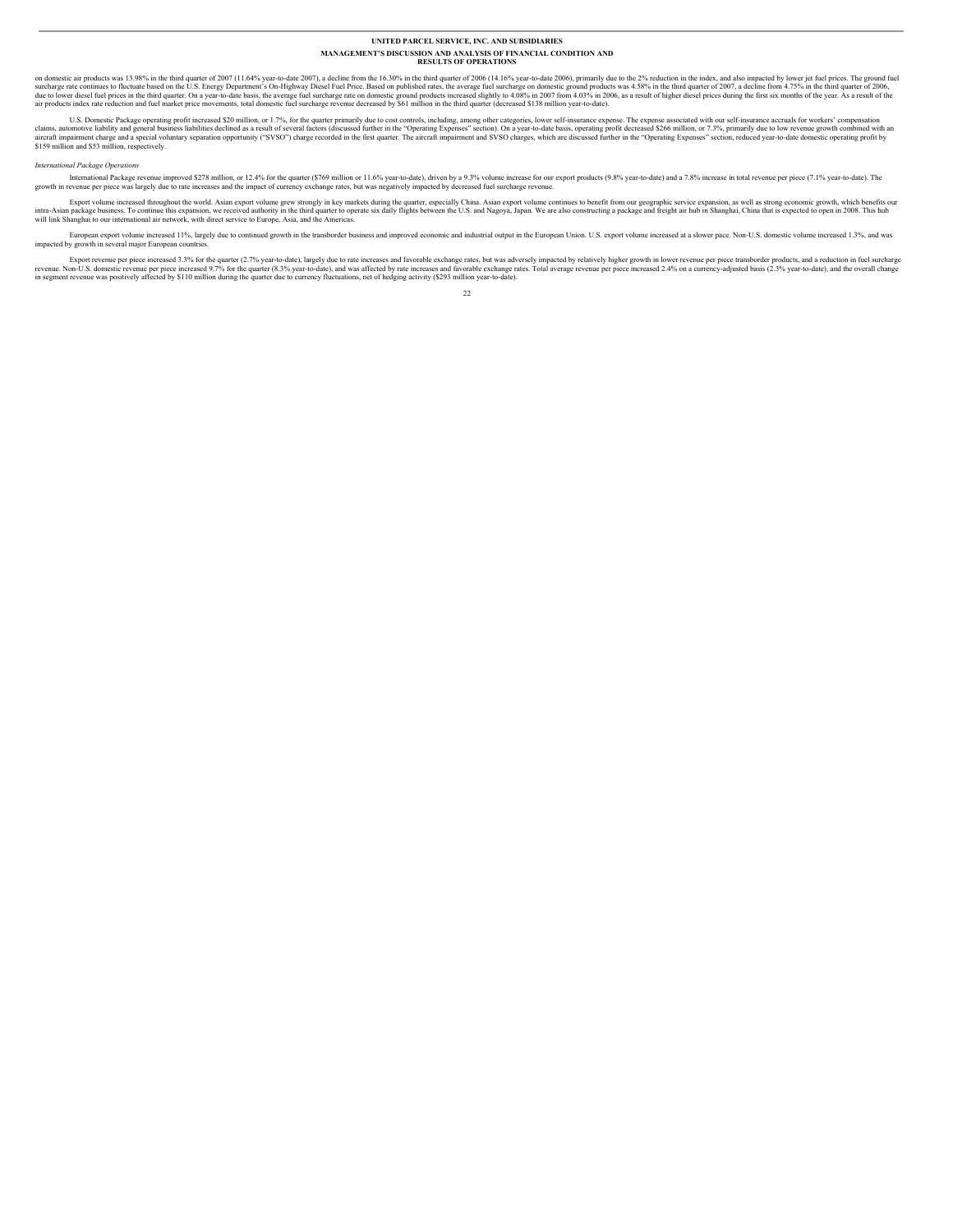on domestic air products was 13.98% in the third quarter of 2007 (11.64% year-to-date 2007), a decline from the 16.30% in the third quarter of 2006 (14.16% year-to-date 2006), primarily due to the 2% reduction in the index air products index rate reduction and fuel market price movements, total domestic fuel surcharge revenue decreased by \$61 million in the third quarter (decreased \$138 million year-to-date).

U.S. Domestic Package operating profit increased \$20 million, or 1.7%, for the quarter primarily due to cost controls, including, among other categories, lower self-insurance expense. The expense associated with our self-i claims, automotive liability and general business liabilities declined as a result of several factors (discussed further in the "Operating Expenses" section). On a year-to-date basis, operating profit decreased \$266 millio

#### *International Package Operations*

International Package revenue improved \$278 million, or 12.4% for the quarter (\$769 million or 11.6% year-to-date), driven by a 9.3% volume increases and the impact of currency exchange rates, but was negatively impacted b

Export volume increased throughout the world. Asian export volume grew strongly in key markets during the custric, specially China. Asian export outmose to benefit from our geographic service expansion, as well as strong e will link Shanghai to our international air network, with direct service to Europe, Asia, and the Americas.

European export volume increased 11%, largely due to continued growth in the transborder business and improved economic and industrial output in the European Union. U.S. export volume increased at a slower pace. Non-U.S. d impacted by growth in several major European cou

Export revenue per piece increased 3.3% for the quarter (2.7% year-to-date), largely due to rate increases and favorable exchange rates, but was adversely impacted by relatively higher growth in lower revenue per piece tra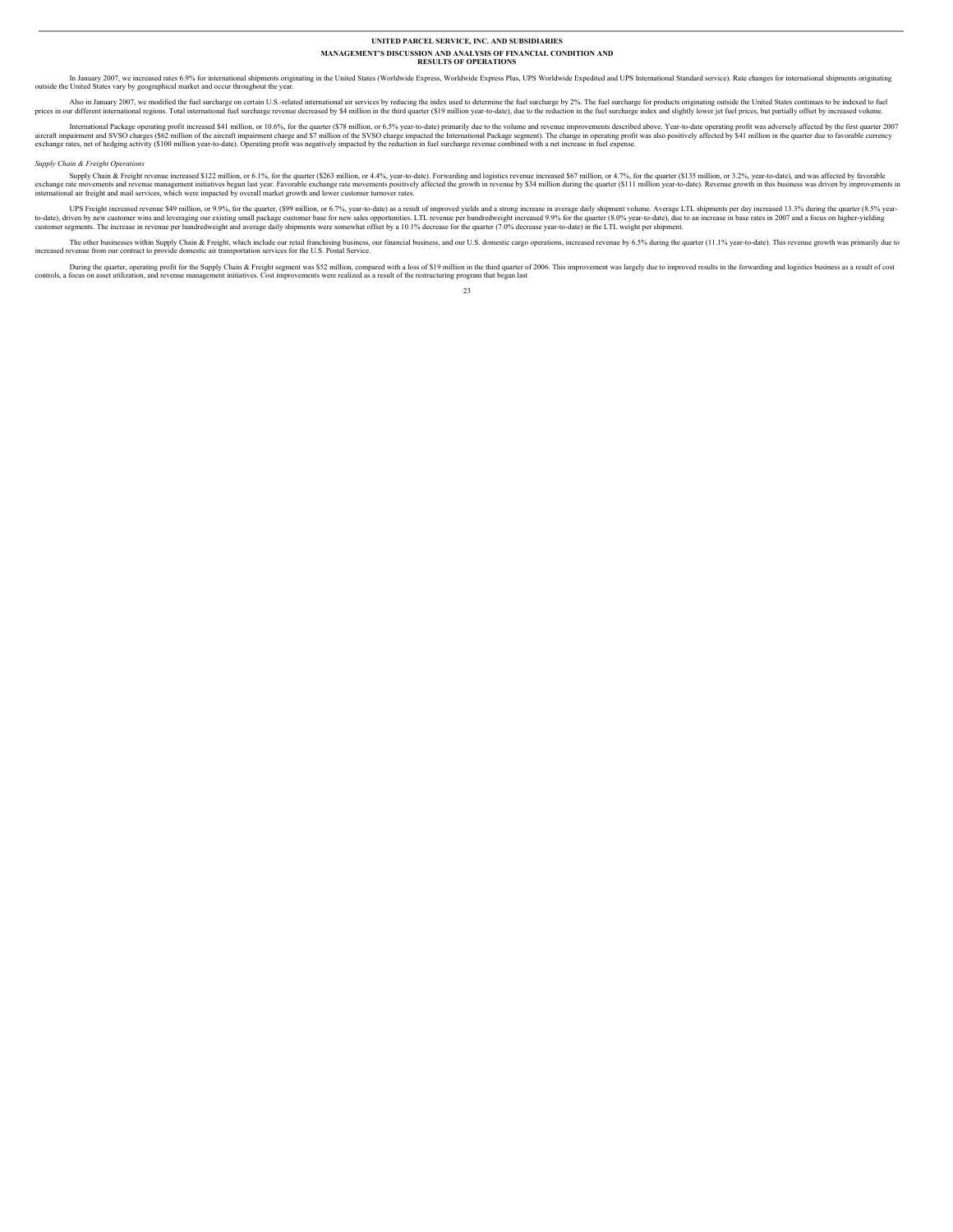In January 2007, we increased rates 6.9% for international shipments originating in the United States (Worldwide Express, Worldwide Express Plus, UPS Worldwide Expedited and UPS International Standard service). Rate change outside the United States vary by geographical market and occur throughout the year.

Also in January 2007, we modified the fuel surcharge on certain U.S.-related international air services by reducing the index used to determine the fuel surcharge respects to yout and the Surcharge by 2%. The fuel surcharg

International Package operating profit increased \$41 million, or 10.6%, for the quarter (\$78 million, or 6.5% year-to-date ) primarily due to the volume and revenue improvements described above. Year-to-date operating prof

#### *Supply Chain & Freight Operations*

Supply Chain & Freight revenue increased \$122 million, or 6.1%, for the quarter (\$263 million, or 4.4%, year-to-date). Forwarding and logistics revenue increased \$67 million, or 4.7%, for the quarter (\$135 million, or 3.2%

UPS Freight increased revenue \$49 million, or 9.9%, for the quarter, (\$99 million, or 6.7%, year-to-date) as a result of improved yields and a strong increase in average daily shipment volume. Average LTL shipments per day

The other businesses within Supply Chain & Freight, which include our retail franchising business, our financial business, and our U.S. domestic cargo operations, increased revenue by 6.5% during the quarter (11.1% year-to increased revenue from our contract to provide domestic air transportation services for the U.S. Postal Service.

During the quarter, operating profit for the Supply Chain & Freight segment was \$52 million, compared with a loss of \$19 million in the third quarter of 2006. This improvement was largely due to improved results in the for controls, a focus on asset utilization, and revenue management initiatives. Cost improvements were realized as a result of the restructuring program that began last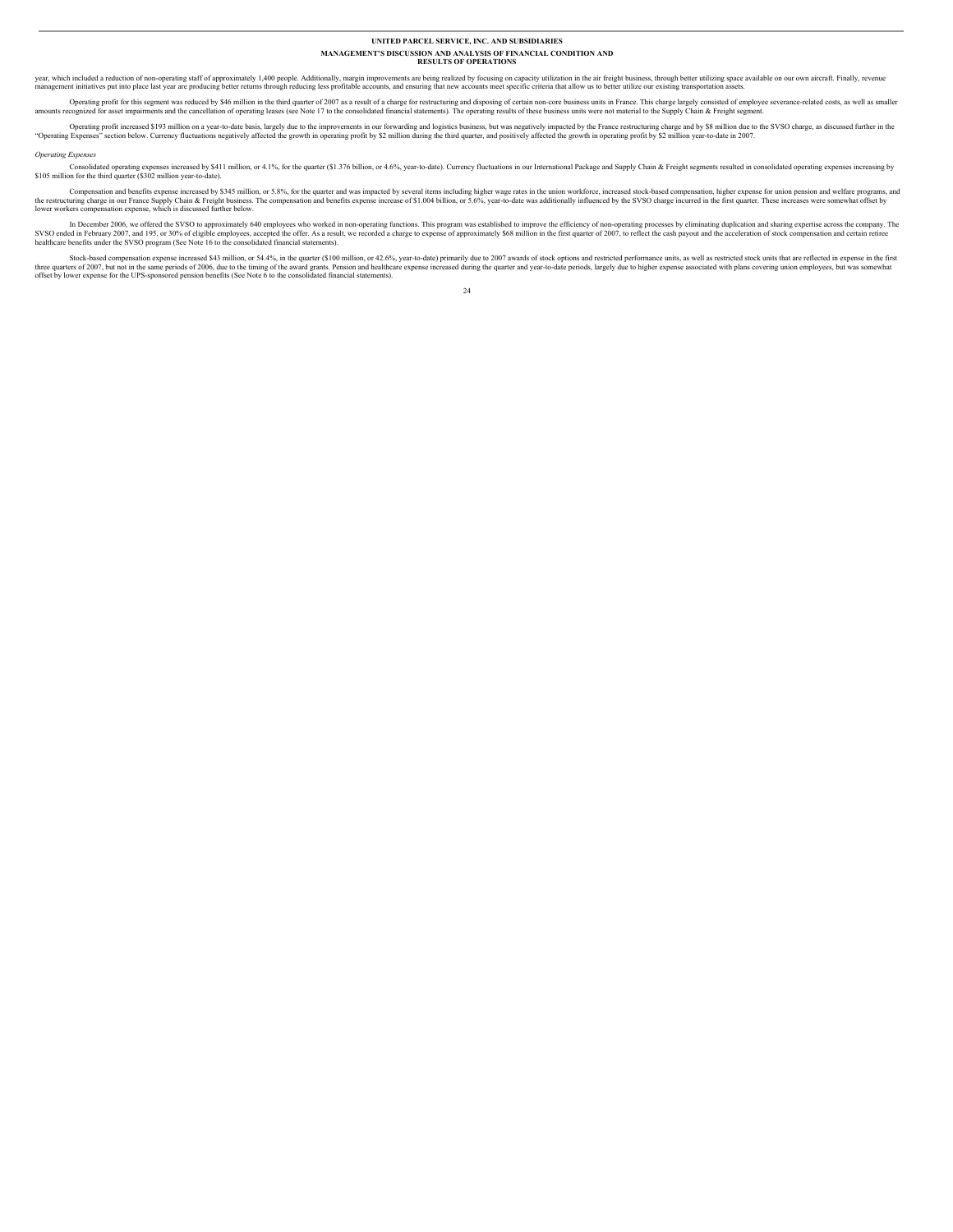year, which included a reduction of mo-operating staff of approximately 1,400 people. Additionally, margin improvements are being realized by focusing on capacity utilization in the air freight busines shownly head entired

Operating profit for this segment was reduced by \$46 million in the third quarter of 2007 as a result of a charge for restructuring and disposing of certain ano-core business units in France. This comparting teams and the

Operating profit increased \$193 million on a year-to-date basis, largely due to the improvements in our forwarding and logistics business, but was negatively affected the growth in operating profit by \$2 million during the

#### *Operating Expenses*

Consolidated operating expenses increased by \$411 million, or 4.1%, for the quarter (\$1.376 billion, or 4.6%, year-to-date). Currency fluctuations in our International Package and Supply Chain & Freight segments resulted i

Compensation and benefits expense increased by \$345 million, or 5.8%, for the quarter and was impacted by soveral items including higher wage rates in the union workforce, increased stock-based compensation, higher expense

In December 2006, we offered the SVSO to approximately 640 employees who worked in non-operating functions. This program was established to improve the efficiency of non-operating processes by eliminating duplication and s

Stock-based compensation expense increased \$43 million, or 54.4%, in the quarter (\$100 million, or 42.6%, year-to-date) primarily due to 2007 awards of stock options and restricted performance units, as well as restricted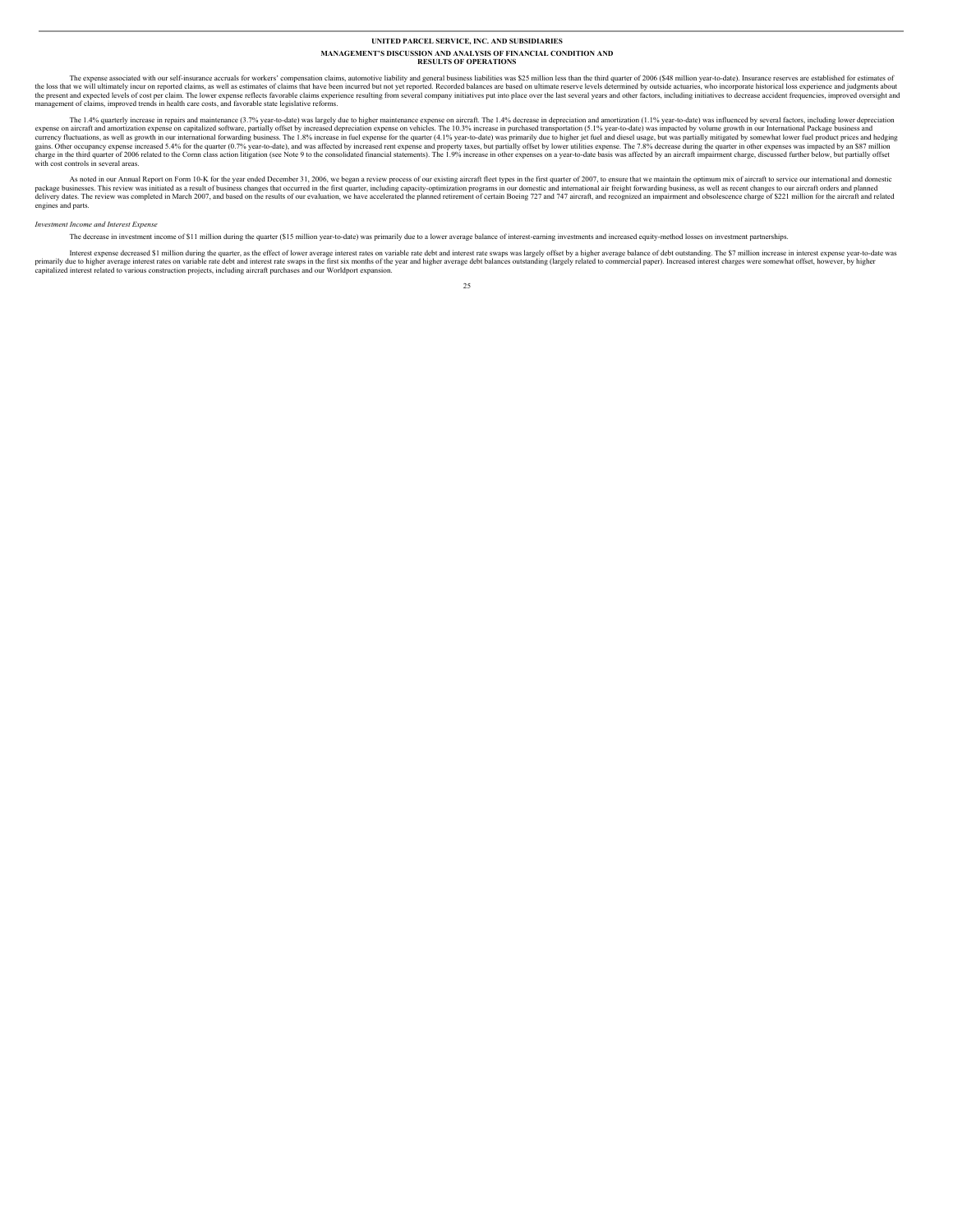The expense associated with our self-insurance accruals for workers' compensation claims, automotive liability and general business liabilities was \$25 million less than the third quarter of 2006 (\$48 million year-to-date) the loss that we will ultimately incur on reported claims, as well as estimates of claims that have been incurred but not yet reported. Recorded balances are based on ultimate reserve levels determined by outside atuaries, management of claims, improved trends in health care costs, and favorable state legislative reforms.

The 1.4% quarterly increase in repairs and maintenance (3.7% year-to-date) was largely due to higher maintenance expense on aircraft. The 1.4% decrease in depreciation and amortization (1.1% year-to-date) was influenced by expense on aircraft and amortization expense on capitalized software, partially offset by increased depreciation expense on vehicles. The 1.0.3% increase in purchased transportation (5.1% year-to-date) was impacted by volu

As noted in our Annual Report on Form 10-K for the year ended December 31, 2006, we began a review process of our existing aircraft fleet types in the first quarter of 2007, to ensure that we maintain the optimum mix of ai engines and parts.

#### *Investment Income and Interest Expense*

The decrease in investment income of \$11 million during the quarter (\$15 million year-to-date) was primarily due to a lower average balance of interest-earning investments and increased equity-method losses on investment p

Interest expense decreased \$1 million during the quarter, as the effect of lower average interest rates on variable rate debt and interest rates waps was largely offset by a higher average balance of debt outstanding. The

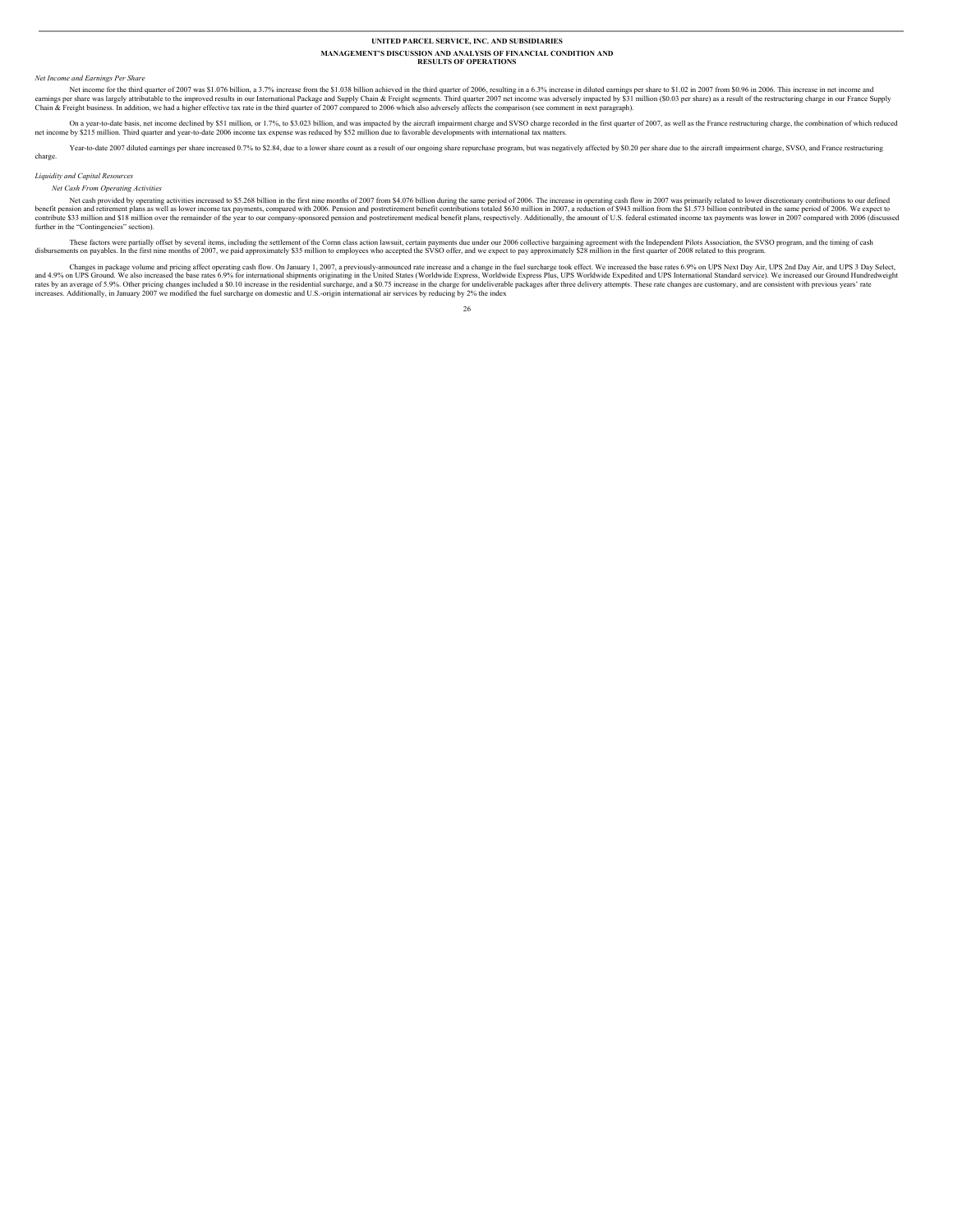## *Net Income and Earnings Per Share*

Net income for the third quarter of 2007 was \$1.076 billion, a 3.7% increase from the \$1.038 billion achieved in the third quarter of 2006, resulting in a 6.3% increase in diluted earnings per share to \$1.02 in 2007 from \$

On a year-to-date basis, net income declined by \$51 million, on 1.7%, to \$3.023 billion, and was impacted by the aircraft impairment charge and SVSO chrome to the first quarter of 2007, as well as the France restructuring

Year-to-date 2007 diluted earnings per share increased 0.7% to \$2.84, due to a lower share count as a result of our ongoing share repurchase program, but was negatively affected by \$0.20 per share due to the aircraft impai charge.

#### *Liquidity and Capital Resources Net Cash From Operating Activities*

Net cash provided by operating activities increased to \$5.268 billion in the first nine months of 2007 from \$4.076 billion during the same period of 2006. The increase in operating cash flow in 2007 was primarily related t further in the "Contingencies" section).

These factors were partially offset by several items, including the settlement of the Corma class action lawsuit, certain payments due under our 2006 collective bargaining and the timing of cash and the iming of cash and t

Changes in package volume and pricing affect operating cash flow. On January 1, 2007, a previously-announced rate increase and a change in the fuel surcharge took effect. We increased the base rates 6.9% on UPS Next Day Ai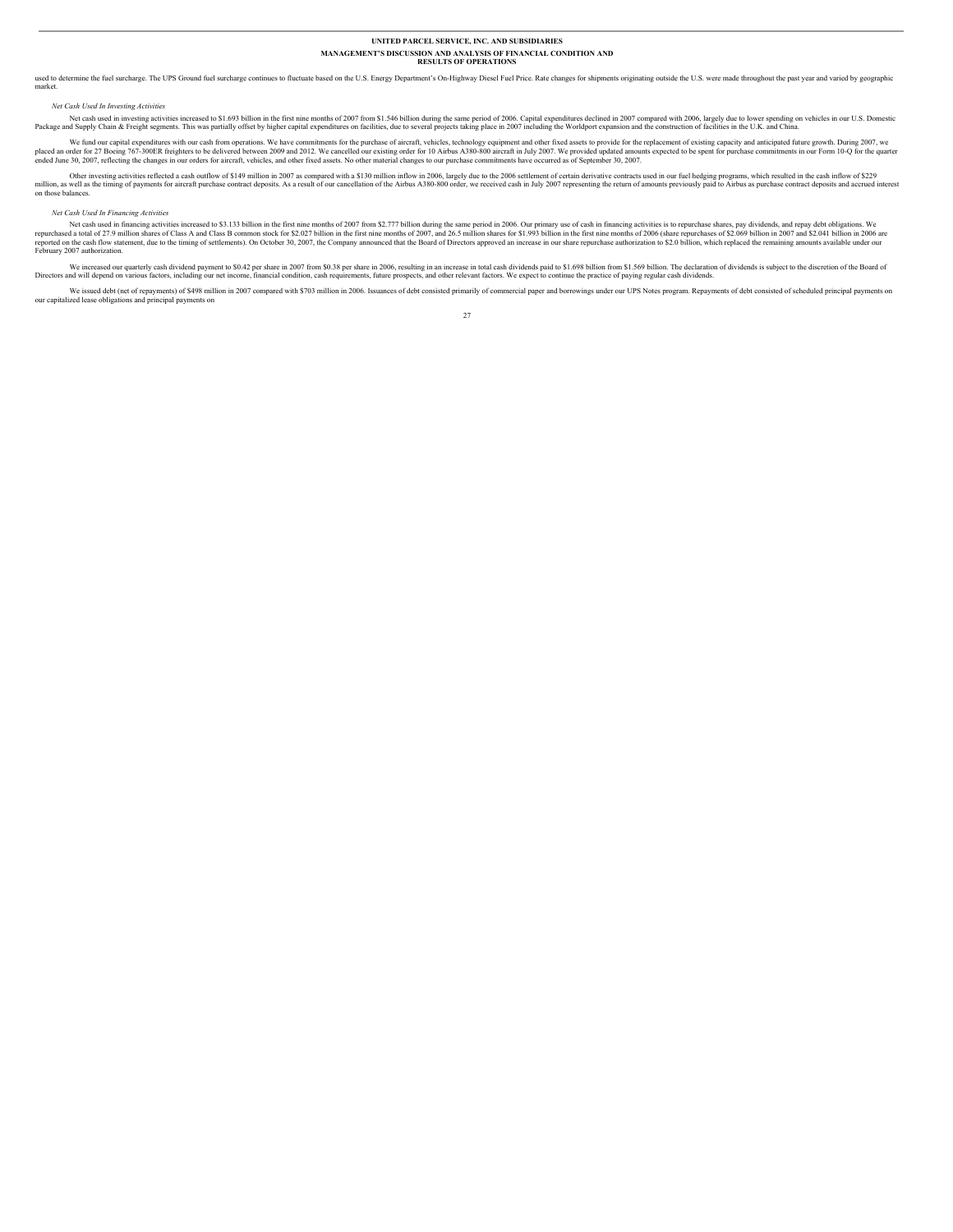used to determine the fuel surcharge. The UPS Ground fuel surcharge continues to fluctuate based on the U.S. Energy Department's On-Highway Diesel Fuel Price. Rate changes for shipments originating outside the U.S. were ma market

#### *Net Cash Used In Investing Activities*

Net cash used in investing activities increased to \$1.693 billion in the first nine months of 2007 from s1.1.496 billion atimag the same period of 2006. Capital expenditures decline althous of actities, due to several proj

We fund our capital expenditures with our cash from operations. We have commitments for the purchase of aircraft, vehicles, technology equipment and other fixed assets to provide for the replacement of existing capacity an

Other investing activities reflected a cash outflow of \$149 million in 2007 as compared with a \$130 million inflow in 2006, largely due to the 2006 settlement of certain derivative contracts used in our fuel hedging progra

## *Net Cash Used In Financing Activities*

Net cash used in financing activities increased to \$3.133 billion in the first nine months of 2007 from \$2.777 billion during the same period in 2006. Our primary use of cash in financing activities is to repurchase shares February 2007 authorization.

We increased our quarterly cash dividend payment to \$0.42 per share in 2007 from \$0.38 per share in 2007, tesuling in an increase in total cash of unital condition, cash requirements, future prospects, and other relevant f

We issued debt (net of repayments) of \$498 million in 2007 compared with \$703 million in 2006. Issuances of debt consisted primarily of commercial paper and borrowings under our UPS Notes program. Repayments of debt consis our capitalized lease obligations and principal payments on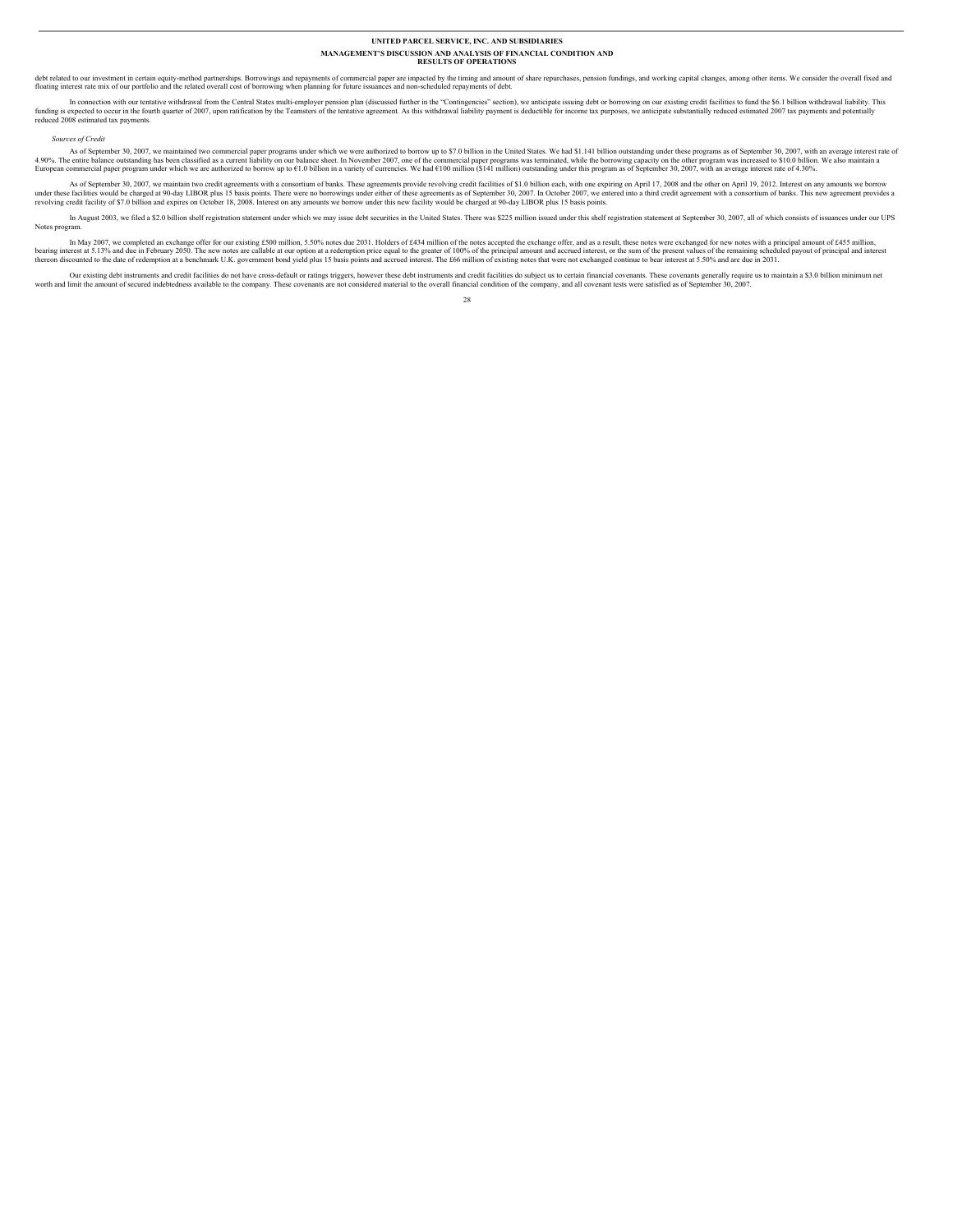debt related to our investment in certain equity-method partnerships. Borrowing when planning and repayments of commercial paper are impacted by the timing and amount of share repurchases, pension fundings, and working cap

In connection with our tentative withdrawal from the Central States multi-employer pension plan (discussed further in the "Contingencies" section), we anticipate issuing debt or borrowing on our existing credit facilities

#### *Sources of Credit*

As of September 30, 2007, we maintained two commercial paper programs under which we were authorized to borrow up to \$7.0 billion in the United States. We had \$1.141 billion outstanding under these programs as of September

As of September 30, 2007, we maintain two credit agreements with a consortium of banks. These agreements provide revolving credit facilities of \$1.0 billion each, with one expiring on April 17, 2008 and the other on April

In August 2003, we filed a \$2.0 billion shelf registration statement under which we may issue debt securities in the United States. There was \$225 million issued under this shelf registration statement at September 30, 200 Notes program.

In May 2007, we completed an exchange offer for our existing £500 million, 5.50% notes due 2031. Holders of £434 million of the notes accepted the exchange offer, and as a result, these notes were exchanged for new notes w

Our existing debt instruments and credit facilities do not have cross-definit or ratings triggers, however these collisation of the company. These coverants are not considered mistruments and credit facilities of a be comp 28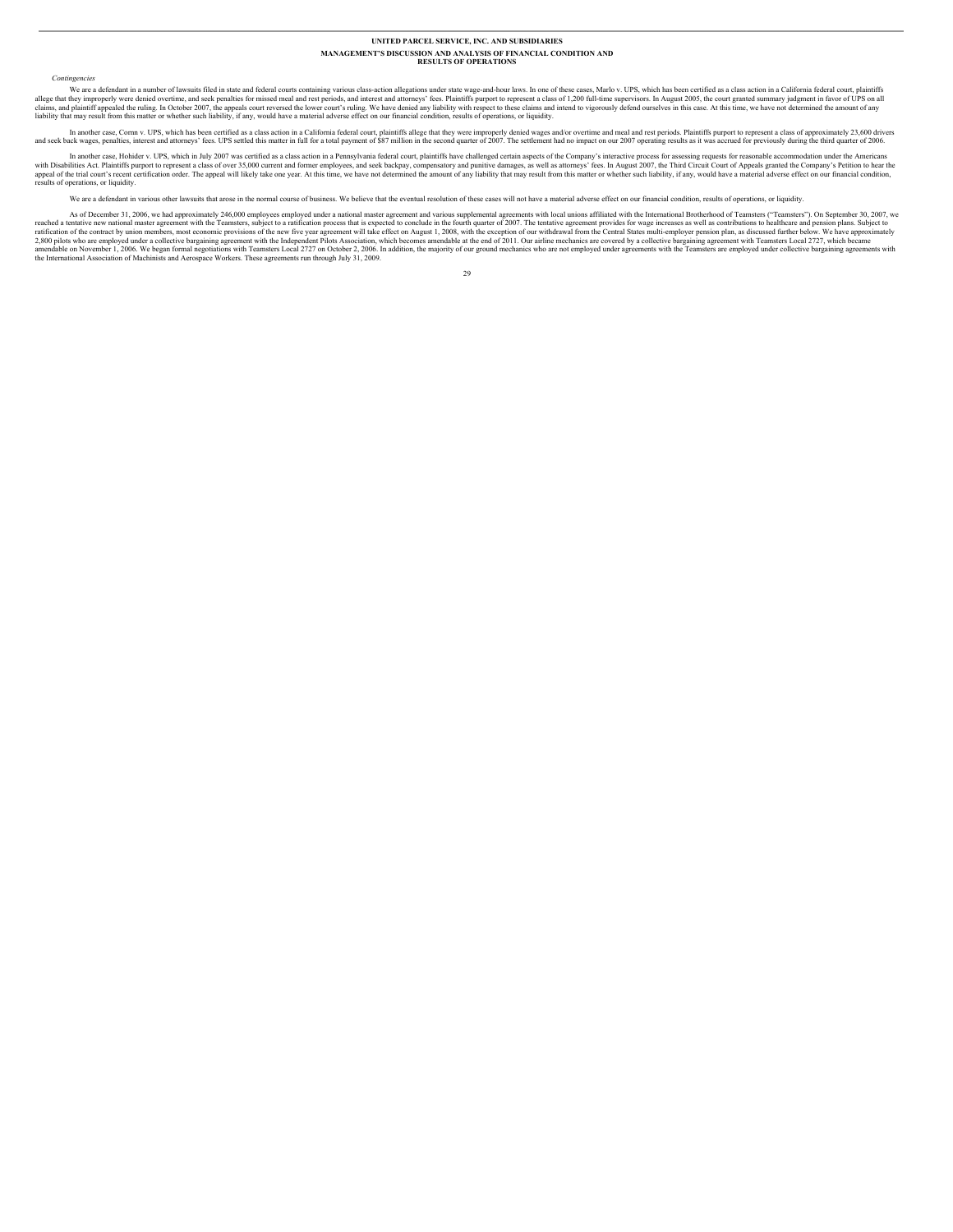#### *Contingencies*

We are a defendant in a number of lawsuits filed in state and federal counts containing various class-action allegations under state wage-and-hour laws. In one of these cases, Marlo v. UPS, which has been certified as a cl

In another case, Com v, UPS, which has been certified as a class as closic as ition in a California federal court, plaintifis allege that they were improperly denis cases. CDS settled this matter in full for a total paymen

In another case, Hohider v. UPS, which in July 2007 was certified as a class action in a Pennsylvania federal court, plaintiffs have challenged certain aspects of the Company's interactive process for assessing requests fo

We are a defendant in various other lawsuits that arose in the normal course of business. We believe that the eventual resolution of these cases will not have a material adverse effect on our financial condition, results o

As of December 31, 2006, we had approximately 246,000 employees employed under a national master agreement and various supplemental agreements with local unions affiliated with the International Brotherhood of Teamsters (" reached a tentative new national master agreement with the Teamsters, subject to a ratification process that is expected to conclude in the fourth quarter of 2007. The tentative agreement provides for wage increases as wel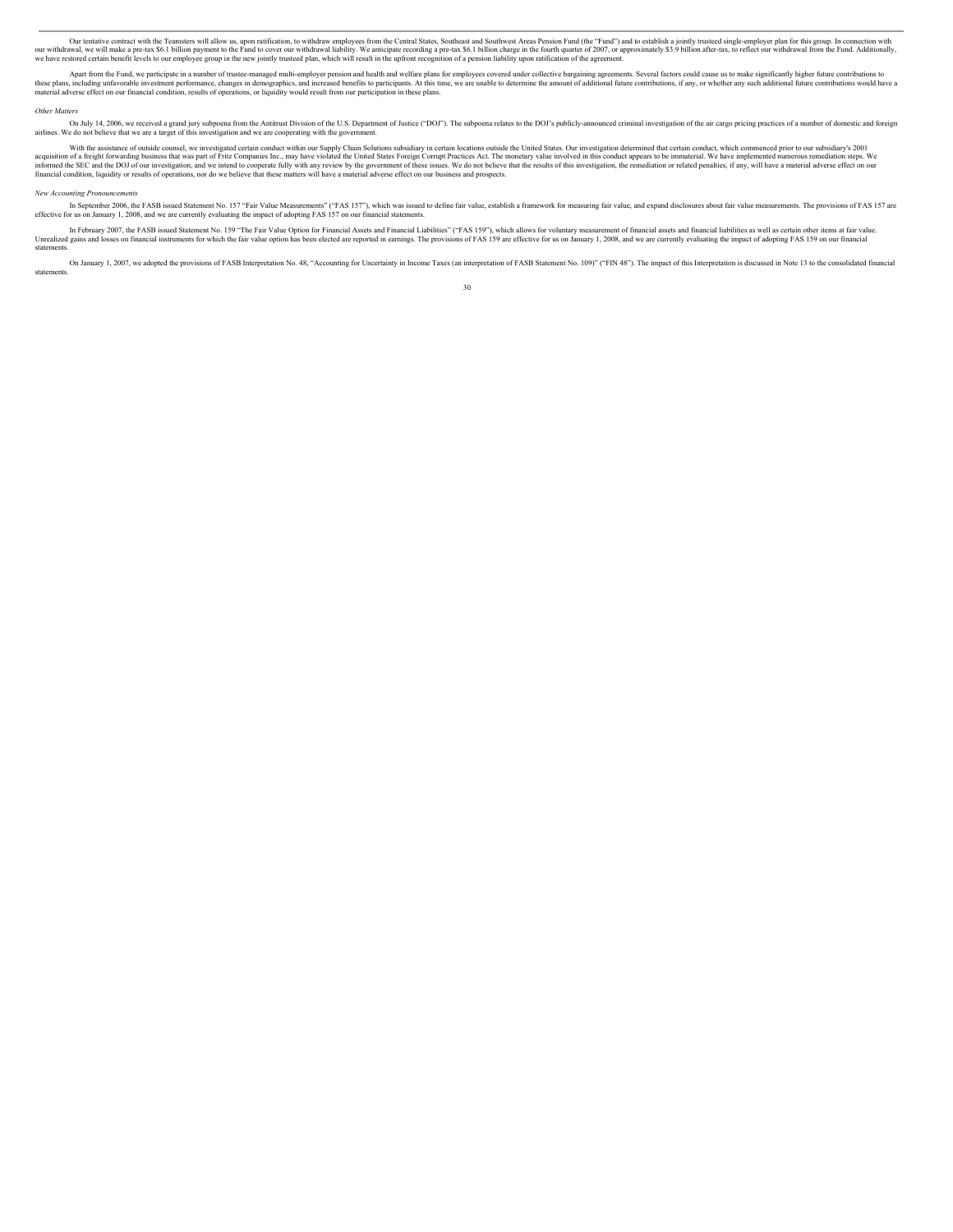Our tentative contract with the Teamsters will allow us, upon ratification, to withdraw employees from the Central States, Southeast and Southwest Areas Pension Fund (10: "Fund") and to establish we seen the Fund to cover we have restored certain benefit levels to our employee group in the new jointly trusteed plan, which will result in the upfront recognition of a pension liability upon ratification of the agreement.

Apart from the Fund, we participate in a number of trustee-managed multi-employer pension and health and welfare plans for employes covered under collective bargaining agreements. Several factors could cause us to make sig

#### *Other Matters*

On July 14, 2006, we received a grand jury subpoena from the Antitrust Division of the U.S. Department of Justice ("DOJ"). The subpoena relates to the DOJ's publicly-announced criminal investigation of the air cargo pricin airlines. We do not believe that we are a target of this investigation and we are cooperating with the government.

With the assistance of outside counsel, we investigated certain conduct within our Supply Chain Solutions subsidiary in certain locations outside the United States. Our investigation determined that certain conduct, which

## $New$  *Accounting Prono*

In September 2006, the FASB issued Statement No. 157 "Far Value Measurements" ("FAS 157"), which was issued to define fair value, establish a framework for measuring fair value, and expand disclosures about fair value meas

In February 2007, the FASB issued Statement No. 159 "The Fair Value Option for Financial Assets and Financial Sast saffer in The Statement South in the fair value option has been elected are reported in earnings. The provi statements

On January 1, 2007, we adopted the provisions of FASB Interpretation No. 48, "Accounting for Uncertainty in Income Taxes (an interpretation of FASB Statement No. 109)" ("FIN 48"). The impact of this Interpretation is discu statements.

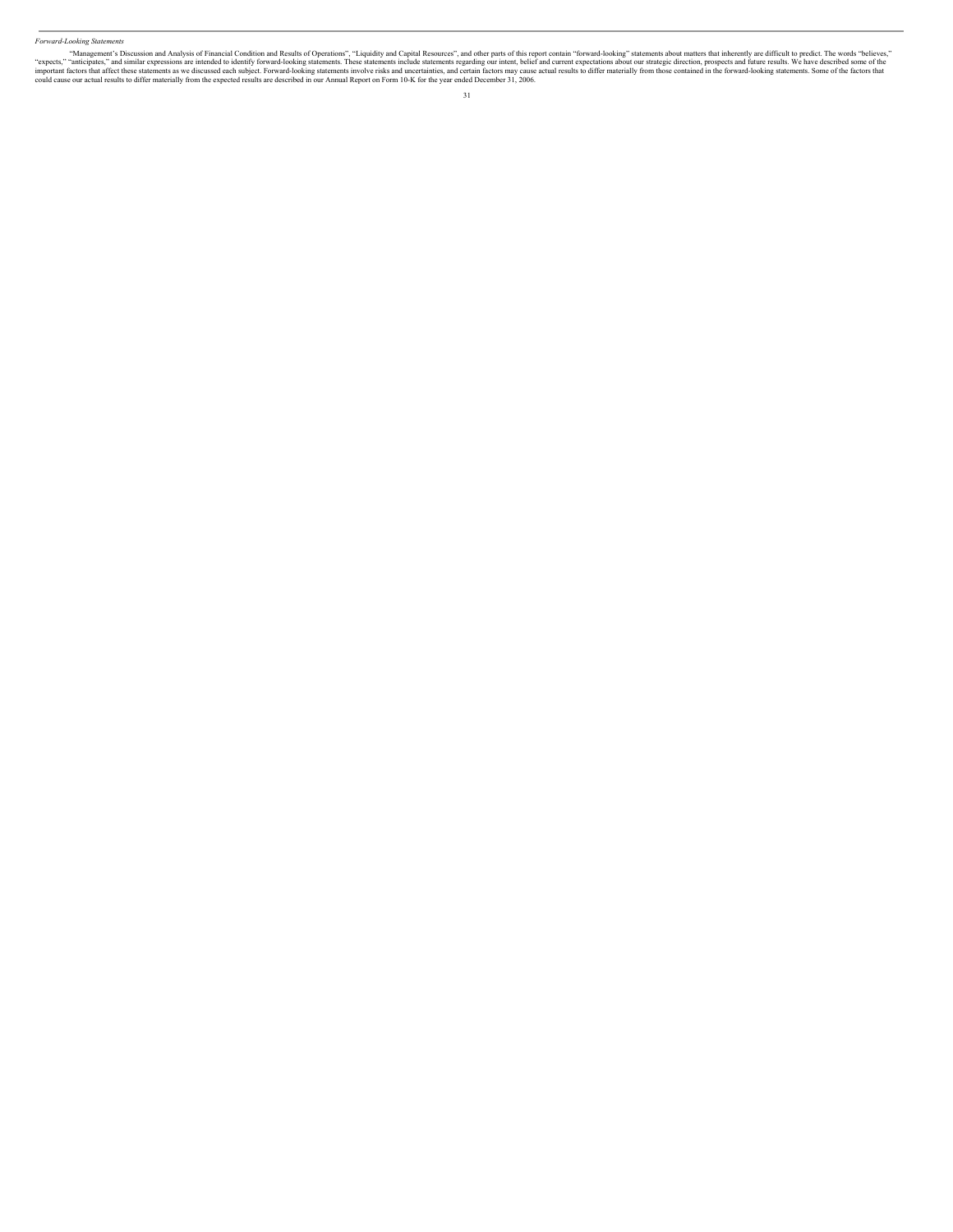## *Forward-Looking Statements*

"Management's Discussion and Analysis of Financial Condition and Results of Operations,", "Liquidity and Capital Resources", and other parts of this report contain "forward-looking" statements shout matters that inherently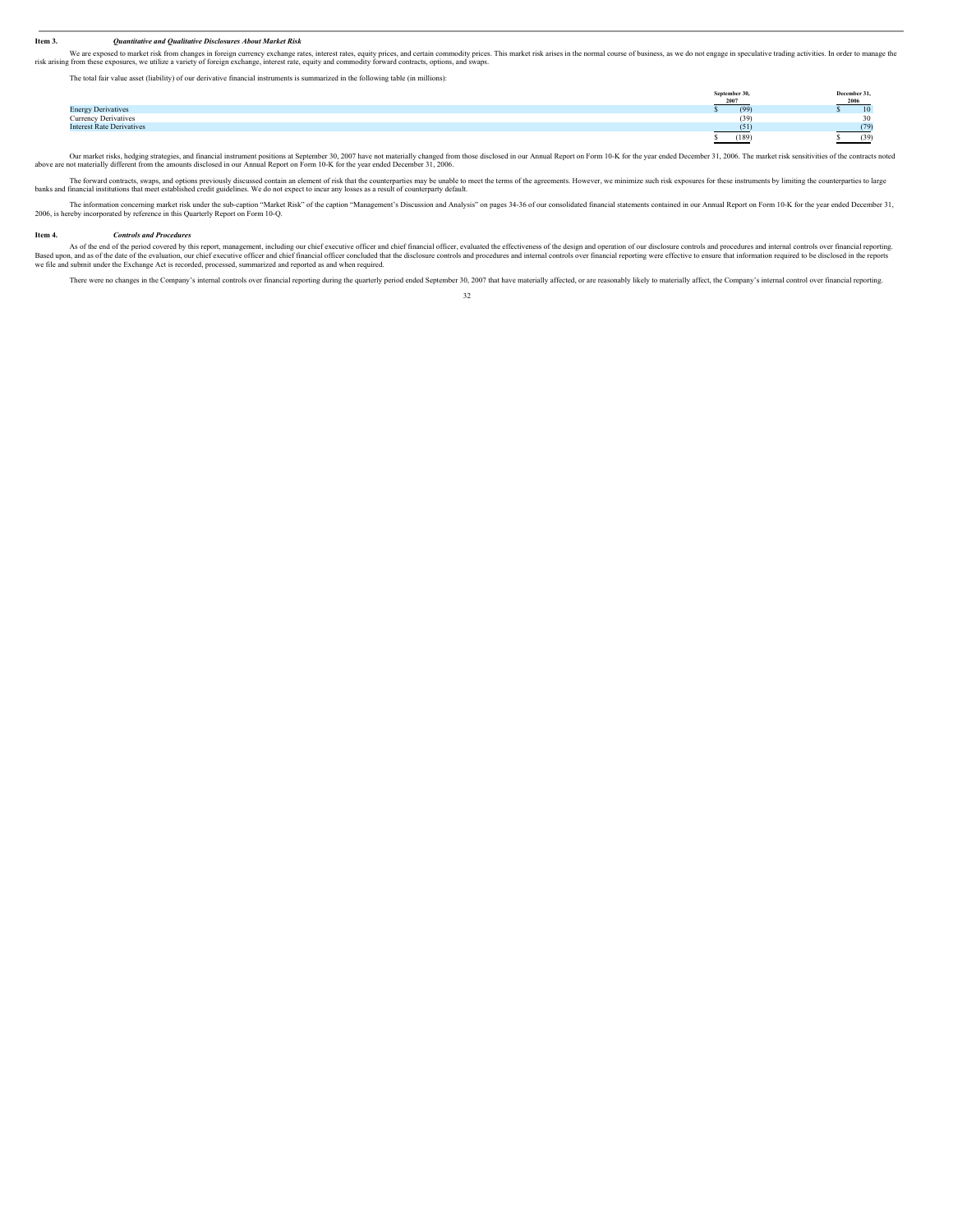## **Item 3.***Quantitative and Qualitative Disclosures About Market Risk*

We are exposed to market risk from changes in foreign curency exchange rates, interest rates, equity prices, and certain commodity prices, and extract a mean of business, as we do not engage in speculative trading activiti

The total fair value asset (liability) of our derivative financial instruments is summarized in the following table (in millions):

|                                  | September 30,<br>2007 | December 31,<br>2006 |
|----------------------------------|-----------------------|----------------------|
| <b>Energy Derivatives</b>        | (99)                  | 10                   |
| <b>Currency Derivatives</b>      | (39)                  | 30                   |
| <b>Interest Rate Derivatives</b> | (51)                  | (79)                 |
|                                  | (189)                 | (39)                 |

Our market risks, hedging strategies, and financial instrument positions at September 30, 2007 have not materially changed from the search and prompt on Form 10-K for the year ended December 31, 2006. The pear ended Decemb

The forward contracts, swaps, and options previously discussed contain an element of risk that the counterparties may be unable to meet the terms of the agreements. However, we minimize such risk exposures for these instru

The information concerning marker trisk under the sub-caption "Market Risk" of the caption "Management's Discussion and Analysis" on pages 34-36 of our consolidated financial statements contained in our Annual Report on Fo

#### **Item 4.***Controls and Procedures*

As of the end of the period covered by this report, management, including our chief executive officer and chief financial officer, evaluated the effectiveness of the design and operation of our disclosure controls and proc

There were no changes in the Company's internal controls over financial reporting during the quarterly period ended September 30, 2007 that have materially affected, or are reasonably likely to materially affect, the Compa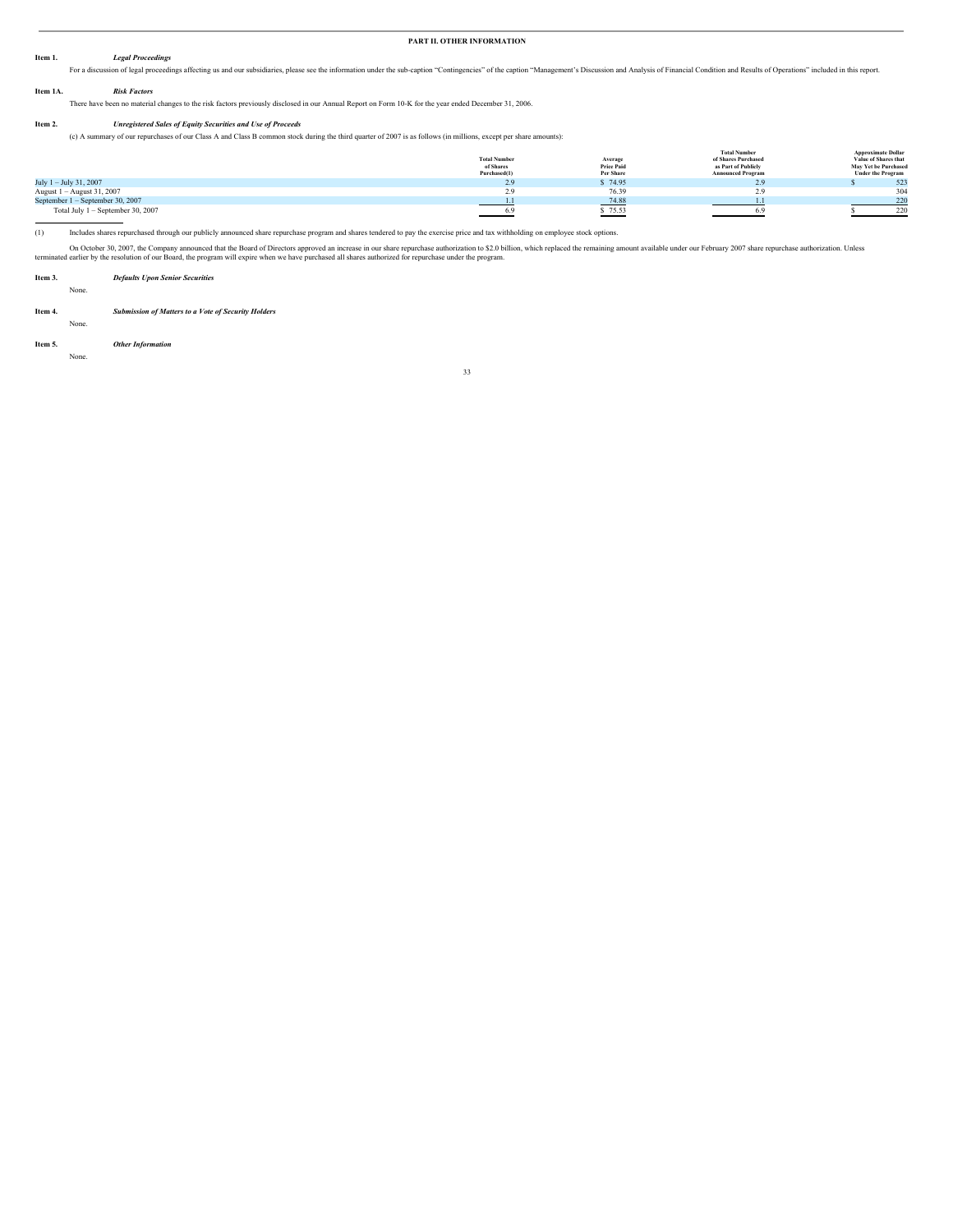## **PART II. OTHER INFORMATION**

### **Item 1.***Legal Proceedings*

For a discussion of legal proceedings affecting us and our subsidiaries, please see the information under the sub-caption "Contingencies" of the caption "Management's Discussion and Analysis of Financial Condition and Resu **Item 1A.** *Risk Factors*

There have been no material changes to the risk factors previously disclosed in our Annual Report on Form 10-K for the year ended December 31, 2006.

#### **Item 2.***Unregistered Sales of Equity Securities and Use of Proceeds*

(c) A summary of our repurchases of our Class A and Class B common stock during the third quarter of 2007 is as follows (in millions, except per share amounts):

|                                   | <b>Total Number</b><br>of Shares<br>Purchased(1) | Average<br><b>Price Paid</b><br>Per Share | <b>Total Number</b><br>of Shares Purchased<br>as Part of Publicly<br><b>Announced Program</b> | <b>Approximate Dollar</b><br>Value of Shares that<br><b>May Yet be Purchased</b><br><b>Under the Program</b> |  |
|-----------------------------------|--------------------------------------------------|-------------------------------------------|-----------------------------------------------------------------------------------------------|--------------------------------------------------------------------------------------------------------------|--|
| July 1 - July 31, 2007            | 2.9                                              | 74.95                                     | 2.9                                                                                           | 523                                                                                                          |  |
| August 1 - August 31, 2007        | 2.9                                              | 76.39                                     | 20<br>4.2                                                                                     | 304                                                                                                          |  |
| September 1 - September 30, 2007  |                                                  | 74.88                                     |                                                                                               | 220                                                                                                          |  |
| Total July 1 - September 30, 2007 | 6.9                                              | \$75.53                                   | 6.9                                                                                           | 220                                                                                                          |  |

(1) Includes shares repurchased through our publicly announced share repurchase program and shares tendered to pay the exercise price and tax withholding on employee stock options.

On October 30, 2007, the Company announced that the Board of Directors approved an increase in our share repurchase authorization to \$2.0 billion, which replaced the remaining amount available under our February 2007 share

#### **Item 3.***Defaults Upon Senior Securities*

None.

**Item 4.***Submission of Matters to a Vote of Security Holders*

## None.

**Item 5.***Other Information*

None.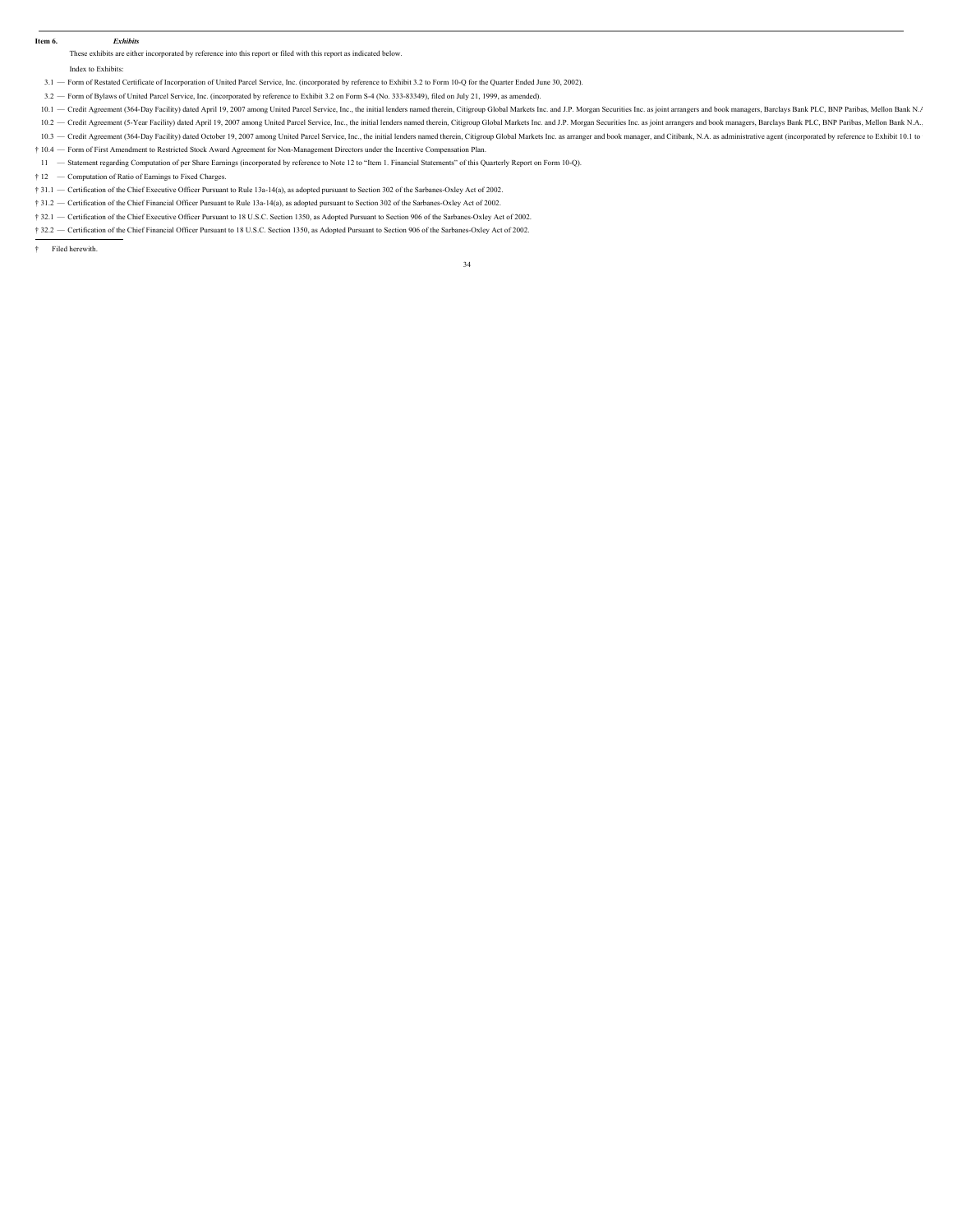**Item 6.***Exhibits*

These exhibits are either incorporated by reference into this report or filed with this report as indicated below.

Index to Exhibits:

- 3.1 Form of Restated Certificate of Incorporation of United Parcel Service, Inc. (incorporated by reference to Exhibit 3.2 to Form 10-Q for the Quarter Ended June 30, 2002).
- 3.2 Form of Bylaws of United Parcel Service, Inc. (incorporated by reference to Exhibit 3.2 on Form S-4 (No. 333-83349), filed on July 21, 1999, as amended).
- 10.1 Credit Agreement (364-Day Facility) dated April 19, 2007 among United Parcel Service, Inc., the initial lenders named therein, Citigroup Global Markets Inc. and J.P. Morgan Securities Inc. as joint arrangers and boo
- 10.2 Credit Agreement (5-Year Facility) dated April 19, 2007 among United Parcel Service, Inc., the initial lenders named therein, Citigroup Global Markets Inc. and J.P. Morgan Securities Inc. as joint arrangers and book 10.3 - Credit Agreement (364-Day Facility) dated October 19, 2007 among United Parcel Service, Inc., the initial lenders named therein, Citigroup Global Markets Inc. as arranger and book manager, and Citibank, N.A. as admi
- 
- † 10.4 Form of First Amendment to Restricted Stock Award Agreement for Non-Management Directors under the Incentive Compensation Plan.
- 11 Statement regarding Computation of per Share Earnings (incorporated by reference to Note 12 to "Item 1. Financial Statements" of this Quarterly Report on Form 10-Q).
- † 12 Computation of Ratio of Earnings to Fixed Charges.
- † 31.1 Certification of the Chief Executive Officer Pursuant to Rule 13a-14(a), as adopted pursuant to Section 302 of the Sarbanes-Oxley Act of 2002.
- † 31.2 Certification of the Chief Financial Officer Pursuant to Rule 13a-14(a), as adopted pursuant to Section 302 of the Sarbanes-Oxley Act of 2002.
- † 32.1 Certification of the Chief Executive Officer Pursuant to 18 U.S.C. Section 1350, as Adopted Pursuant to Section 906 of the Sarbanes-Oxley Act of 2002.
- † 32.2 Certification of the Chief Financial Officer Pursuant to 18 U.S.C. Section 1350, as Adopted Pursuant to Section 906 of the Sarbanes-Oxley Act of 2002.

† Filed herewith.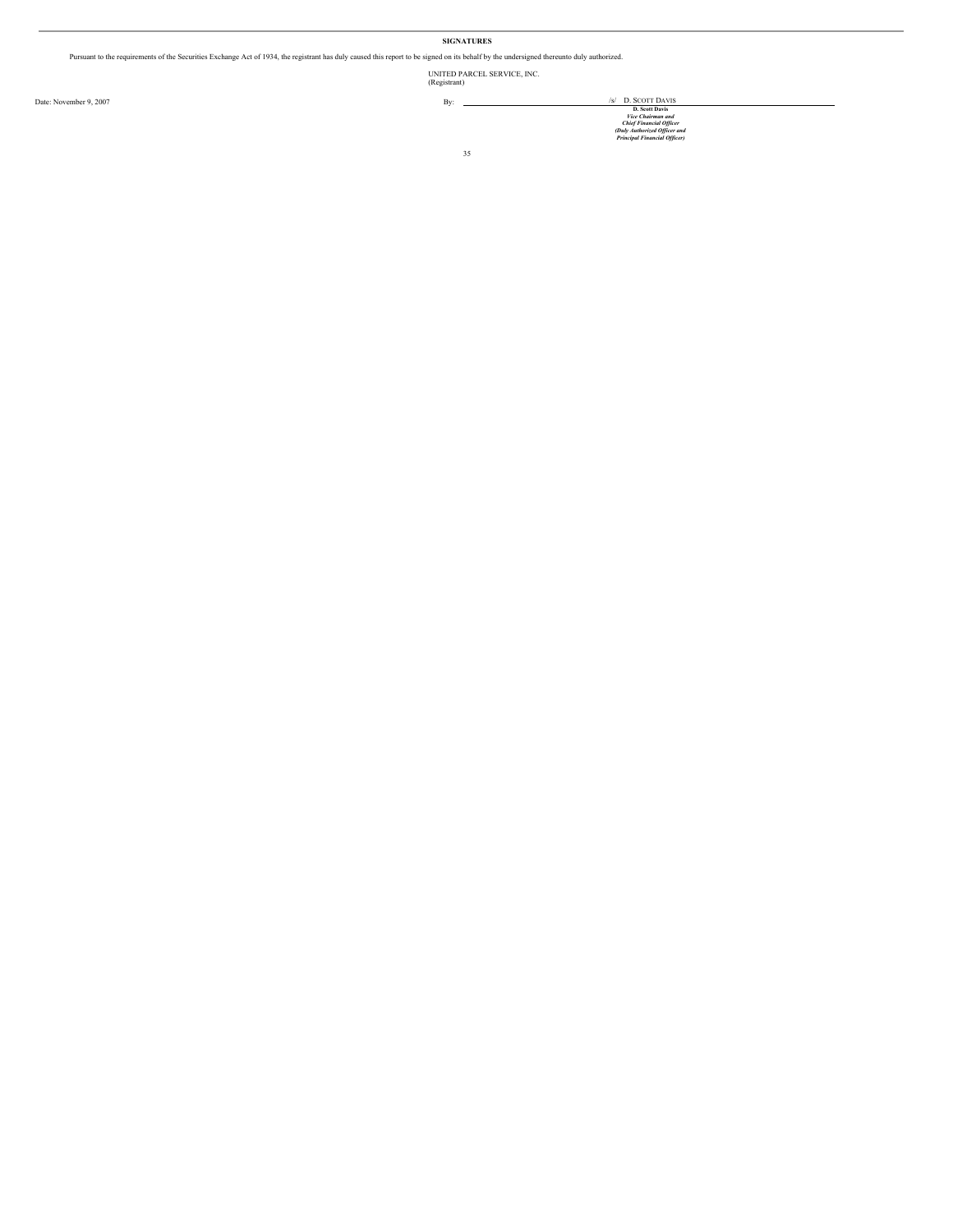## **SIGNATURES**

Pursuant to the requirements of the Securities Exchange Act of 1934, the registrant has duly caused this report to be signed on its behalf by the undersigned thereunto duly authorized.

UNITED PARCEL SERVICE, INC. (Registrant)

## Date: November 9, 2007 By:  $\qquad \qquad$  By:  $\qquad \qquad$

 $\frac{|S|}{|S|}$  D. SCOTT DAVIS<br>D. Scott Davis<br>Vice Chairman and<br>Chief Financial Officer<br>Only Authorized Officer and<br>Principal Financial Officer)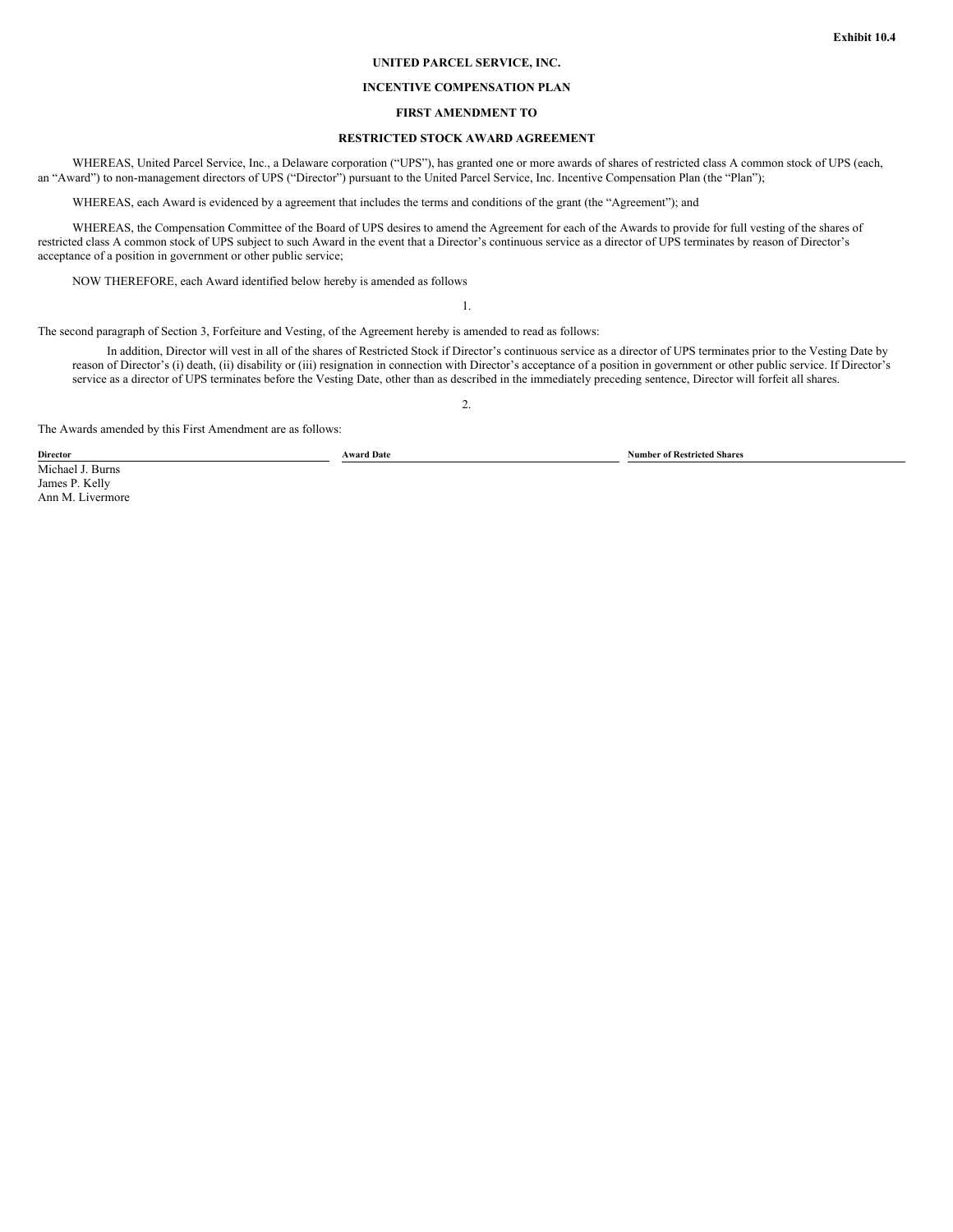## **UNITED PARCEL SERVICE, INC.**

## **INCENTIVE COMPENSATION PLAN**

## **FIRST AMENDMENT TO**

## **RESTRICTED STOCK AWARD AGREEMENT**

WHEREAS, United Parcel Service, Inc., a Delaware corporation ("UPS"), has granted one or more awards of shares of restricted class A common stock of UPS (each, an "Award") to non-management directors of UPS ("Director") pursuant to the United Parcel Service, Inc. Incentive Compensation Plan (the "Plan");

WHEREAS, each Award is evidenced by a agreement that includes the terms and conditions of the grant (the "Agreement"); and

WHEREAS, the Compensation Committee of the Board of UPS desires to amend the Agreement for each of the Awards to provide for full vesting of the shares of restricted class A common stock of UPS subject to such Award in the event that a Director's continuous service as a director of UPS terminates by reason of Director's acceptance of a position in government or other public service;

NOW THEREFORE, each Award identified below hereby is amended as follows

1.

The second paragraph of Section 3, Forfeiture and Vesting, of the Agreement hereby is amended to read as follows:

In addition, Director will vest in all of the shares of Restricted Stock if Director's continuous service as a director of UPS terminates prior to the Vesting Date by reason of Director's (i) death, (ii) disability or (iii) resignation in connection with Director's acceptance of a position in government or other public service. If Director's service as a director of UPS terminates before the Vesting Date, other than as described in the immediately preceding sentence, Director will forfeit all shares.

2.

The Awards amended by this First Amendment are as follows:

**Director Award Date Number of Restricted Shares**

Michael J. Burns James P. Kelly Ann M. Livermore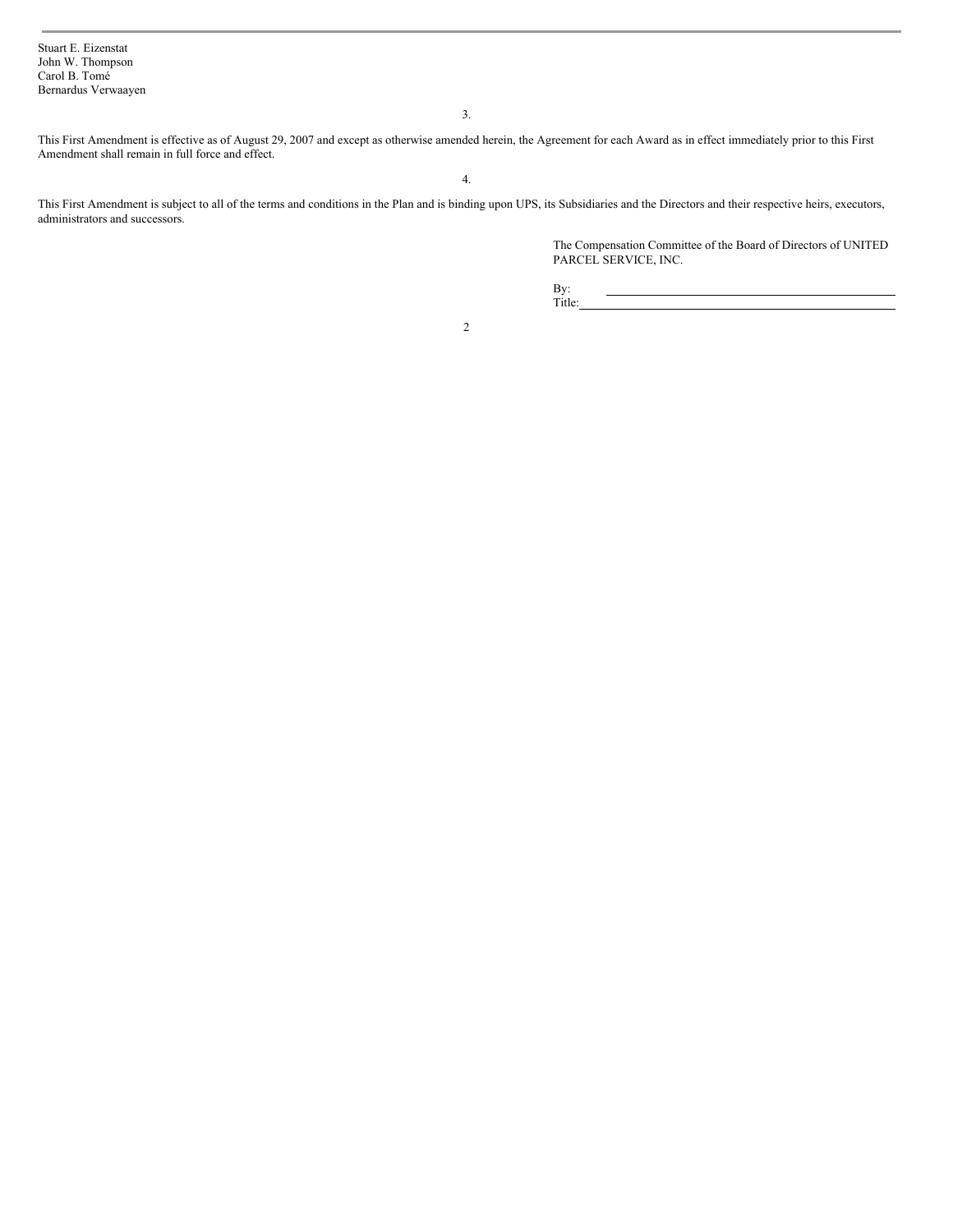Stuart E. Eizenstat John W. Thompson Carol B. Tomé Bernardus Verwaayen

3.

This First Amendment is effective as of August 29, 2007 and except as otherwise amended herein, the Agreement for each Award as in effect immediately prior to this First Amendment shall remain in full force and effect.

4.

This First Amendment is subject to all of the terms and conditions in the Plan and is binding upon UPS, its Subsidiaries and the Directors and their respective heirs, executors, administrators and successors.

> The Compensation Committee of the Board of Directors of UNITED PARCEL SERVICE, INC.

By: Title: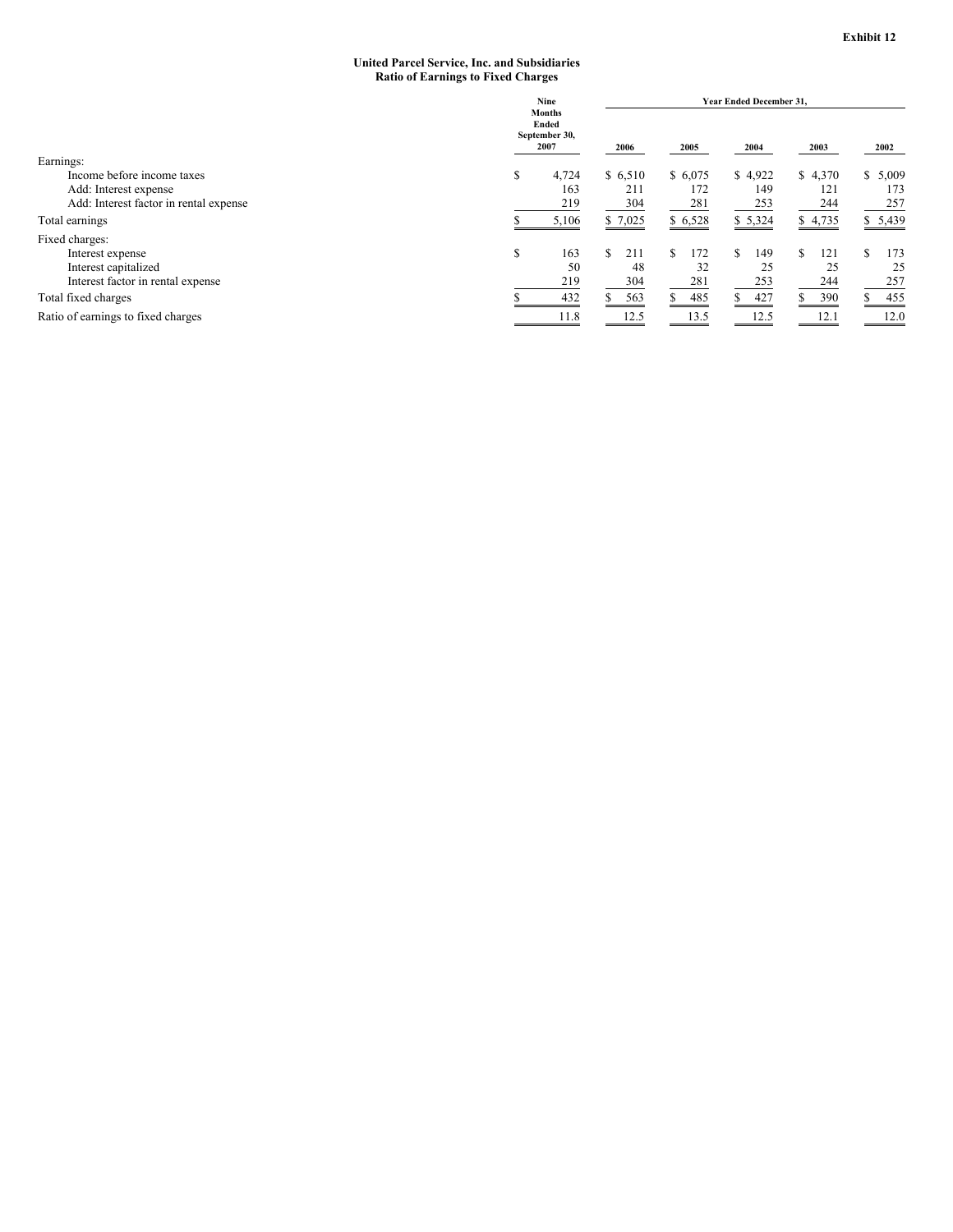#### **United Parcel Service, Inc. and Subsidiaries Ratio of Earnings to Fixed Charges**

|                                        | <b>Nine</b>                                     | Year Ended December 31, |           |          |         |           |  |
|----------------------------------------|-------------------------------------------------|-------------------------|-----------|----------|---------|-----------|--|
|                                        | <b>Months</b><br>Ended<br>September 30,<br>2007 | 2006                    | 2005      | 2004     | 2003    | 2002      |  |
| Earnings:                              |                                                 |                         |           |          |         |           |  |
| Income before income taxes             | \$<br>4,724                                     | \$6,510                 | \$6,075   | \$4,922  | \$4,370 | \$5,009   |  |
| Add: Interest expense                  | 163                                             | 211                     | 172       | 149      | 121     | 173       |  |
| Add: Interest factor in rental expense | 219                                             | 304                     | 281       | 253      | 244     | 257       |  |
| Total earnings                         | 5,106                                           | \$7,025                 | \$6,528   | \$5,324  | \$4,735 | \$5,439   |  |
| Fixed charges:                         |                                                 |                         |           |          |         |           |  |
| Interest expense                       | \$<br>163                                       | \$.<br>211              | £.<br>172 | S<br>149 | 121     | 173<br>\$ |  |
| Interest capitalized                   | 50                                              | 48                      | 32        | 25       | 25      | 25        |  |
| Interest factor in rental expense      | 219                                             | 304                     | 281       | 253      | 244     | 257       |  |
| Total fixed charges                    | 432                                             | 563<br>D                | 485       | 427      | 390     | 455       |  |
| Ratio of earnings to fixed charges     | 11.8                                            | 12.5                    | 13.5      | 12.5     | 12.1    | 12.0      |  |
|                                        |                                                 |                         |           |          |         |           |  |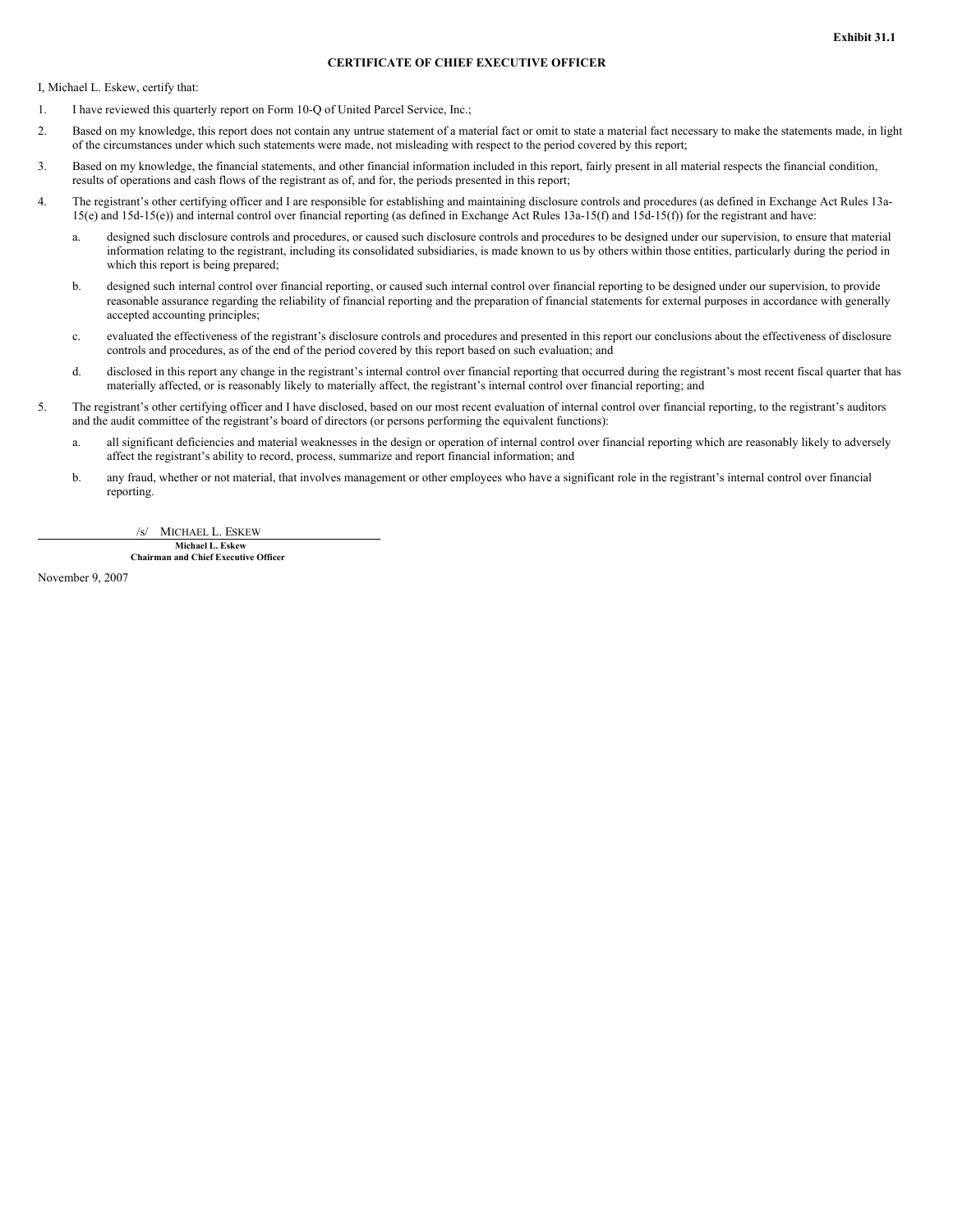## **CERTIFICATE OF CHIEF EXECUTIVE OFFICER**

I, Michael L. Eskew, certify that:

- 1. I have reviewed this quarterly report on Form 10-Q of United Parcel Service, Inc.;
- 2. Based on my knowledge, this report does not contain any untrue statement of a material fact or omit to state a material fact necessary to make the statements made, in light of the circumstances under which such statements were made, not misleading with respect to the period covered by this report;
- 3. Based on my knowledge, the financial statements, and other financial information included in this report, fairly present in all material respects the financial condition, results of operations and cash flows of the registrant as of, and for, the periods presented in this report;
- 4. The registrant's other certifying officer and I are responsible for establishing and maintaining disclosure controls and procedures (as defined in Exchange Act Rules 13a-15(e) and 15d-15(e)) and internal control over financial reporting (as defined in Exchange Act Rules 13a-15(f) and 15d-15(f)) for the registrant and have:
	- a. designed such disclosure controls and procedures, or caused such disclosure controls and procedures to be designed under our supervision, to ensure that material information relating to the registrant, including its consolidated subsidiaries, is made known to us by others within those entities, particularly during the period in which this report is being prepared;
	- b. designed such internal control over financial reporting, or caused such internal control over financial reporting to be designed under our supervision, to provide reasonable assurance regarding the reliability of financial reporting and the preparation of financial statements for external purposes in accordance with generally accepted accounting principles;
	- c. evaluated the effectiveness of the registrant's disclosure controls and procedures and presented in this report our conclusions about the effectiveness of disclosure controls and procedures, as of the end of the period covered by this report based on such evaluation; and
	- d. disclosed in this report any change in the registrant's internal control over financial reporting that occurred during the registrant's most recent fiscal quarter that has materially affected, or is reasonably likely to materially affect, the registrant's internal control over financial reporting; and
- 5. The registrant's other certifying officer and I have disclosed, based on our most recent evaluation of internal control over financial reporting, to the registrant's auditors and the audit committee of the registrant's board of directors (or persons performing the equivalent functions):
	- a. all significant deficiencies and material weaknesses in the design or operation of internal control over financial reporting which are reasonably likely to adversely affect the registrant's ability to record, process, summarize and report financial information; and
	- b. any fraud, whether or not material, that involves management or other employees who have a significant role in the registrant's internal control over financial reporting.

MICHAEL L. ESKEW

**Michael L. Eskew Chairman and Chief Executive Officer**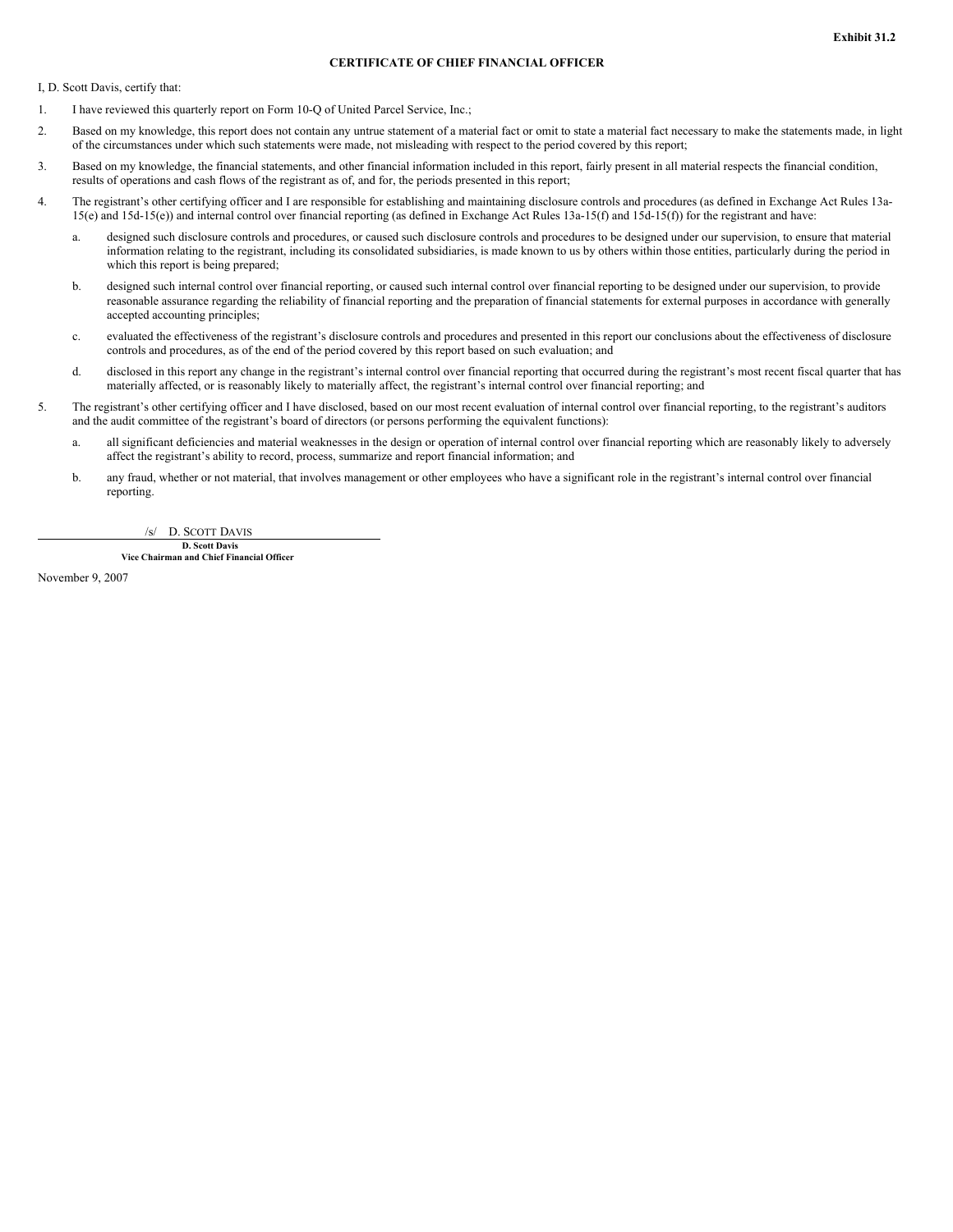## **CERTIFICATE OF CHIEF FINANCIAL OFFICER**

I, D. Scott Davis, certify that:

- 1. I have reviewed this quarterly report on Form 10-Q of United Parcel Service, Inc.;
- 2. Based on my knowledge, this report does not contain any untrue statement of a material fact or omit to state a material fact necessary to make the statements made, in light of the circumstances under which such statements were made, not misleading with respect to the period covered by this report;
- 3. Based on my knowledge, the financial statements, and other financial information included in this report, fairly present in all material respects the financial condition, results of operations and cash flows of the registrant as of, and for, the periods presented in this report;
- 4. The registrant's other certifying officer and I are responsible for establishing and maintaining disclosure controls and procedures (as defined in Exchange Act Rules 13a-15(e) and 15d-15(e)) and internal control over financial reporting (as defined in Exchange Act Rules 13a-15(f) and 15d-15(f)) for the registrant and have:
	- a. designed such disclosure controls and procedures, or caused such disclosure controls and procedures to be designed under our supervision, to ensure that material information relating to the registrant, including its consolidated subsidiaries, is made known to us by others within those entities, particularly during the period in which this report is being prepared;
	- b. designed such internal control over financial reporting, or caused such internal control over financial reporting to be designed under our supervision, to provide reasonable assurance regarding the reliability of financial reporting and the preparation of financial statements for external purposes in accordance with generally accepted accounting principles;
	- c. evaluated the effectiveness of the registrant's disclosure controls and procedures and presented in this report our conclusions about the effectiveness of disclosure controls and procedures, as of the end of the period covered by this report based on such evaluation; and
	- d. disclosed in this report any change in the registrant's internal control over financial reporting that occurred during the registrant's most recent fiscal quarter that has materially affected, or is reasonably likely to materially affect, the registrant's internal control over financial reporting; and
- 5. The registrant's other certifying officer and I have disclosed, based on our most recent evaluation of internal control over financial reporting, to the registrant's auditors and the audit committee of the registrant's board of directors (or persons performing the equivalent functions):
	- a. all significant deficiencies and material weaknesses in the design or operation of internal control over financial reporting which are reasonably likely to adversely affect the registrant's ability to record, process, summarize and report financial information; and
	- b. any fraud, whether or not material, that involves management or other employees who have a significant role in the registrant's internal control over financial reporting.

## D. SCOTT DAVIS

**D. Scott Davis Vice Chairman and Chief Financial Officer**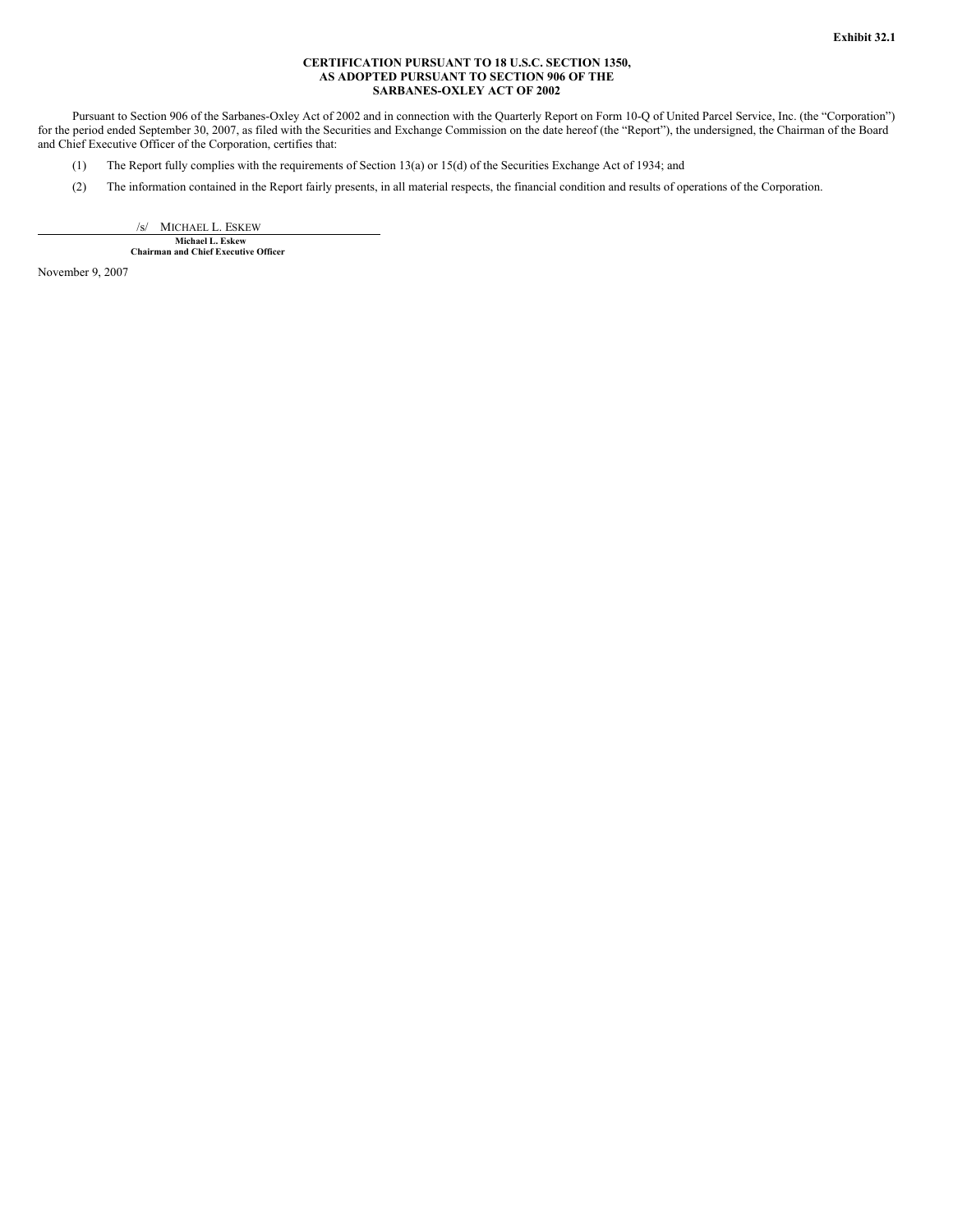## **CERTIFICATION PURSUANT TO 18 U.S.C. SECTION 1350, AS ADOPTED PURSUANT TO SECTION 906 OF THE SARBANES-OXLEY ACT OF 2002**

Pursuant to Section 906 of the Sarbanes-Oxley Act of 2002 and in connection with the Quarterly Report on Form 10-Q of United Parcel Service, Inc. (the "Corporation") for the period ended September 30, 2007, as filed with the Securities and Exchange Commission on the date hereof (the "Report"), the undersigned, the Chairman of the Board and Chief Executive Officer of the Corporation, certifies that:

- (1) The Report fully complies with the requirements of Section 13(a) or 15(d) of the Securities Exchange Act of 1934; and
- (2) The information contained in the Report fairly presents, in all material respects, the financial condition and results of operations of the Corporation.

/s/ MICHAEL L. ESKEW **Michael L. Eskew**

**Chairman and Chief Executive Officer**